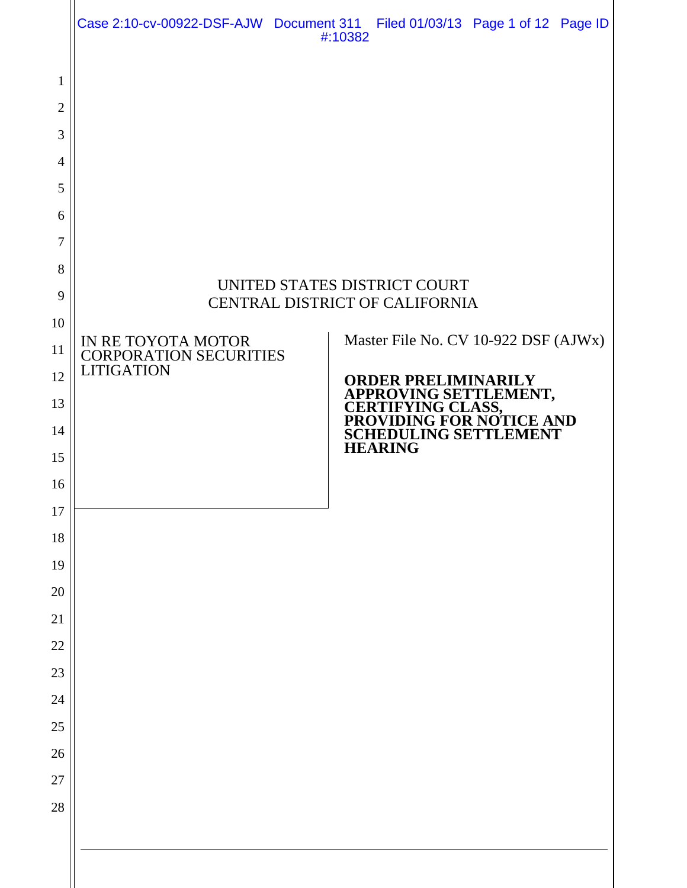|                                                                                                                                            |                                                                          | Case 2:10-cv-00922-DSF-AJW Document 311 Filed 01/03/13 Page 1 of 12 Page ID<br>#:10382                                                                                                                                                                           |
|--------------------------------------------------------------------------------------------------------------------------------------------|--------------------------------------------------------------------------|------------------------------------------------------------------------------------------------------------------------------------------------------------------------------------------------------------------------------------------------------------------|
| 1<br>$\overline{2}$<br>3<br>4<br>5<br>6<br>7<br>8<br>9<br>10<br>11<br>12<br>13<br>14<br>15<br>16<br>17<br>18<br>19<br>20<br>21<br>22<br>23 | IN RE TOYOTA MOTOR<br><b>CORPORATION SECURITIES</b><br><b>LITIGATION</b> | UNITED STATES DISTRICT COURT<br>CENTRAL DISTRICT OF CALIFORNIA<br>Master File No. CV 10-922 DSF (AJWx)<br><b>ORDER PRELIMINARILY</b><br>APPROVING SETTLEMENT,<br>CERTIFYING CLASS,<br>PROVIDING FOR NOTICE AND<br><b>SCHEDULING SETTLEMENT</b><br><b>HEARING</b> |
|                                                                                                                                            |                                                                          |                                                                                                                                                                                                                                                                  |
|                                                                                                                                            |                                                                          |                                                                                                                                                                                                                                                                  |
| 24                                                                                                                                         |                                                                          |                                                                                                                                                                                                                                                                  |
| 25<br>26                                                                                                                                   |                                                                          |                                                                                                                                                                                                                                                                  |
| 27                                                                                                                                         |                                                                          |                                                                                                                                                                                                                                                                  |
| 28                                                                                                                                         |                                                                          |                                                                                                                                                                                                                                                                  |
|                                                                                                                                            |                                                                          |                                                                                                                                                                                                                                                                  |
|                                                                                                                                            |                                                                          |                                                                                                                                                                                                                                                                  |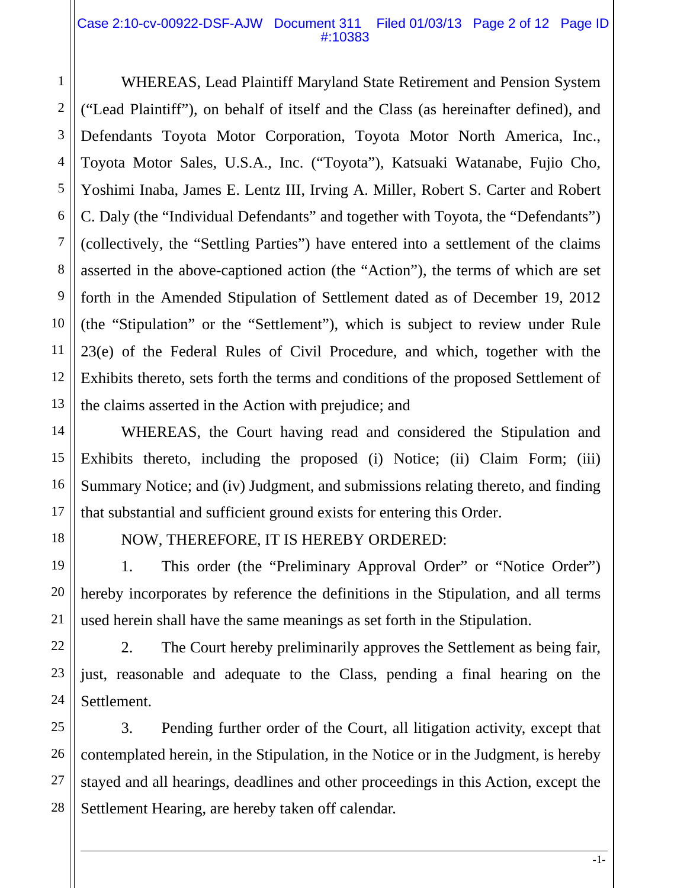#### Case 2:10-cv-00922-DSF-AJW Document 311 Filed 01/03/13 Page 2 of 12 Page ID #:10383

WHEREAS, Lead Plaintiff Maryland State Retirement and Pension System ("Lead Plaintiff"), on behalf of itself and the Class (as hereinafter defined), and Defendants Toyota Motor Corporation, Toyota Motor North America, Inc., Toyota Motor Sales, U.S.A., Inc. ("Toyota"), Katsuaki Watanabe, Fujio Cho, Yoshimi Inaba, James E. Lentz III, Irving A. Miller, Robert S. Carter and Robert C. Daly (the "Individual Defendants" and together with Toyota, the "Defendants") (collectively, the "Settling Parties") have entered into a settlement of the claims asserted in the above-captioned action (the "Action"), the terms of which are set forth in the Amended Stipulation of Settlement dated as of December 19, 2012 (the "Stipulation" or the "Settlement"), which is subject to review under Rule 23(e) of the Federal Rules of Civil Procedure, and which, together with the Exhibits thereto, sets forth the terms and conditions of the proposed Settlement of the claims asserted in the Action with prejudice; and

WHEREAS, the Court having read and considered the Stipulation and Exhibits thereto, including the proposed (i) Notice; (ii) Claim Form; (iii) Summary Notice; and (iv) Judgment, and submissions relating thereto, and finding that substantial and sufficient ground exists for entering this Order.

1

2

3

4

5

6

7

8

9

10

11

12

13

14

15

16

17

18

19

20

21

22

23

24

# NOW, THEREFORE, IT IS HEREBY ORDERED:

1. This order (the "Preliminary Approval Order" or "Notice Order") hereby incorporates by reference the definitions in the Stipulation, and all terms used herein shall have the same meanings as set forth in the Stipulation.

2. The Court hereby preliminarily approves the Settlement as being fair, just, reasonable and adequate to the Class, pending a final hearing on the Settlement.

25 26 27 28 3. Pending further order of the Court, all litigation activity, except that contemplated herein, in the Stipulation, in the Notice or in the Judgment, is hereby stayed and all hearings, deadlines and other proceedings in this Action, except the Settlement Hearing, are hereby taken off calendar.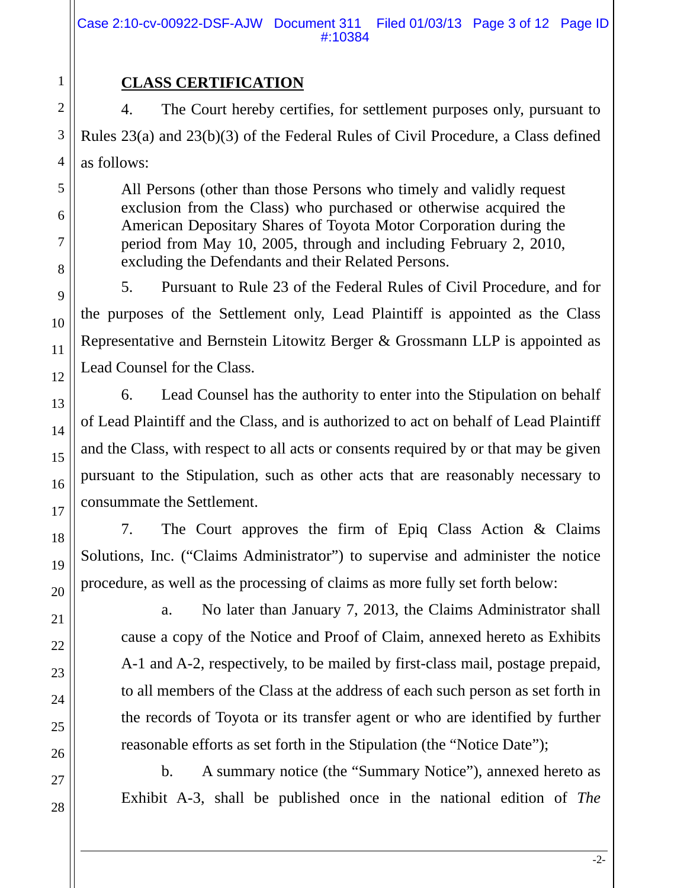# **CLASS CERTIFICATION**

4. The Court hereby certifies, for settlement purposes only, pursuant to Rules 23(a) and 23(b)(3) of the Federal Rules of Civil Procedure, a Class defined as follows:

All Persons (other than those Persons who timely and validly request exclusion from the Class) who purchased or otherwise acquired the American Depositary Shares of Toyota Motor Corporation during the period from May 10, 2005, through and including February 2, 2010, excluding the Defendants and their Related Persons.

5. Pursuant to Rule 23 of the Federal Rules of Civil Procedure, and for the purposes of the Settlement only, Lead Plaintiff is appointed as the Class Representative and Bernstein Litowitz Berger & Grossmann LLP is appointed as Lead Counsel for the Class.

6. Lead Counsel has the authority to enter into the Stipulation on behalf of Lead Plaintiff and the Class, and is authorized to act on behalf of Lead Plaintiff and the Class, with respect to all acts or consents required by or that may be given pursuant to the Stipulation, such as other acts that are reasonably necessary to consummate the Settlement.

7. The Court approves the firm of Epiq Class Action & Claims Solutions, Inc. ("Claims Administrator") to supervise and administer the notice procedure, as well as the processing of claims as more fully set forth below:

a. No later than January 7, 2013, the Claims Administrator shall cause a copy of the Notice and Proof of Claim, annexed hereto as Exhibits A-1 and A-2, respectively, to be mailed by first-class mail, postage prepaid, to all members of the Class at the address of each such person as set forth in the records of Toyota or its transfer agent or who are identified by further reasonable efforts as set forth in the Stipulation (the "Notice Date");

b. A summary notice (the "Summary Notice"), annexed hereto as Exhibit A-3, shall be published once in the national edition of *The*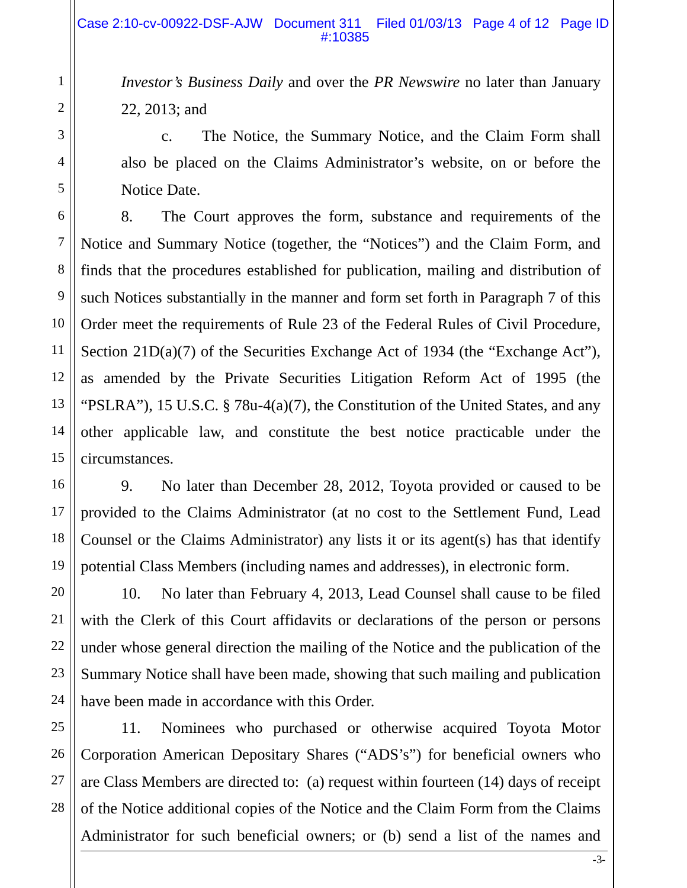*Investor's Business Daily* and over the *PR Newswire* no later than January 22, 2013; and

c. The Notice, the Summary Notice, and the Claim Form shall also be placed on the Claims Administrator's website, on or before the Notice Date.

8. The Court approves the form, substance and requirements of the Notice and Summary Notice (together, the "Notices") and the Claim Form, and finds that the procedures established for publication, mailing and distribution of such Notices substantially in the manner and form set forth in Paragraph 7 of this Order meet the requirements of Rule 23 of the Federal Rules of Civil Procedure, Section 21D(a)(7) of the Securities Exchange Act of 1934 (the "Exchange Act"), as amended by the Private Securities Litigation Reform Act of 1995 (the "PSLRA"), 15 U.S.C. § 78u-4(a)(7), the Constitution of the United States, and any other applicable law, and constitute the best notice practicable under the circumstances.

9. No later than December 28, 2012, Toyota provided or caused to be provided to the Claims Administrator (at no cost to the Settlement Fund, Lead Counsel or the Claims Administrator) any lists it or its agent(s) has that identify potential Class Members (including names and addresses), in electronic form.

10. No later than February 4, 2013, Lead Counsel shall cause to be filed with the Clerk of this Court affidavits or declarations of the person or persons under whose general direction the mailing of the Notice and the publication of the Summary Notice shall have been made, showing that such mailing and publication have been made in accordance with this Order.

11. Nominees who purchased or otherwise acquired Toyota Motor Corporation American Depositary Shares ("ADS's") for beneficial owners who are Class Members are directed to: (a) request within fourteen (14) days of receipt of the Notice additional copies of the Notice and the Claim Form from the Claims Administrator for such beneficial owners; or (b) send a list of the names and

1

2

3

4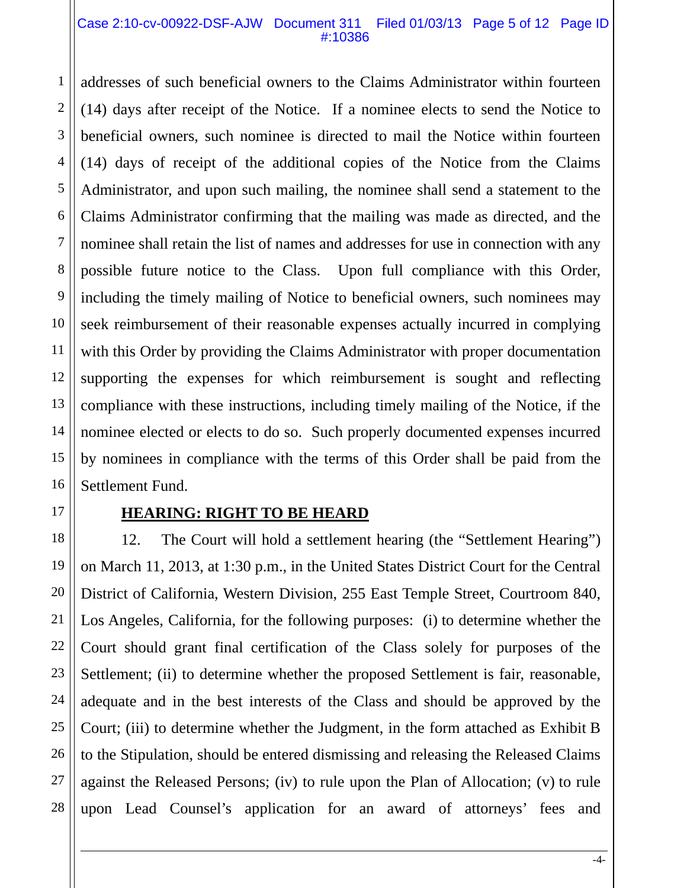#### Case 2:10-cv-00922-DSF-AJW Document 311 Filed 01/03/13 Page 5 of 12 Page ID #:10386

addresses of such beneficial owners to the Claims Administrator within fourteen (14) days after receipt of the Notice. If a nominee elects to send the Notice to beneficial owners, such nominee is directed to mail the Notice within fourteen (14) days of receipt of the additional copies of the Notice from the Claims Administrator, and upon such mailing, the nominee shall send a statement to the Claims Administrator confirming that the mailing was made as directed, and the nominee shall retain the list of names and addresses for use in connection with any possible future notice to the Class. Upon full compliance with this Order, including the timely mailing of Notice to beneficial owners, such nominees may seek reimbursement of their reasonable expenses actually incurred in complying with this Order by providing the Claims Administrator with proper documentation supporting the expenses for which reimbursement is sought and reflecting compliance with these instructions, including timely mailing of the Notice, if the nominee elected or elects to do so. Such properly documented expenses incurred by nominees in compliance with the terms of this Order shall be paid from the Settlement Fund.

1

2

3

4

5

6

7

8

9

10

11

12

13

14

15

16

17

21

# **HEARING: RIGHT TO BE HEARD**

18 19 20 22 23 24 25 26 27 28 12. The Court will hold a settlement hearing (the "Settlement Hearing") on March 11, 2013, at 1:30 p.m., in the United States District Court for the Central District of California, Western Division, 255 East Temple Street, Courtroom 840, Los Angeles, California, for the following purposes: (i) to determine whether the Court should grant final certification of the Class solely for purposes of the Settlement; (ii) to determine whether the proposed Settlement is fair, reasonable, adequate and in the best interests of the Class and should be approved by the Court; (iii) to determine whether the Judgment, in the form attached as Exhibit B to the Stipulation, should be entered dismissing and releasing the Released Claims against the Released Persons; (iv) to rule upon the Plan of Allocation; (v) to rule upon Lead Counsel's application for an award of attorneys' fees and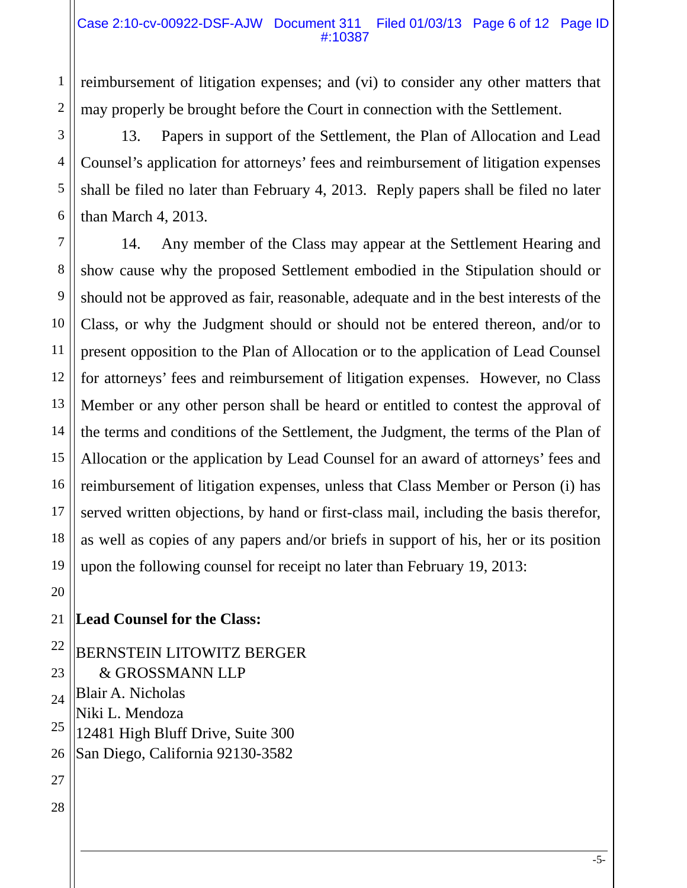reimbursement of litigation expenses; and (vi) to consider any other matters that may properly be brought before the Court in connection with the Settlement.

13. Papers in support of the Settlement, the Plan of Allocation and Lead Counsel's application for attorneys' fees and reimbursement of litigation expenses shall be filed no later than February 4, 2013. Reply papers shall be filed no later than March 4, 2013.

14. Any member of the Class may appear at the Settlement Hearing and show cause why the proposed Settlement embodied in the Stipulation should or should not be approved as fair, reasonable, adequate and in the best interests of the Class, or why the Judgment should or should not be entered thereon, and/or to present opposition to the Plan of Allocation or to the application of Lead Counsel for attorneys' fees and reimbursement of litigation expenses. However, no Class Member or any other person shall be heard or entitled to contest the approval of the terms and conditions of the Settlement, the Judgment, the terms of the Plan of Allocation or the application by Lead Counsel for an award of attorneys' fees and reimbursement of litigation expenses, unless that Class Member or Person (i) has served written objections, by hand or first-class mail, including the basis therefor, as well as copies of any papers and/or briefs in support of his, her or its position upon the following counsel for receipt no later than February 19, 2013:

# **Lead Counsel for the Class:**

BERNSTEIN LITOWITZ BERGER & GROSSMANN LLP Blair A. Nicholas Niki L. Mendoza 12481 High Bluff Drive, Suite 300 San Diego, California 92130-3582

1

2

3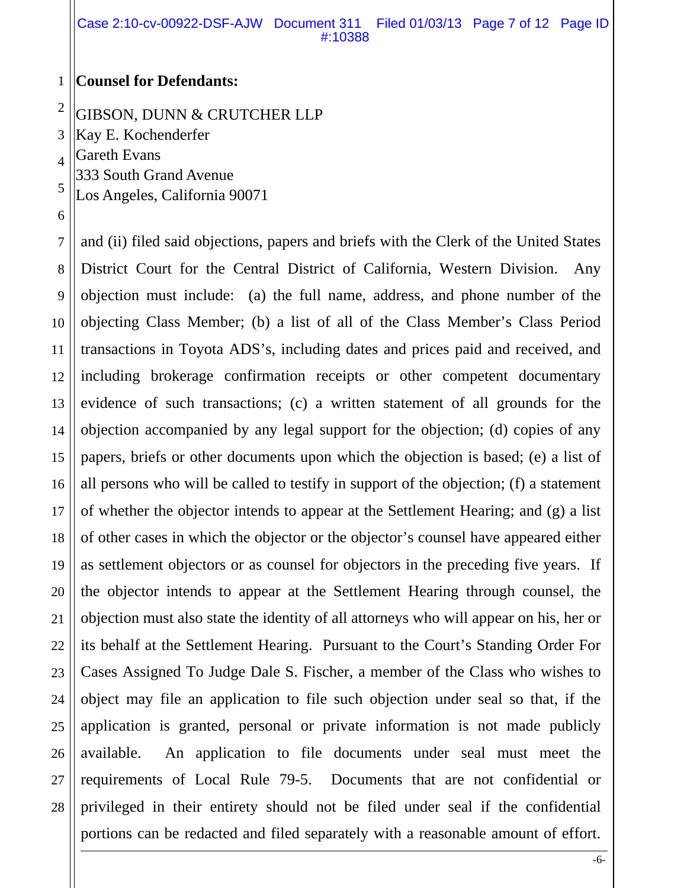Case 2:10-cv-00922-DSF-AJW Document 311 Filed 01/03/13 Page 7 of 12 Page ID #:10388

#### 1 **Counsel for Defendants:**

2 GIBSON, DUNN & CRUTCHER LLP

3 Kay E. Kochenderfer

4 Gareth Evans

333 South Grand Avenue

5 Los Angeles, California 90071

6

7 8 9 10 11 12 13 14 15 16 17 18 19 20 21 22 23 24 25 26 27 28 and (ii) filed said objections, papers and briefs with the Clerk of the United States District Court for the Central District of California, Western Division. Any objection must include: (a) the full name, address, and phone number of the objecting Class Member; (b) a list of all of the Class Member's Class Period transactions in Toyota ADS's, including dates and prices paid and received, and including brokerage confirmation receipts or other competent documentary evidence of such transactions; (c) a written statement of all grounds for the objection accompanied by any legal support for the objection; (d) copies of any papers, briefs or other documents upon which the objection is based; (e) a list of all persons who will be called to testify in support of the objection; (f) a statement of whether the objector intends to appear at the Settlement Hearing; and (g) a list of other cases in which the objector or the objector's counsel have appeared either as settlement objectors or as counsel for objectors in the preceding five years. If the objector intends to appear at the Settlement Hearing through counsel, the objection must also state the identity of all attorneys who will appear on his, her or its behalf at the Settlement Hearing. Pursuant to the Court's Standing Order For Cases Assigned To Judge Dale S. Fischer, a member of the Class who wishes to object may file an application to file such objection under seal so that, if the application is granted, personal or private information is not made publicly available. An application to file documents under seal must meet the requirements of Local Rule 79-5. Documents that are not confidential or privileged in their entirety should not be filed under seal if the confidential portions can be redacted and filed separately with a reasonable amount of effort.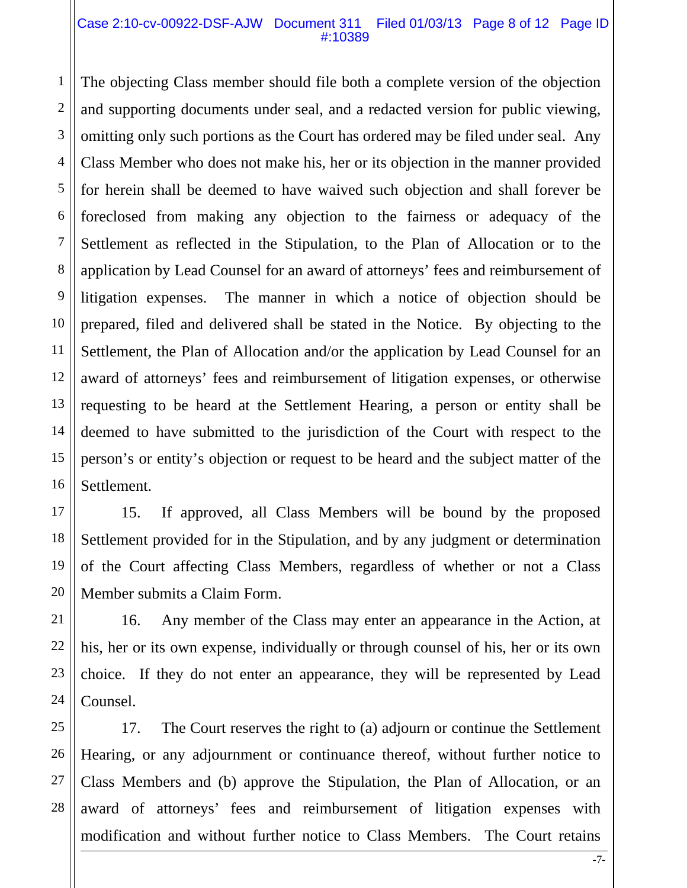#### Case 2:10-cv-00922-DSF-AJW Document 311 Filed 01/03/13 Page 8 of 12 Page ID #:10389

1

11

21

22

2 3 4 5 6 7 8 9 10 12 13 14 15 16 The objecting Class member should file both a complete version of the objection and supporting documents under seal, and a redacted version for public viewing, omitting only such portions as the Court has ordered may be filed under seal. Any Class Member who does not make his, her or its objection in the manner provided for herein shall be deemed to have waived such objection and shall forever be foreclosed from making any objection to the fairness or adequacy of the Settlement as reflected in the Stipulation, to the Plan of Allocation or to the application by Lead Counsel for an award of attorneys' fees and reimbursement of litigation expenses. The manner in which a notice of objection should be prepared, filed and delivered shall be stated in the Notice. By objecting to the Settlement, the Plan of Allocation and/or the application by Lead Counsel for an award of attorneys' fees and reimbursement of litigation expenses, or otherwise requesting to be heard at the Settlement Hearing, a person or entity shall be deemed to have submitted to the jurisdiction of the Court with respect to the person's or entity's objection or request to be heard and the subject matter of the Settlement.

17 18 19 20 15. If approved, all Class Members will be bound by the proposed Settlement provided for in the Stipulation, and by any judgment or determination of the Court affecting Class Members, regardless of whether or not a Class Member submits a Claim Form.

23 24 16. Any member of the Class may enter an appearance in the Action, at his, her or its own expense, individually or through counsel of his, her or its own choice. If they do not enter an appearance, they will be represented by Lead Counsel.

25 26 27 28 17. The Court reserves the right to (a) adjourn or continue the Settlement Hearing, or any adjournment or continuance thereof, without further notice to Class Members and (b) approve the Stipulation, the Plan of Allocation, or an award of attorneys' fees and reimbursement of litigation expenses with modification and without further notice to Class Members. The Court retains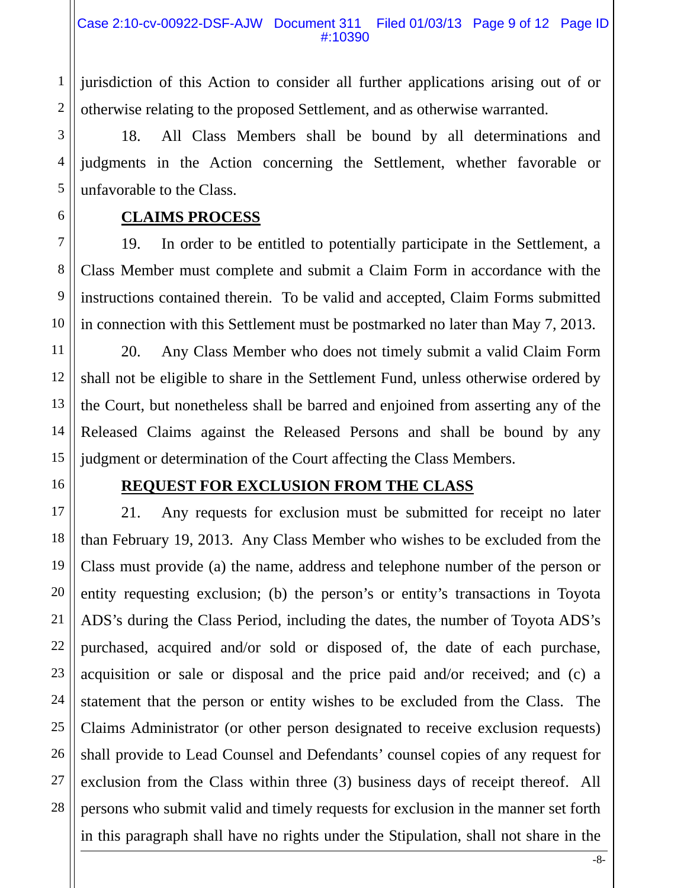jurisdiction of this Action to consider all further applications arising out of or otherwise relating to the proposed Settlement, and as otherwise warranted.

18. All Class Members shall be bound by all determinations and judgments in the Action concerning the Settlement, whether favorable or unfavorable to the Class.

**CLAIMS PROCESS** 

19. In order to be entitled to potentially participate in the Settlement, a Class Member must complete and submit a Claim Form in accordance with the instructions contained therein. To be valid and accepted, Claim Forms submitted in connection with this Settlement must be postmarked no later than May 7, 2013.

20. Any Class Member who does not timely submit a valid Claim Form shall not be eligible to share in the Settlement Fund, unless otherwise ordered by the Court, but nonetheless shall be barred and enjoined from asserting any of the Released Claims against the Released Persons and shall be bound by any judgment or determination of the Court affecting the Class Members.

# **REQUEST FOR EXCLUSION FROM THE CLASS**

21. Any requests for exclusion must be submitted for receipt no later than February 19, 2013. Any Class Member who wishes to be excluded from the Class must provide (a) the name, address and telephone number of the person or entity requesting exclusion; (b) the person's or entity's transactions in Toyota ADS's during the Class Period, including the dates, the number of Toyota ADS's purchased, acquired and/or sold or disposed of, the date of each purchase, acquisition or sale or disposal and the price paid and/or received; and (c) a statement that the person or entity wishes to be excluded from the Class. The Claims Administrator (or other person designated to receive exclusion requests) shall provide to Lead Counsel and Defendants' counsel copies of any request for exclusion from the Class within three (3) business days of receipt thereof. All persons who submit valid and timely requests for exclusion in the manner set forth in this paragraph shall have no rights under the Stipulation, shall not share in the

1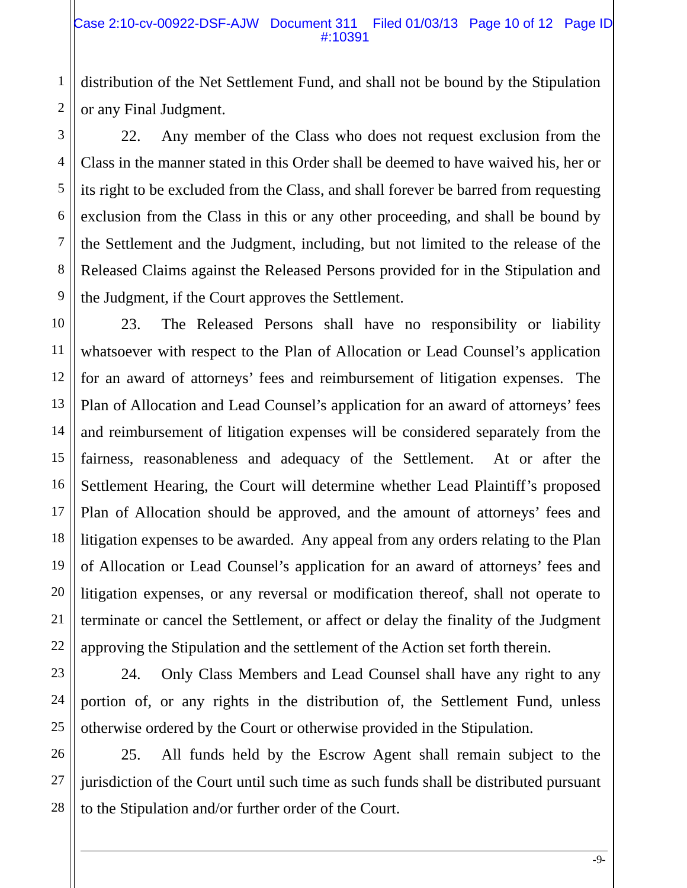distribution of the Net Settlement Fund, and shall not be bound by the Stipulation or any Final Judgment.

1

2

3

4

5

6

7

8

9

23

24

25

22. Any member of the Class who does not request exclusion from the Class in the manner stated in this Order shall be deemed to have waived his, her or its right to be excluded from the Class, and shall forever be barred from requesting exclusion from the Class in this or any other proceeding, and shall be bound by the Settlement and the Judgment, including, but not limited to the release of the Released Claims against the Released Persons provided for in the Stipulation and the Judgment, if the Court approves the Settlement.

10 11 12 13 14 15 16 17 18 19 20 21 22 23. The Released Persons shall have no responsibility or liability whatsoever with respect to the Plan of Allocation or Lead Counsel's application for an award of attorneys' fees and reimbursement of litigation expenses. The Plan of Allocation and Lead Counsel's application for an award of attorneys' fees and reimbursement of litigation expenses will be considered separately from the fairness, reasonableness and adequacy of the Settlement. At or after the Settlement Hearing, the Court will determine whether Lead Plaintiff's proposed Plan of Allocation should be approved, and the amount of attorneys' fees and litigation expenses to be awarded. Any appeal from any orders relating to the Plan of Allocation or Lead Counsel's application for an award of attorneys' fees and litigation expenses, or any reversal or modification thereof, shall not operate to terminate or cancel the Settlement, or affect or delay the finality of the Judgment approving the Stipulation and the settlement of the Action set forth therein.

24. Only Class Members and Lead Counsel shall have any right to any portion of, or any rights in the distribution of, the Settlement Fund, unless otherwise ordered by the Court or otherwise provided in the Stipulation.

26 27 28 25. All funds held by the Escrow Agent shall remain subject to the jurisdiction of the Court until such time as such funds shall be distributed pursuant to the Stipulation and/or further order of the Court.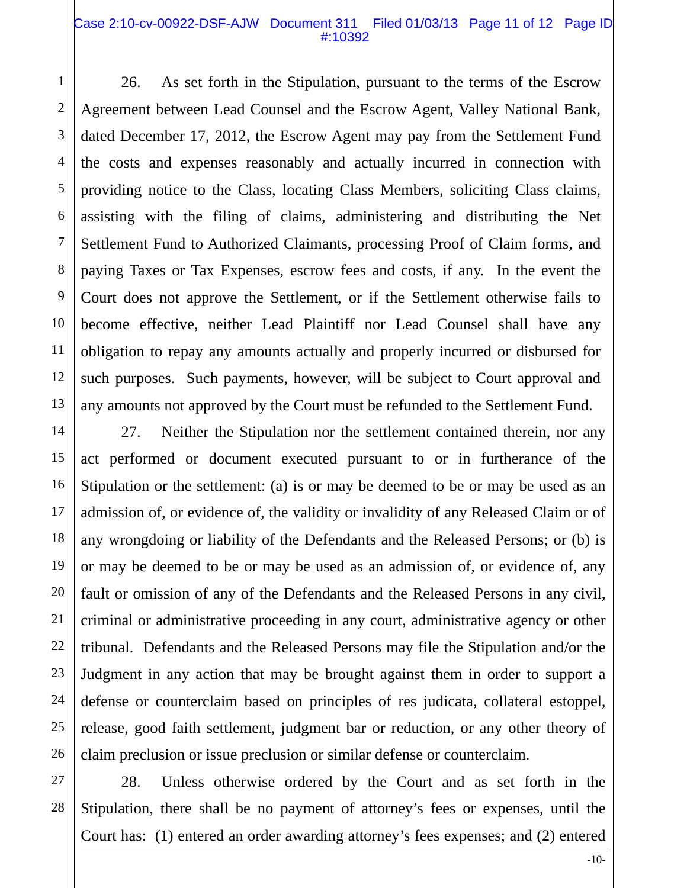#### Case 2:10-cv-00922-DSF-AJW Document 311 Filed 01/03/13 Page 11 of 12 Page ID #:10392

1

2

3

4

5

6

7

8

9

10

11

12

13

14

15

16

17

18

19

20

21

22

23

24

25

26

26. As set forth in the Stipulation, pursuant to the terms of the Escrow Agreement between Lead Counsel and the Escrow Agent, Valley National Bank, dated December 17, 2012, the Escrow Agent may pay from the Settlement Fund the costs and expenses reasonably and actually incurred in connection with providing notice to the Class, locating Class Members, soliciting Class claims, assisting with the filing of claims, administering and distributing the Net Settlement Fund to Authorized Claimants, processing Proof of Claim forms, and paying Taxes or Tax Expenses, escrow fees and costs, if any. In the event the Court does not approve the Settlement, or if the Settlement otherwise fails to become effective, neither Lead Plaintiff nor Lead Counsel shall have any obligation to repay any amounts actually and properly incurred or disbursed for such purposes. Such payments, however, will be subject to Court approval and any amounts not approved by the Court must be refunded to the Settlement Fund.

27. Neither the Stipulation nor the settlement contained therein, nor any act performed or document executed pursuant to or in furtherance of the Stipulation or the settlement: (a) is or may be deemed to be or may be used as an admission of, or evidence of, the validity or invalidity of any Released Claim or of any wrongdoing or liability of the Defendants and the Released Persons; or (b) is or may be deemed to be or may be used as an admission of, or evidence of, any fault or omission of any of the Defendants and the Released Persons in any civil, criminal or administrative proceeding in any court, administrative agency or other tribunal. Defendants and the Released Persons may file the Stipulation and/or the Judgment in any action that may be brought against them in order to support a defense or counterclaim based on principles of res judicata, collateral estoppel, release, good faith settlement, judgment bar or reduction, or any other theory of claim preclusion or issue preclusion or similar defense or counterclaim.

27 28 28. Unless otherwise ordered by the Court and as set forth in the Stipulation, there shall be no payment of attorney's fees or expenses, until the Court has: (1) entered an order awarding attorney's fees expenses; and (2) entered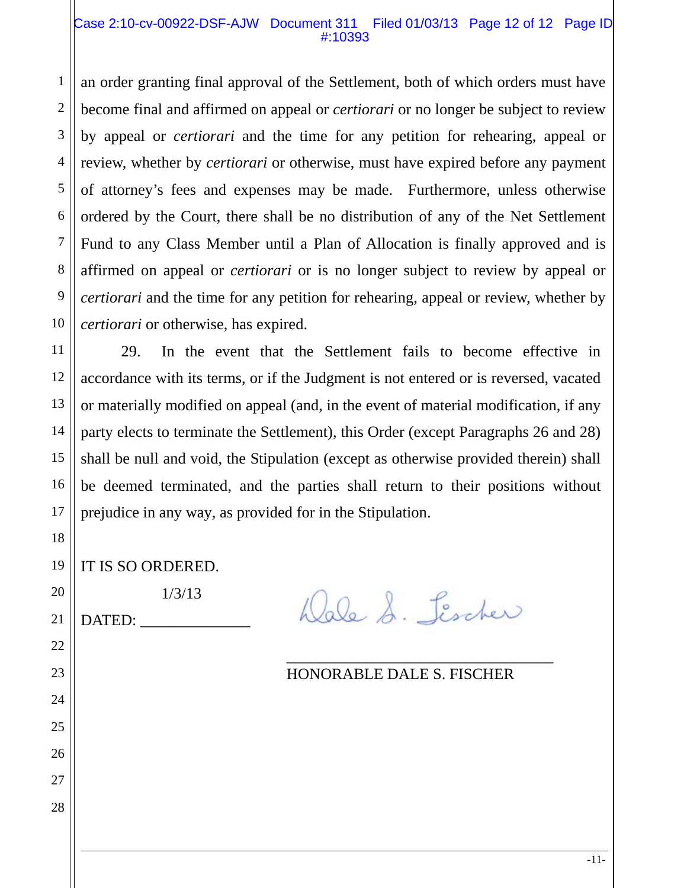#### Case 2:10-cv-00922-DSF-AJW Document 311 Filed 01/03/13 Page 12 of 12 Page ID #:10393

an order granting final approval of the Settlement, both of which orders must have become final and affirmed on appeal or *certiorari* or no longer be subject to review by appeal or *certiorari* and the time for any petition for rehearing, appeal or review, whether by *certiorari* or otherwise, must have expired before any payment of attorney's fees and expenses may be made. Furthermore, unless otherwise ordered by the Court, there shall be no distribution of any of the Net Settlement Fund to any Class Member until a Plan of Allocation is finally approved and is affirmed on appeal or *certiorari* or is no longer subject to review by appeal or *certiorari* and the time for any petition for rehearing, appeal or review, whether by *certiorari* or otherwise, has expired.

12 13 14 16 29. In the event that the Settlement fails to become effective in accordance with its terms, or if the Judgment is not entered or is reversed, vacated or materially modified on appeal (and, in the event of material modification, if any party elects to terminate the Settlement), this Order (except Paragraphs 26 and 28) shall be null and void, the Stipulation (except as otherwise provided therein) shall be deemed terminated, and the parties shall return to their positions without prejudice in any way, as provided for in the Stipulation.

 $\overline{\phantom{a}}$  , which is a set of the set of the set of the set of the set of the set of the set of the set of the set of the set of the set of the set of the set of the set of the set of the set of the set of the set of th

19 IT IS SO ORDERED.

1/3/13

DATED:

1

2

3

4

5

6

7

8

9

10

11

15

17

18

20

21

22

23

24

25

26

27

28

Dale S. Lischer

# HONORABLE DALE S. FISCHER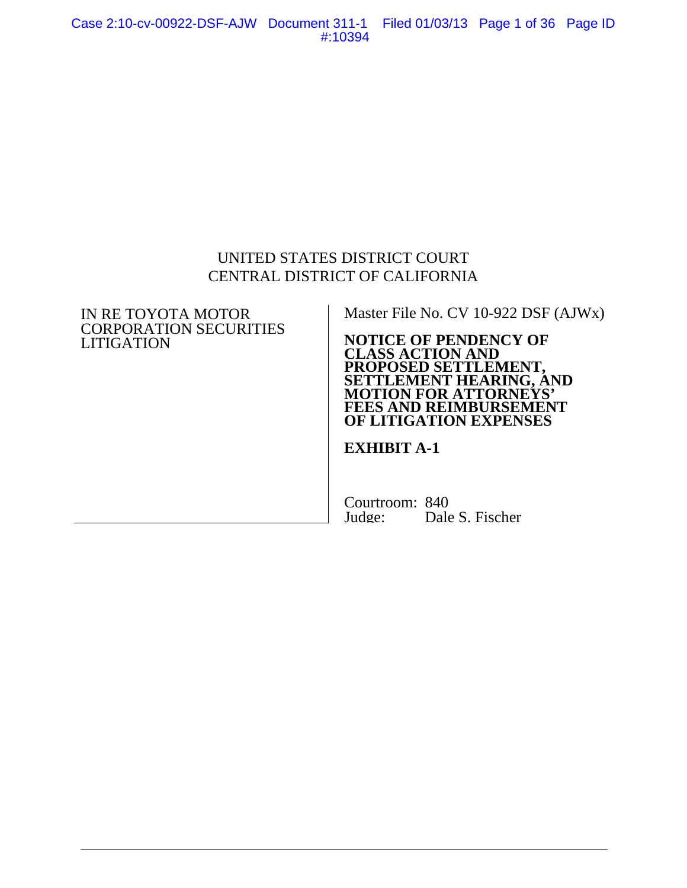Case 2:10-cv-00922-DSF-AJW Document 311-1 Filed 01/03/13 Page 1 of 36 Page ID #:10394

# UNITED STATES DISTRICT COURT CENTRAL DISTRICT OF CALIFORNIA

#### IN RE TOYOTA MOTOR CORPORATION SECURITIES LITIGATION

Master File No. CV 10-922 DSF (AJWx)

#### **NOTICE OF PENDENCY OF CLASS ACTION AND PROPOSED SETTLEMENT, SETTLEMENT HEARING, AND MOTION FOR ATTORNEYS' FEES AND REIMBURSEMENT OF LITIGATION EXPENSES**

### **EXHIBIT A-1**

Courtroom: 840<br>Judge: Dale Dale S. Fischer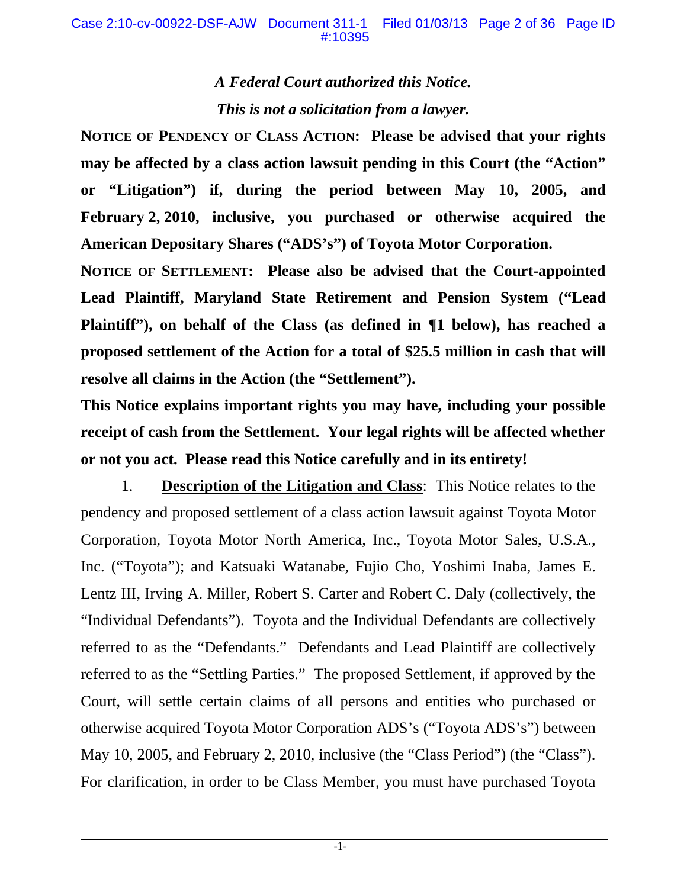# *A Federal Court authorized this Notice. This is not a solicitation from a lawyer.*

**NOTICE OF PENDENCY OF CLASS ACTION: Please be advised that your rights may be affected by a class action lawsuit pending in this Court (the "Action" or "Litigation") if, during the period between May 10, 2005, and February 2, 2010, inclusive, you purchased or otherwise acquired the American Depositary Shares ("ADS's") of Toyota Motor Corporation.** 

**NOTICE OF SETTLEMENT: Please also be advised that the Court-appointed Lead Plaintiff, Maryland State Retirement and Pension System ("Lead Plaintiff"), on behalf of the Class (as defined in ¶1 below), has reached a proposed settlement of the Action for a total of \$25.5 million in cash that will resolve all claims in the Action (the "Settlement").** 

**This Notice explains important rights you may have, including your possible receipt of cash from the Settlement. Your legal rights will be affected whether or not you act. Please read this Notice carefully and in its entirety!** 

1. **Description of the Litigation and Class**: This Notice relates to the pendency and proposed settlement of a class action lawsuit against Toyota Motor Corporation, Toyota Motor North America, Inc., Toyota Motor Sales, U.S.A., Inc. ("Toyota"); and Katsuaki Watanabe, Fujio Cho, Yoshimi Inaba, James E. Lentz III, Irving A. Miller, Robert S. Carter and Robert C. Daly (collectively, the "Individual Defendants"). Toyota and the Individual Defendants are collectively referred to as the "Defendants." Defendants and Lead Plaintiff are collectively referred to as the "Settling Parties." The proposed Settlement, if approved by the Court, will settle certain claims of all persons and entities who purchased or otherwise acquired Toyota Motor Corporation ADS's ("Toyota ADS's") between May 10, 2005, and February 2, 2010, inclusive (the "Class Period") (the "Class"). For clarification, in order to be Class Member, you must have purchased Toyota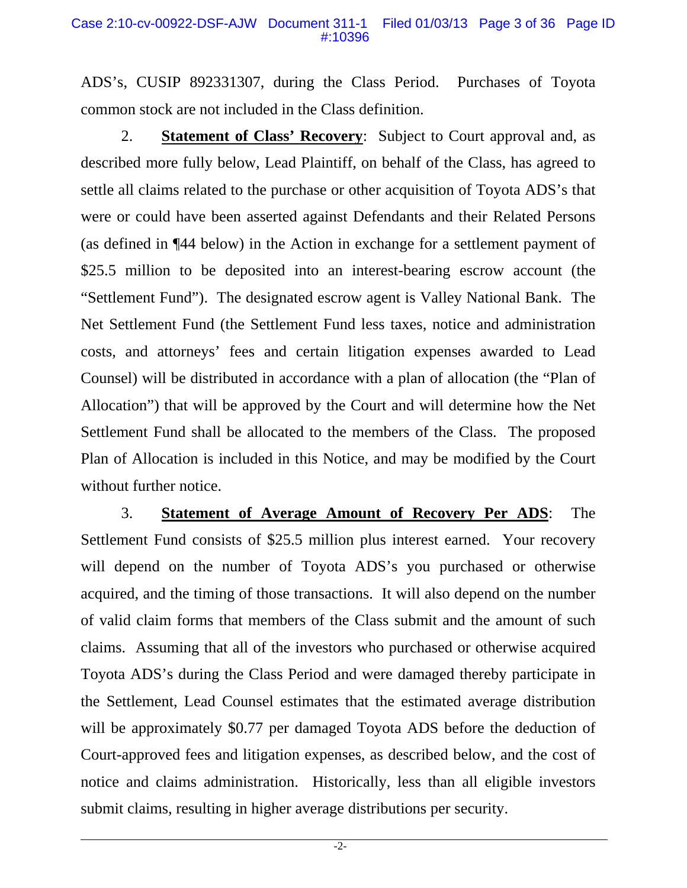ADS's, CUSIP 892331307, during the Class Period. Purchases of Toyota common stock are not included in the Class definition.

2. **Statement of Class' Recovery**: Subject to Court approval and, as described more fully below, Lead Plaintiff, on behalf of the Class, has agreed to settle all claims related to the purchase or other acquisition of Toyota ADS's that were or could have been asserted against Defendants and their Related Persons (as defined in ¶44 below) in the Action in exchange for a settlement payment of \$25.5 million to be deposited into an interest-bearing escrow account (the "Settlement Fund"). The designated escrow agent is Valley National Bank. The Net Settlement Fund (the Settlement Fund less taxes, notice and administration costs, and attorneys' fees and certain litigation expenses awarded to Lead Counsel) will be distributed in accordance with a plan of allocation (the "Plan of Allocation") that will be approved by the Court and will determine how the Net Settlement Fund shall be allocated to the members of the Class. The proposed Plan of Allocation is included in this Notice, and may be modified by the Court without further notice.

3. **Statement of Average Amount of Recovery Per ADS**: The Settlement Fund consists of \$25.5 million plus interest earned. Your recovery will depend on the number of Toyota ADS's you purchased or otherwise acquired, and the timing of those transactions. It will also depend on the number of valid claim forms that members of the Class submit and the amount of such claims. Assuming that all of the investors who purchased or otherwise acquired Toyota ADS's during the Class Period and were damaged thereby participate in the Settlement, Lead Counsel estimates that the estimated average distribution will be approximately \$0.77 per damaged Toyota ADS before the deduction of Court-approved fees and litigation expenses, as described below, and the cost of notice and claims administration. Historically, less than all eligible investors submit claims, resulting in higher average distributions per security.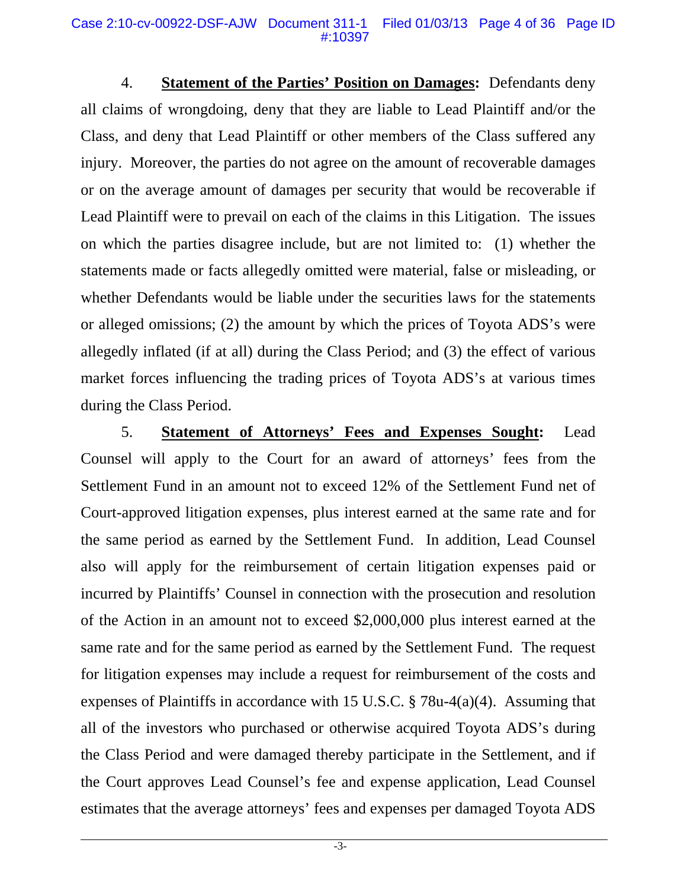4. **Statement of the Parties' Position on Damages:** Defendants deny all claims of wrongdoing, deny that they are liable to Lead Plaintiff and/or the Class, and deny that Lead Plaintiff or other members of the Class suffered any injury. Moreover, the parties do not agree on the amount of recoverable damages or on the average amount of damages per security that would be recoverable if Lead Plaintiff were to prevail on each of the claims in this Litigation. The issues on which the parties disagree include, but are not limited to: (1) whether the statements made or facts allegedly omitted were material, false or misleading, or whether Defendants would be liable under the securities laws for the statements or alleged omissions; (2) the amount by which the prices of Toyota ADS's were allegedly inflated (if at all) during the Class Period; and (3) the effect of various market forces influencing the trading prices of Toyota ADS's at various times during the Class Period.

5. **Statement of Attorneys' Fees and Expenses Sought:** Lead Counsel will apply to the Court for an award of attorneys' fees from the Settlement Fund in an amount not to exceed 12% of the Settlement Fund net of Court-approved litigation expenses, plus interest earned at the same rate and for the same period as earned by the Settlement Fund. In addition, Lead Counsel also will apply for the reimbursement of certain litigation expenses paid or incurred by Plaintiffs' Counsel in connection with the prosecution and resolution of the Action in an amount not to exceed \$2,000,000 plus interest earned at the same rate and for the same period as earned by the Settlement Fund. The request for litigation expenses may include a request for reimbursement of the costs and expenses of Plaintiffs in accordance with 15 U.S.C. § 78u-4(a)(4). Assuming that all of the investors who purchased or otherwise acquired Toyota ADS's during the Class Period and were damaged thereby participate in the Settlement, and if the Court approves Lead Counsel's fee and expense application, Lead Counsel estimates that the average attorneys' fees and expenses per damaged Toyota ADS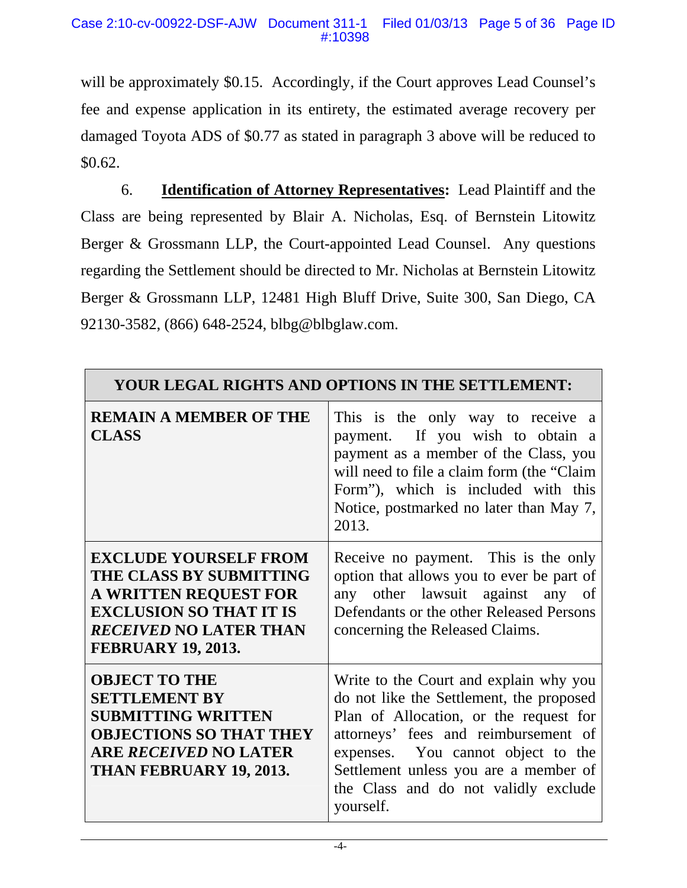will be approximately \$0.15. Accordingly, if the Court approves Lead Counsel's fee and expense application in its entirety, the estimated average recovery per damaged Toyota ADS of \$0.77 as stated in paragraph 3 above will be reduced to \$0.62.

6. **Identification of Attorney Representatives:** Lead Plaintiff and the Class are being represented by Blair A. Nicholas, Esq. of Bernstein Litowitz Berger & Grossmann LLP, the Court-appointed Lead Counsel. Any questions regarding the Settlement should be directed to Mr. Nicholas at Bernstein Litowitz Berger & Grossmann LLP, 12481 High Bluff Drive, Suite 300, San Diego, CA 92130-3582, (866) 648-2524, blbg@blbglaw.com.

| YOUR LEGAL RIGHTS AND OPTIONS IN THE SETTLEMENT:                                                                                                                                        |                                                                                                                                                                                                                                                                                                          |  |  |
|-----------------------------------------------------------------------------------------------------------------------------------------------------------------------------------------|----------------------------------------------------------------------------------------------------------------------------------------------------------------------------------------------------------------------------------------------------------------------------------------------------------|--|--|
| <b>REMAIN A MEMBER OF THE</b><br><b>CLASS</b>                                                                                                                                           | This is the only way to receive a<br>payment. If you wish to obtain a<br>payment as a member of the Class, you<br>will need to file a claim form (the "Claim"<br>Form"), which is included with this<br>Notice, postmarked no later than May 7,<br>2013.                                                 |  |  |
| <b>EXCLUDE YOURSELF FROM</b><br>THE CLASS BY SUBMITTING<br><b>A WRITTEN REQUEST FOR</b><br><b>EXCLUSION SO THAT IT IS</b><br><b>RECEIVED NO LATER THAN</b><br><b>FEBRUARY 19, 2013.</b> | Receive no payment. This is the only<br>option that allows you to ever be part of<br>any other lawsuit against any of<br>Defendants or the other Released Persons<br>concerning the Released Claims.                                                                                                     |  |  |
| <b>OBJECT TO THE</b><br><b>SETTLEMENT BY</b><br><b>SUBMITTING WRITTEN</b><br><b>OBJECTIONS SO THAT THEY</b><br><b>ARE RECEIVED NO LATER</b><br>THAN FEBRUARY 19, 2013.                  | Write to the Court and explain why you<br>do not like the Settlement, the proposed<br>Plan of Allocation, or the request for<br>attorneys' fees and reimbursement of<br>expenses. You cannot object to the<br>Settlement unless you are a member of<br>the Class and do not validly exclude<br>yourself. |  |  |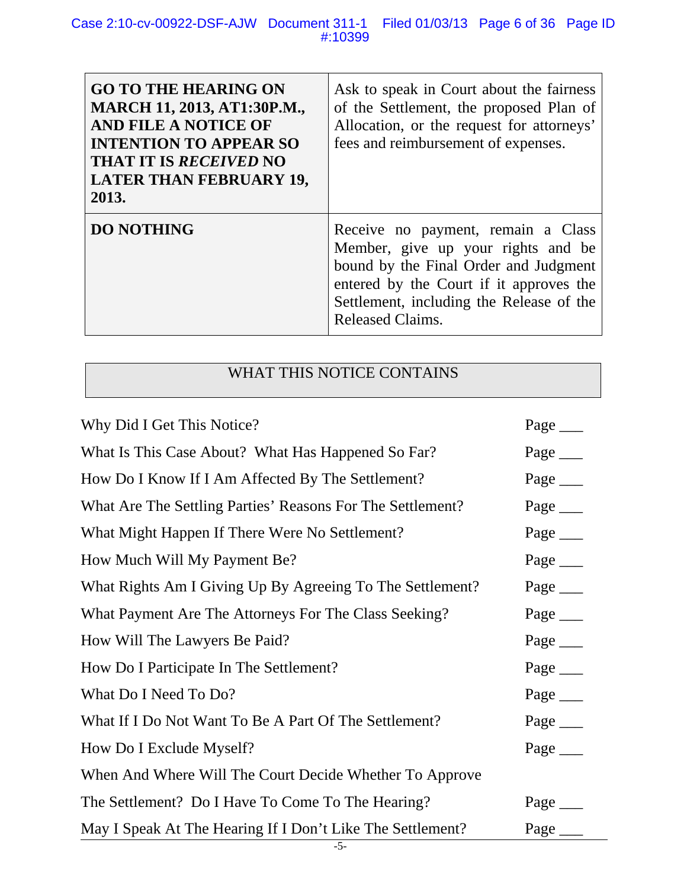#### Case 2:10-cv-00922-DSF-AJW Document 311-1 Filed 01/03/13 Page 6 of 36 Page ID #:10399

| <b>GO TO THE HEARING ON</b><br><b>MARCH 11, 2013, AT1:30P.M.,</b><br><b>AND FILE A NOTICE OF</b><br><b>INTENTION TO APPEAR SO</b><br><b>THAT IT IS RECEIVED NO</b><br><b>LATER THAN FEBRUARY 19,</b><br>2013. | Ask to speak in Court about the fairness<br>of the Settlement, the proposed Plan of<br>Allocation, or the request for attorneys'<br>fees and reimbursement of expenses.                                                             |
|---------------------------------------------------------------------------------------------------------------------------------------------------------------------------------------------------------------|-------------------------------------------------------------------------------------------------------------------------------------------------------------------------------------------------------------------------------------|
| <b>DO NOTHING</b>                                                                                                                                                                                             | Receive no payment, remain a Class<br>Member, give up your rights and be<br>bound by the Final Order and Judgment<br>entered by the Court if it approves the<br>Settlement, including the Release of the<br><b>Released Claims.</b> |

# WHAT THIS NOTICE CONTAINS

| Why Did I Get This Notice?                                 | Page $\_\_$ |
|------------------------------------------------------------|-------------|
| What Is This Case About? What Has Happened So Far?         | Page _____  |
| How Do I Know If I Am Affected By The Settlement?          | Page ______ |
| What Are The Settling Parties' Reasons For The Settlement? | Page _____  |
| What Might Happen If There Were No Settlement?             | Page $\_\_$ |
| How Much Will My Payment Be?                               | Page __     |
| What Rights Am I Giving Up By Agreeing To The Settlement?  | Page $\_\_$ |
| What Payment Are The Attorneys For The Class Seeking?      | Page ______ |
| How Will The Lawyers Be Paid?                              |             |
| How Do I Participate In The Settlement?                    | Page _____  |
| What Do I Need To Do?                                      | Page ______ |
| What If I Do Not Want To Be A Part Of The Settlement?      | Page _____  |
| How Do I Exclude Myself?                                   | Page ______ |
| When And Where Will The Court Decide Whether To Approve    |             |
| The Settlement? Do I Have To Come To The Hearing?          | Page $\_\_$ |
| May I Speak At The Hearing If I Don't Like The Settlement? | Page        |
| $-5-$                                                      |             |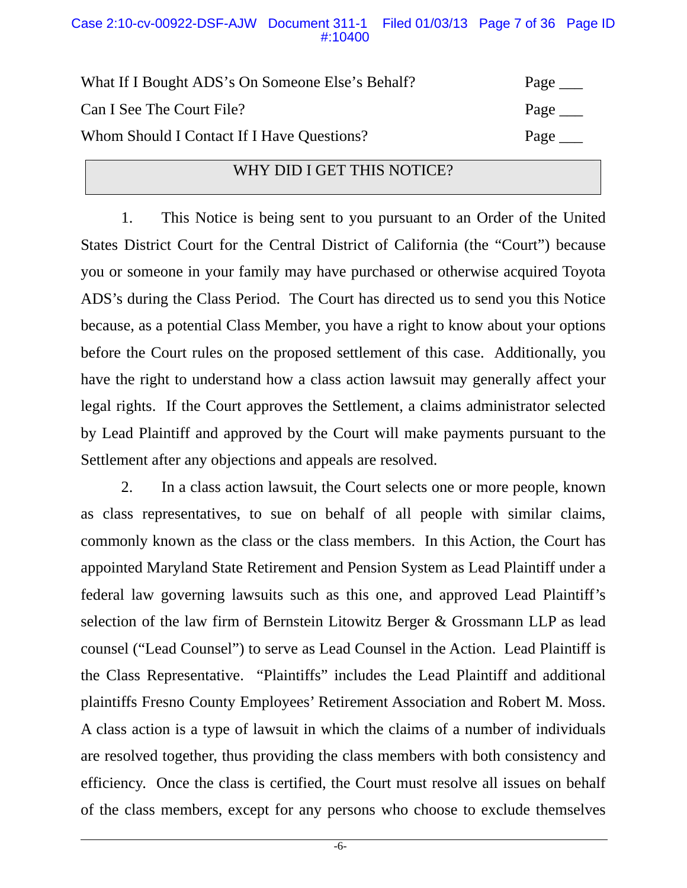#### Case 2:10-cv-00922-DSF-AJW Document 311-1 Filed 01/03/13 Page 7 of 36 Page ID #:10400

| What If I Bought ADS's On Someone Else's Behalf? | Page $\_\_$ |
|--------------------------------------------------|-------------|
| Can I See The Court File?                        | Page $\_\_$ |
| Whom Should I Contact If I Have Questions?       | Page $\_\_$ |

### WHY DID I GET THIS NOTICE?

1. This Notice is being sent to you pursuant to an Order of the United States District Court for the Central District of California (the "Court") because you or someone in your family may have purchased or otherwise acquired Toyota ADS's during the Class Period. The Court has directed us to send you this Notice because, as a potential Class Member, you have a right to know about your options before the Court rules on the proposed settlement of this case. Additionally, you have the right to understand how a class action lawsuit may generally affect your legal rights. If the Court approves the Settlement, a claims administrator selected by Lead Plaintiff and approved by the Court will make payments pursuant to the Settlement after any objections and appeals are resolved.

2. In a class action lawsuit, the Court selects one or more people, known as class representatives, to sue on behalf of all people with similar claims, commonly known as the class or the class members. In this Action, the Court has appointed Maryland State Retirement and Pension System as Lead Plaintiff under a federal law governing lawsuits such as this one, and approved Lead Plaintiff's selection of the law firm of Bernstein Litowitz Berger & Grossmann LLP as lead counsel ("Lead Counsel") to serve as Lead Counsel in the Action. Lead Plaintiff is the Class Representative. "Plaintiffs" includes the Lead Plaintiff and additional plaintiffs Fresno County Employees' Retirement Association and Robert M. Moss. A class action is a type of lawsuit in which the claims of a number of individuals are resolved together, thus providing the class members with both consistency and efficiency. Once the class is certified, the Court must resolve all issues on behalf of the class members, except for any persons who choose to exclude themselves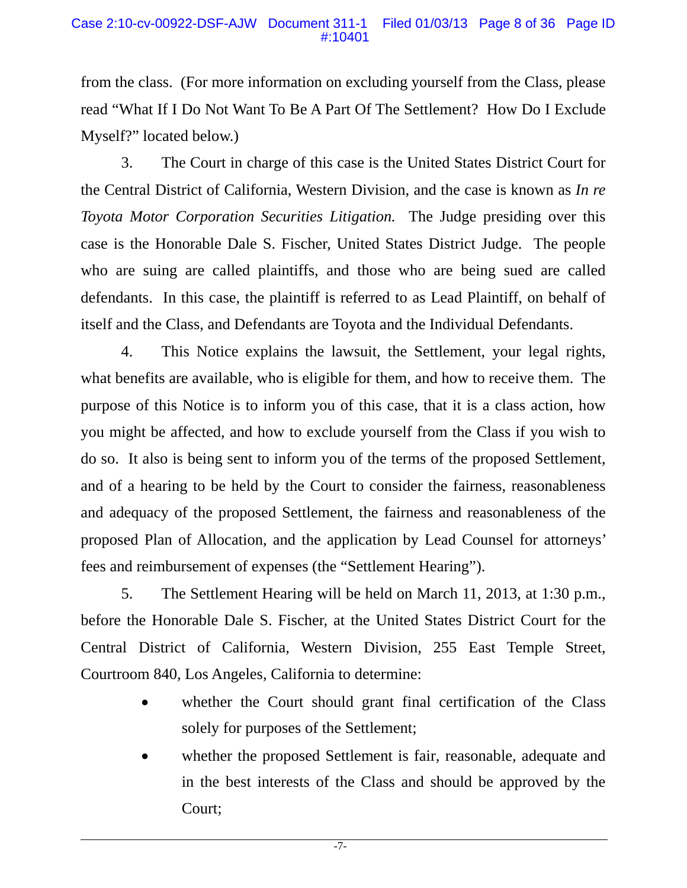from the class. (For more information on excluding yourself from the Class, please read "What If I Do Not Want To Be A Part Of The Settlement? How Do I Exclude Myself?" located below.)

3. The Court in charge of this case is the United States District Court for the Central District of California, Western Division, and the case is known as *In re Toyota Motor Corporation Securities Litigation.* The Judge presiding over this case is the Honorable Dale S. Fischer, United States District Judge. The people who are suing are called plaintiffs, and those who are being sued are called defendants. In this case, the plaintiff is referred to as Lead Plaintiff, on behalf of itself and the Class, and Defendants are Toyota and the Individual Defendants.

4. This Notice explains the lawsuit, the Settlement, your legal rights, what benefits are available, who is eligible for them, and how to receive them. The purpose of this Notice is to inform you of this case, that it is a class action, how you might be affected, and how to exclude yourself from the Class if you wish to do so. It also is being sent to inform you of the terms of the proposed Settlement, and of a hearing to be held by the Court to consider the fairness, reasonableness and adequacy of the proposed Settlement, the fairness and reasonableness of the proposed Plan of Allocation, and the application by Lead Counsel for attorneys' fees and reimbursement of expenses (the "Settlement Hearing").

5. The Settlement Hearing will be held on March 11, 2013, at 1:30 p.m., before the Honorable Dale S. Fischer, at the United States District Court for the Central District of California, Western Division, 255 East Temple Street, Courtroom 840, Los Angeles, California to determine:

- whether the Court should grant final certification of the Class solely for purposes of the Settlement;
- whether the proposed Settlement is fair, reasonable, adequate and in the best interests of the Class and should be approved by the Court;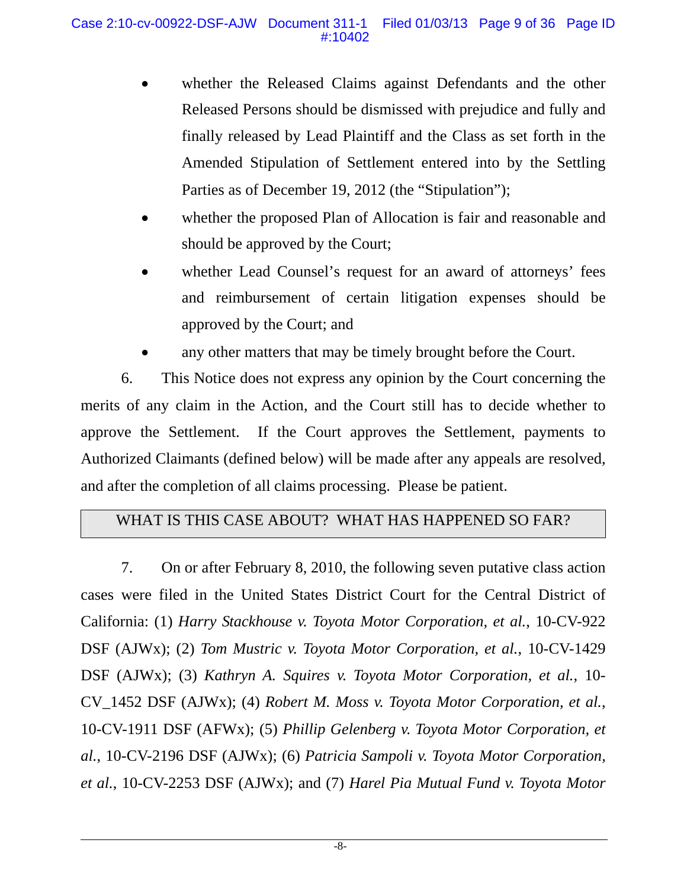- whether the Released Claims against Defendants and the other Released Persons should be dismissed with prejudice and fully and finally released by Lead Plaintiff and the Class as set forth in the Amended Stipulation of Settlement entered into by the Settling Parties as of December 19, 2012 (the "Stipulation");
- whether the proposed Plan of Allocation is fair and reasonable and should be approved by the Court;
- whether Lead Counsel's request for an award of attorneys' fees and reimbursement of certain litigation expenses should be approved by the Court; and
- any other matters that may be timely brought before the Court.

6. This Notice does not express any opinion by the Court concerning the merits of any claim in the Action, and the Court still has to decide whether to approve the Settlement. If the Court approves the Settlement, payments to Authorized Claimants (defined below) will be made after any appeals are resolved, and after the completion of all claims processing. Please be patient.

# WHAT IS THIS CASE ABOUT? WHAT HAS HAPPENED SO FAR?

7. On or after February 8, 2010, the following seven putative class action cases were filed in the United States District Court for the Central District of California: (1) *Harry Stackhouse v. Toyota Motor Corporation, et al.*, 10-CV-922 DSF (AJWx); (2) *Tom Mustric v. Toyota Motor Corporation, et al.*, 10-CV-1429 DSF (AJWx); (3) *Kathryn A. Squires v. Toyota Motor Corporation, et al.*, 10- CV\_1452 DSF (AJWx); (4) *Robert M. Moss v. Toyota Motor Corporation, et al.*, 10-CV-1911 DSF (AFWx); (5) *Phillip Gelenberg v. Toyota Motor Corporation, et al.*, 10-CV-2196 DSF (AJWx); (6) *Patricia Sampoli v. Toyota Motor Corporation, et al.*, 10-CV-2253 DSF (AJWx); and (7) *Harel Pia Mutual Fund v. Toyota Motor*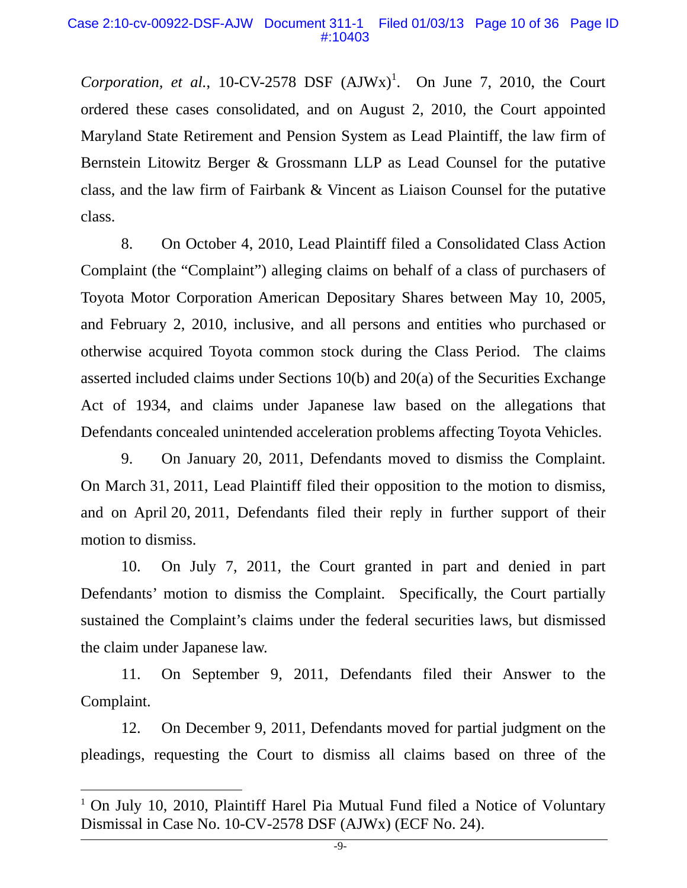*Corporation, et al., 10-CV-2578 DSF*  $(AJWx)^{1}$ . On June 7, 2010, the Court ordered these cases consolidated, and on August 2, 2010, the Court appointed Maryland State Retirement and Pension System as Lead Plaintiff, the law firm of Bernstein Litowitz Berger & Grossmann LLP as Lead Counsel for the putative class, and the law firm of Fairbank & Vincent as Liaison Counsel for the putative class.

8. On October 4, 2010, Lead Plaintiff filed a Consolidated Class Action Complaint (the "Complaint") alleging claims on behalf of a class of purchasers of Toyota Motor Corporation American Depositary Shares between May 10, 2005, and February 2, 2010, inclusive, and all persons and entities who purchased or otherwise acquired Toyota common stock during the Class Period. The claims asserted included claims under Sections 10(b) and 20(a) of the Securities Exchange Act of 1934, and claims under Japanese law based on the allegations that Defendants concealed unintended acceleration problems affecting Toyota Vehicles.

9. On January 20, 2011, Defendants moved to dismiss the Complaint. On March 31, 2011, Lead Plaintiff filed their opposition to the motion to dismiss, and on April 20, 2011, Defendants filed their reply in further support of their motion to dismiss.

10. On July 7, 2011, the Court granted in part and denied in part Defendants' motion to dismiss the Complaint. Specifically, the Court partially sustained the Complaint's claims under the federal securities laws, but dismissed the claim under Japanese law.

11. On September 9, 2011, Defendants filed their Answer to the Complaint.

12. On December 9, 2011, Defendants moved for partial judgment on the pleadings, requesting the Court to dismiss all claims based on three of the

 $\overline{a}$ 

<sup>&</sup>lt;sup>1</sup> On July 10, 2010, Plaintiff Harel Pia Mutual Fund filed a Notice of Voluntary Dismissal in Case No. 10-CV-2578 DSF (AJWx) (ECF No. 24).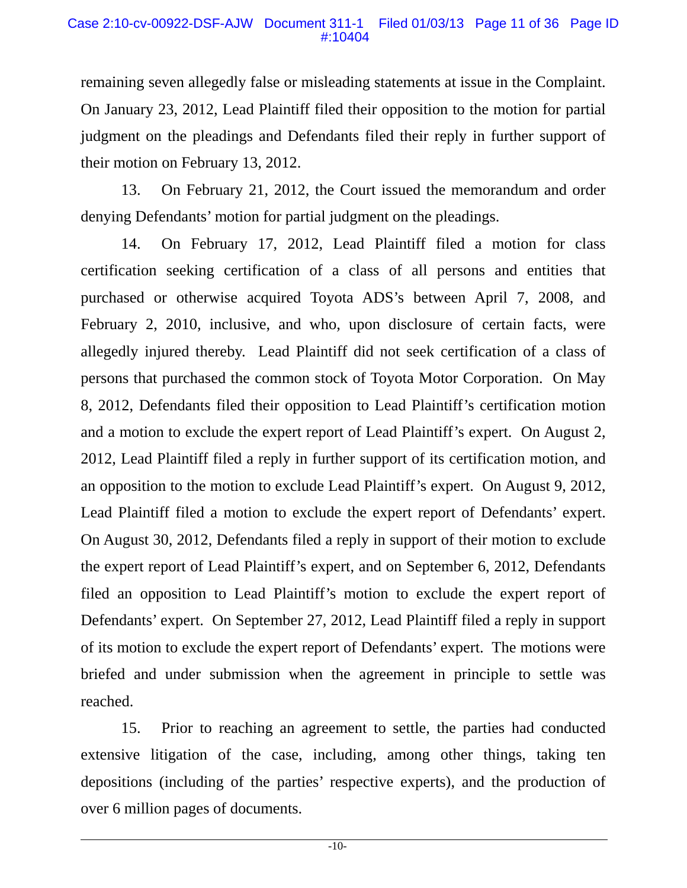remaining seven allegedly false or misleading statements at issue in the Complaint. On January 23, 2012, Lead Plaintiff filed their opposition to the motion for partial judgment on the pleadings and Defendants filed their reply in further support of their motion on February 13, 2012.

13. On February 21, 2012, the Court issued the memorandum and order denying Defendants' motion for partial judgment on the pleadings.

14. On February 17, 2012, Lead Plaintiff filed a motion for class certification seeking certification of a class of all persons and entities that purchased or otherwise acquired Toyota ADS's between April 7, 2008, and February 2, 2010, inclusive, and who, upon disclosure of certain facts, were allegedly injured thereby. Lead Plaintiff did not seek certification of a class of persons that purchased the common stock of Toyota Motor Corporation. On May 8, 2012, Defendants filed their opposition to Lead Plaintiff's certification motion and a motion to exclude the expert report of Lead Plaintiff's expert. On August 2, 2012, Lead Plaintiff filed a reply in further support of its certification motion, and an opposition to the motion to exclude Lead Plaintiff's expert. On August 9, 2012, Lead Plaintiff filed a motion to exclude the expert report of Defendants' expert. On August 30, 2012, Defendants filed a reply in support of their motion to exclude the expert report of Lead Plaintiff's expert, and on September 6, 2012, Defendants filed an opposition to Lead Plaintiff's motion to exclude the expert report of Defendants' expert. On September 27, 2012, Lead Plaintiff filed a reply in support of its motion to exclude the expert report of Defendants' expert. The motions were briefed and under submission when the agreement in principle to settle was reached.

15. Prior to reaching an agreement to settle, the parties had conducted extensive litigation of the case, including, among other things, taking ten depositions (including of the parties' respective experts), and the production of over 6 million pages of documents.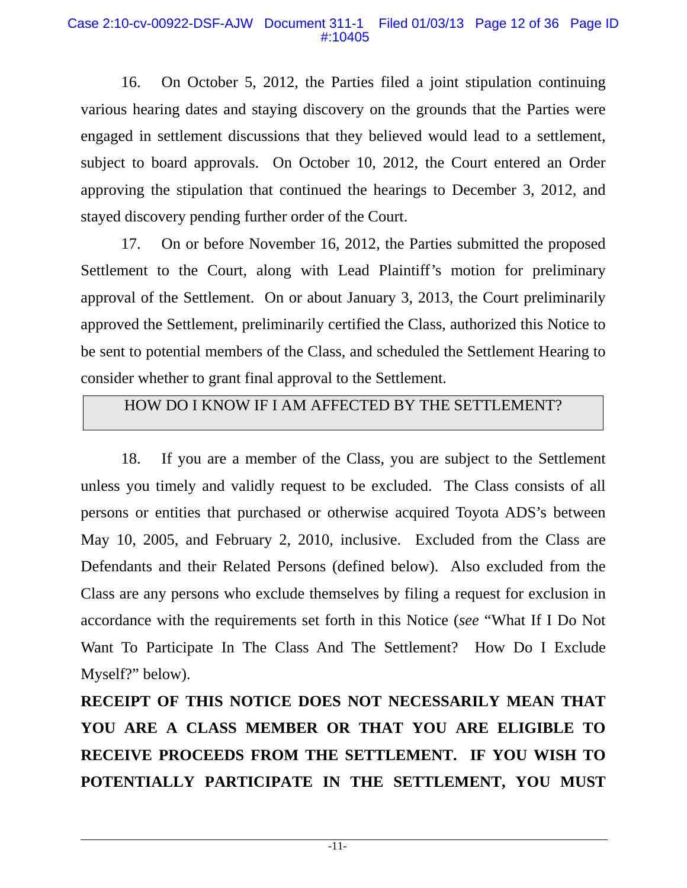#### Case 2:10-cv-00922-DSF-AJW Document 311-1 Filed 01/03/13 Page 12 of 36 Page ID #:10405

16. On October 5, 2012, the Parties filed a joint stipulation continuing various hearing dates and staying discovery on the grounds that the Parties were engaged in settlement discussions that they believed would lead to a settlement, subject to board approvals. On October 10, 2012, the Court entered an Order approving the stipulation that continued the hearings to December 3, 2012, and stayed discovery pending further order of the Court.

17. On or before November 16, 2012, the Parties submitted the proposed Settlement to the Court, along with Lead Plaintiff's motion for preliminary approval of the Settlement. On or about January 3, 2013, the Court preliminarily approved the Settlement, preliminarily certified the Class, authorized this Notice to be sent to potential members of the Class, and scheduled the Settlement Hearing to consider whether to grant final approval to the Settlement.

# HOW DO I KNOW IF I AM AFFECTED BY THE SETTLEMENT?

18. If you are a member of the Class, you are subject to the Settlement unless you timely and validly request to be excluded. The Class consists of all persons or entities that purchased or otherwise acquired Toyota ADS's between May 10, 2005, and February 2, 2010, inclusive. Excluded from the Class are Defendants and their Related Persons (defined below). Also excluded from the Class are any persons who exclude themselves by filing a request for exclusion in accordance with the requirements set forth in this Notice (*see* "What If I Do Not Want To Participate In The Class And The Settlement? How Do I Exclude Myself?" below).

**RECEIPT OF THIS NOTICE DOES NOT NECESSARILY MEAN THAT YOU ARE A CLASS MEMBER OR THAT YOU ARE ELIGIBLE TO RECEIVE PROCEEDS FROM THE SETTLEMENT. IF YOU WISH TO POTENTIALLY PARTICIPATE IN THE SETTLEMENT, YOU MUST**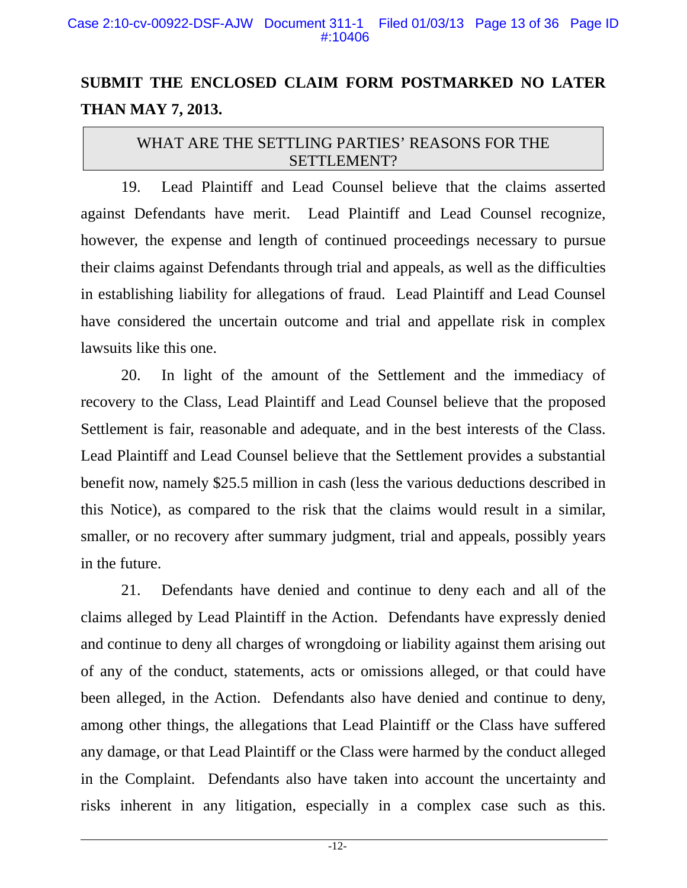# **SUBMIT THE ENCLOSED CLAIM FORM POSTMARKED NO LATER THAN MAY 7, 2013.**

# WHAT ARE THE SETTLING PARTIES' REASONS FOR THE SETTLEMENT?

19. Lead Plaintiff and Lead Counsel believe that the claims asserted against Defendants have merit. Lead Plaintiff and Lead Counsel recognize, however, the expense and length of continued proceedings necessary to pursue their claims against Defendants through trial and appeals, as well as the difficulties in establishing liability for allegations of fraud. Lead Plaintiff and Lead Counsel have considered the uncertain outcome and trial and appellate risk in complex lawsuits like this one.

20. In light of the amount of the Settlement and the immediacy of recovery to the Class, Lead Plaintiff and Lead Counsel believe that the proposed Settlement is fair, reasonable and adequate, and in the best interests of the Class. Lead Plaintiff and Lead Counsel believe that the Settlement provides a substantial benefit now, namely \$25.5 million in cash (less the various deductions described in this Notice), as compared to the risk that the claims would result in a similar, smaller, or no recovery after summary judgment, trial and appeals, possibly years in the future.

21. Defendants have denied and continue to deny each and all of the claims alleged by Lead Plaintiff in the Action. Defendants have expressly denied and continue to deny all charges of wrongdoing or liability against them arising out of any of the conduct, statements, acts or omissions alleged, or that could have been alleged, in the Action. Defendants also have denied and continue to deny, among other things, the allegations that Lead Plaintiff or the Class have suffered any damage, or that Lead Plaintiff or the Class were harmed by the conduct alleged in the Complaint. Defendants also have taken into account the uncertainty and risks inherent in any litigation, especially in a complex case such as this.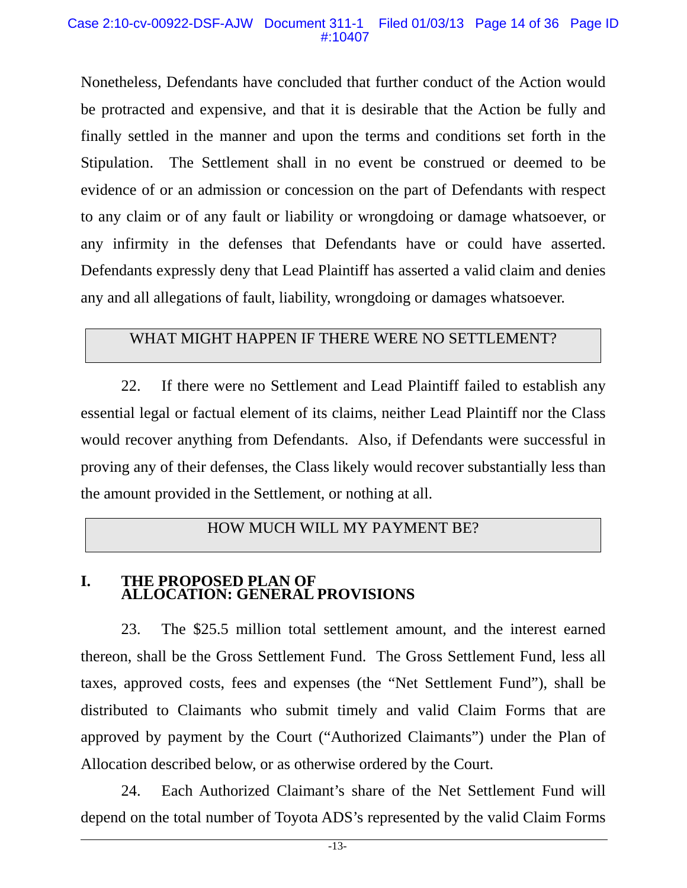#### Case 2:10-cv-00922-DSF-AJW Document 311-1 Filed 01/03/13 Page 14 of 36 Page ID #:10407

Nonetheless, Defendants have concluded that further conduct of the Action would be protracted and expensive, and that it is desirable that the Action be fully and finally settled in the manner and upon the terms and conditions set forth in the Stipulation. The Settlement shall in no event be construed or deemed to be evidence of or an admission or concession on the part of Defendants with respect to any claim or of any fault or liability or wrongdoing or damage whatsoever, or any infirmity in the defenses that Defendants have or could have asserted. Defendants expressly deny that Lead Plaintiff has asserted a valid claim and denies any and all allegations of fault, liability, wrongdoing or damages whatsoever.

# WHAT MIGHT HAPPEN IF THERE WERE NO SETTLEMENT?

22. If there were no Settlement and Lead Plaintiff failed to establish any essential legal or factual element of its claims, neither Lead Plaintiff nor the Class would recover anything from Defendants. Also, if Defendants were successful in proving any of their defenses, the Class likely would recover substantially less than the amount provided in the Settlement, or nothing at all.

# HOW MUCH WILL MY PAYMENT BE?

### **I. THE PROPOSED PLAN OF ALLOCATION: GENERAL PROVISIONS**

23. The \$25.5 million total settlement amount, and the interest earned thereon, shall be the Gross Settlement Fund. The Gross Settlement Fund, less all taxes, approved costs, fees and expenses (the "Net Settlement Fund"), shall be distributed to Claimants who submit timely and valid Claim Forms that are approved by payment by the Court ("Authorized Claimants") under the Plan of Allocation described below, or as otherwise ordered by the Court.

24. Each Authorized Claimant's share of the Net Settlement Fund will depend on the total number of Toyota ADS's represented by the valid Claim Forms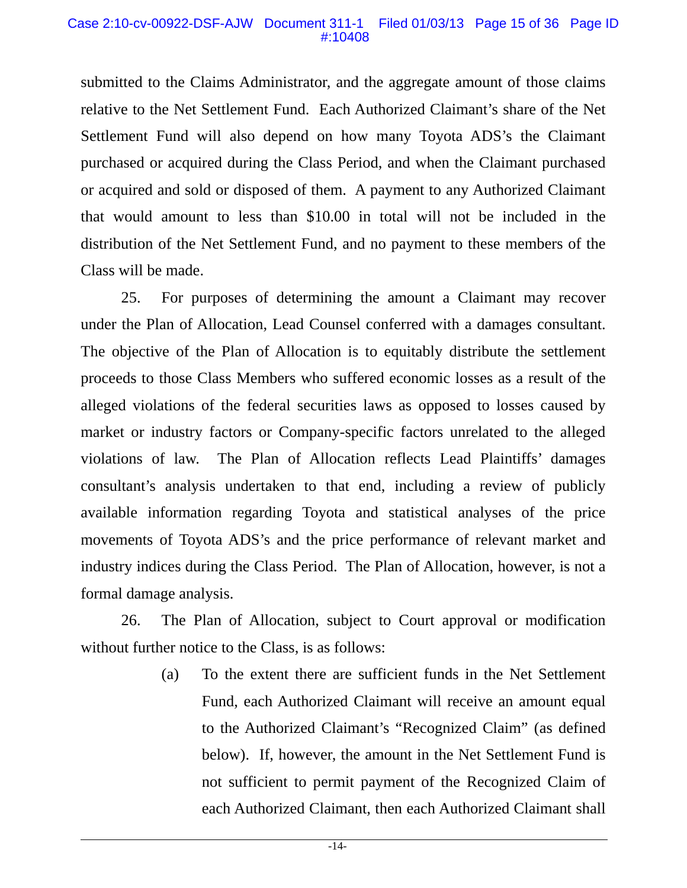#### Case 2:10-cv-00922-DSF-AJW Document 311-1 Filed 01/03/13 Page 15 of 36 Page ID #:10408

submitted to the Claims Administrator, and the aggregate amount of those claims relative to the Net Settlement Fund. Each Authorized Claimant's share of the Net Settlement Fund will also depend on how many Toyota ADS's the Claimant purchased or acquired during the Class Period, and when the Claimant purchased or acquired and sold or disposed of them. A payment to any Authorized Claimant that would amount to less than \$10.00 in total will not be included in the distribution of the Net Settlement Fund, and no payment to these members of the Class will be made.

25. For purposes of determining the amount a Claimant may recover under the Plan of Allocation, Lead Counsel conferred with a damages consultant. The objective of the Plan of Allocation is to equitably distribute the settlement proceeds to those Class Members who suffered economic losses as a result of the alleged violations of the federal securities laws as opposed to losses caused by market or industry factors or Company-specific factors unrelated to the alleged violations of law. The Plan of Allocation reflects Lead Plaintiffs' damages consultant's analysis undertaken to that end, including a review of publicly available information regarding Toyota and statistical analyses of the price movements of Toyota ADS's and the price performance of relevant market and industry indices during the Class Period. The Plan of Allocation, however, is not a formal damage analysis.

26. The Plan of Allocation, subject to Court approval or modification without further notice to the Class, is as follows:

> (a) To the extent there are sufficient funds in the Net Settlement Fund, each Authorized Claimant will receive an amount equal to the Authorized Claimant's "Recognized Claim" (as defined below). If, however, the amount in the Net Settlement Fund is not sufficient to permit payment of the Recognized Claim of each Authorized Claimant, then each Authorized Claimant shall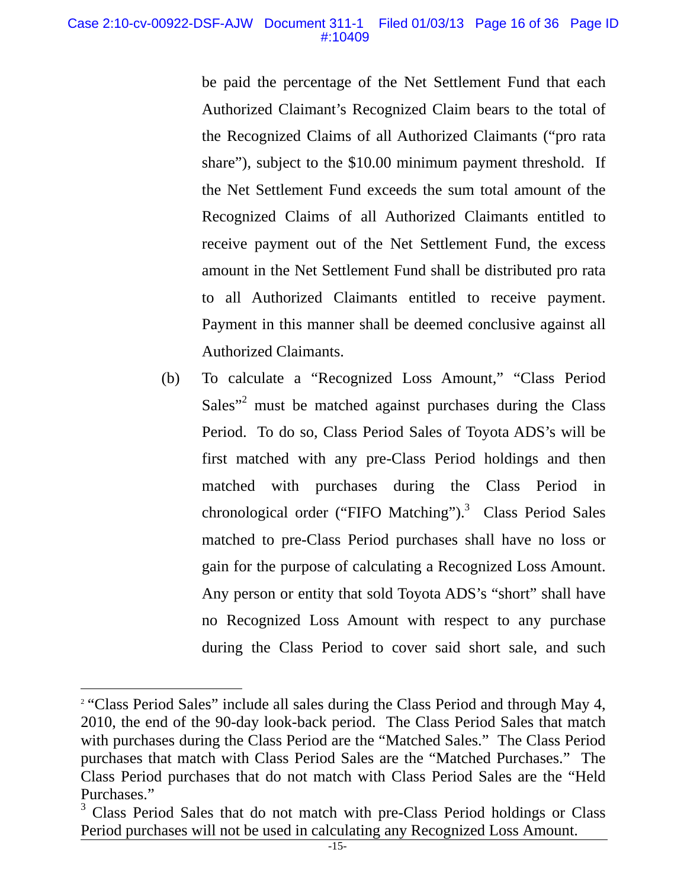be paid the percentage of the Net Settlement Fund that each Authorized Claimant's Recognized Claim bears to the total of the Recognized Claims of all Authorized Claimants ("pro rata share"), subject to the \$10.00 minimum payment threshold. If the Net Settlement Fund exceeds the sum total amount of the Recognized Claims of all Authorized Claimants entitled to receive payment out of the Net Settlement Fund, the excess amount in the Net Settlement Fund shall be distributed pro rata to all Authorized Claimants entitled to receive payment. Payment in this manner shall be deemed conclusive against all Authorized Claimants.

(b) To calculate a "Recognized Loss Amount," "Class Period Sales"<sup>2</sup> must be matched against purchases during the Class Period. To do so, Class Period Sales of Toyota ADS's will be first matched with any pre-Class Period holdings and then matched with purchases during the Class Period in chronological order ("FIFO Matching").<sup>3</sup> Class Period Sales matched to pre-Class Period purchases shall have no loss or gain for the purpose of calculating a Recognized Loss Amount. Any person or entity that sold Toyota ADS's "short" shall have no Recognized Loss Amount with respect to any purchase during the Class Period to cover said short sale, and such

 $\overline{a}$ 

<sup>&</sup>lt;sup>2</sup> "Class Period Sales" include all sales during the Class Period and through May 4, 2010, the end of the 90-day look-back period. The Class Period Sales that match with purchases during the Class Period are the "Matched Sales." The Class Period purchases that match with Class Period Sales are the "Matched Purchases." The Class Period purchases that do not match with Class Period Sales are the "Held Purchases."

<sup>&</sup>lt;sup>3</sup> Class Period Sales that do not match with pre-Class Period holdings or Class Period purchases will not be used in calculating any Recognized Loss Amount.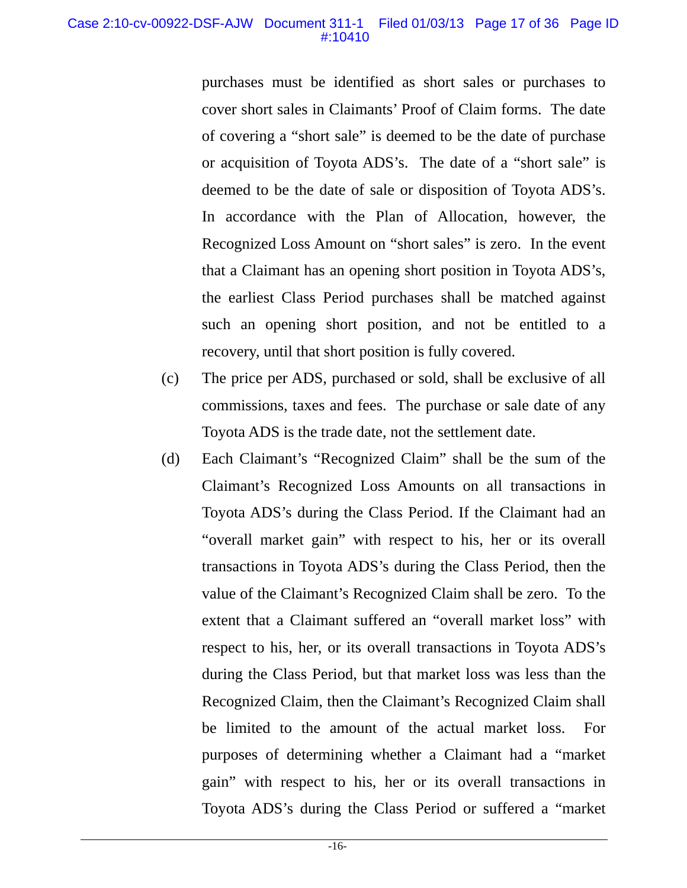purchases must be identified as short sales or purchases to cover short sales in Claimants' Proof of Claim forms. The date of covering a "short sale" is deemed to be the date of purchase or acquisition of Toyota ADS's. The date of a "short sale" is deemed to be the date of sale or disposition of Toyota ADS's. In accordance with the Plan of Allocation, however, the Recognized Loss Amount on "short sales" is zero. In the event that a Claimant has an opening short position in Toyota ADS's, the earliest Class Period purchases shall be matched against such an opening short position, and not be entitled to a recovery, until that short position is fully covered.

- (c) The price per ADS, purchased or sold, shall be exclusive of all commissions, taxes and fees. The purchase or sale date of any Toyota ADS is the trade date, not the settlement date.
- (d) Each Claimant's "Recognized Claim" shall be the sum of the Claimant's Recognized Loss Amounts on all transactions in Toyota ADS's during the Class Period. If the Claimant had an "overall market gain" with respect to his, her or its overall transactions in Toyota ADS's during the Class Period, then the value of the Claimant's Recognized Claim shall be zero. To the extent that a Claimant suffered an "overall market loss" with respect to his, her, or its overall transactions in Toyota ADS's during the Class Period, but that market loss was less than the Recognized Claim, then the Claimant's Recognized Claim shall be limited to the amount of the actual market loss. For purposes of determining whether a Claimant had a "market gain" with respect to his, her or its overall transactions in Toyota ADS's during the Class Period or suffered a "market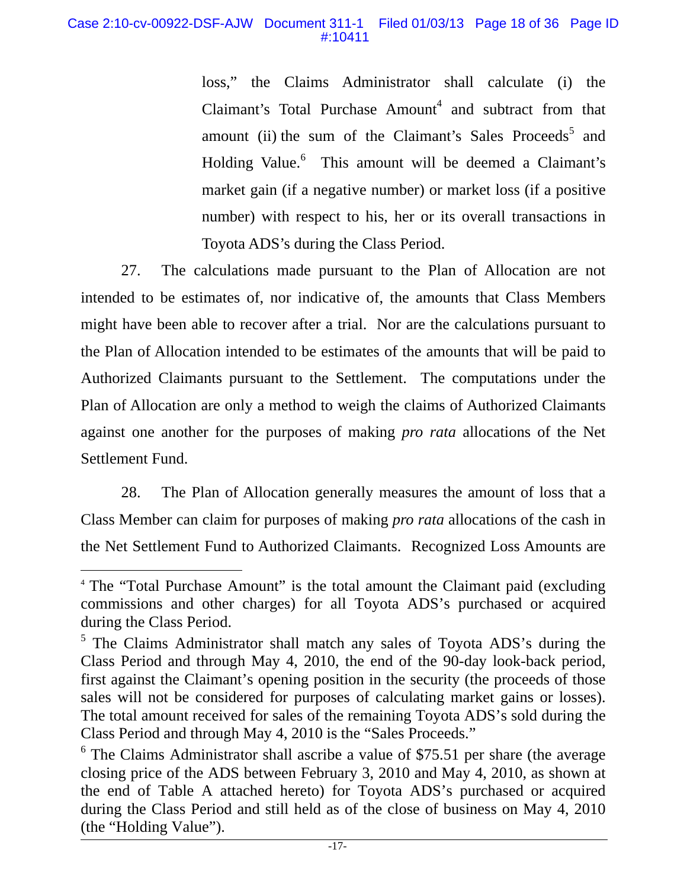loss," the Claims Administrator shall calculate (i) the Claimant's Total Purchase  $A$ mount<sup>4</sup> and subtract from that amount (ii) the sum of the Claimant's Sales Proceeds<sup>5</sup> and Holding Value.<sup>6</sup> This amount will be deemed a Claimant's market gain (if a negative number) or market loss (if a positive number) with respect to his, her or its overall transactions in Toyota ADS's during the Class Period.

27. The calculations made pursuant to the Plan of Allocation are not intended to be estimates of, nor indicative of, the amounts that Class Members might have been able to recover after a trial. Nor are the calculations pursuant to the Plan of Allocation intended to be estimates of the amounts that will be paid to Authorized Claimants pursuant to the Settlement. The computations under the Plan of Allocation are only a method to weigh the claims of Authorized Claimants against one another for the purposes of making *pro rata* allocations of the Net Settlement Fund.

28. The Plan of Allocation generally measures the amount of loss that a Class Member can claim for purposes of making *pro rata* allocations of the cash in the Net Settlement Fund to Authorized Claimants. Recognized Loss Amounts are

 $\overline{a}$ 

<sup>4</sup> The "Total Purchase Amount" is the total amount the Claimant paid (excluding commissions and other charges) for all Toyota ADS's purchased or acquired during the Class Period.

<sup>&</sup>lt;sup>5</sup> The Claims Administrator shall match any sales of Toyota ADS's during the Class Period and through May 4, 2010, the end of the 90-day look-back period, first against the Claimant's opening position in the security (the proceeds of those sales will not be considered for purposes of calculating market gains or losses). The total amount received for sales of the remaining Toyota ADS's sold during the Class Period and through May 4, 2010 is the "Sales Proceeds."

 $6$  The Claims Administrator shall ascribe a value of \$75.51 per share (the average closing price of the ADS between February 3, 2010 and May 4, 2010, as shown at the end of Table A attached hereto) for Toyota ADS's purchased or acquired during the Class Period and still held as of the close of business on May 4, 2010 (the "Holding Value").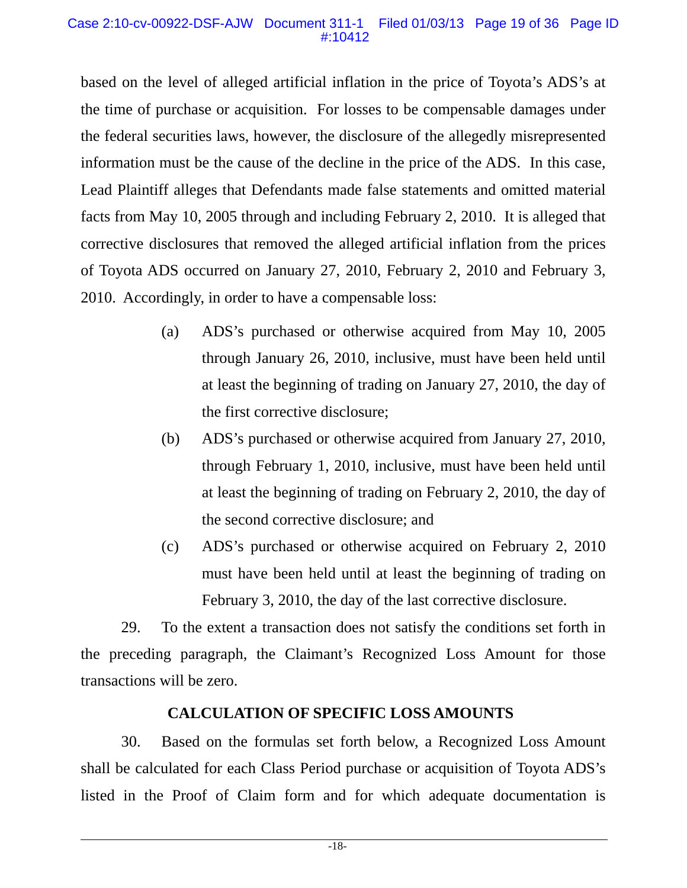#### Case 2:10-cv-00922-DSF-AJW Document 311-1 Filed 01/03/13 Page 19 of 36 Page ID #:10412

based on the level of alleged artificial inflation in the price of Toyota's ADS's at the time of purchase or acquisition. For losses to be compensable damages under the federal securities laws, however, the disclosure of the allegedly misrepresented information must be the cause of the decline in the price of the ADS. In this case, Lead Plaintiff alleges that Defendants made false statements and omitted material facts from May 10, 2005 through and including February 2, 2010. It is alleged that corrective disclosures that removed the alleged artificial inflation from the prices of Toyota ADS occurred on January 27, 2010, February 2, 2010 and February 3, 2010. Accordingly, in order to have a compensable loss:

- (a) ADS's purchased or otherwise acquired from May 10, 2005 through January 26, 2010, inclusive, must have been held until at least the beginning of trading on January 27, 2010, the day of the first corrective disclosure;
- (b) ADS's purchased or otherwise acquired from January 27, 2010, through February 1, 2010, inclusive, must have been held until at least the beginning of trading on February 2, 2010, the day of the second corrective disclosure; and
- (c) ADS's purchased or otherwise acquired on February 2, 2010 must have been held until at least the beginning of trading on February 3, 2010, the day of the last corrective disclosure.

29. To the extent a transaction does not satisfy the conditions set forth in the preceding paragraph, the Claimant's Recognized Loss Amount for those transactions will be zero.

# **CALCULATION OF SPECIFIC LOSS AMOUNTS**

30. Based on the formulas set forth below, a Recognized Loss Amount shall be calculated for each Class Period purchase or acquisition of Toyota ADS's listed in the Proof of Claim form and for which adequate documentation is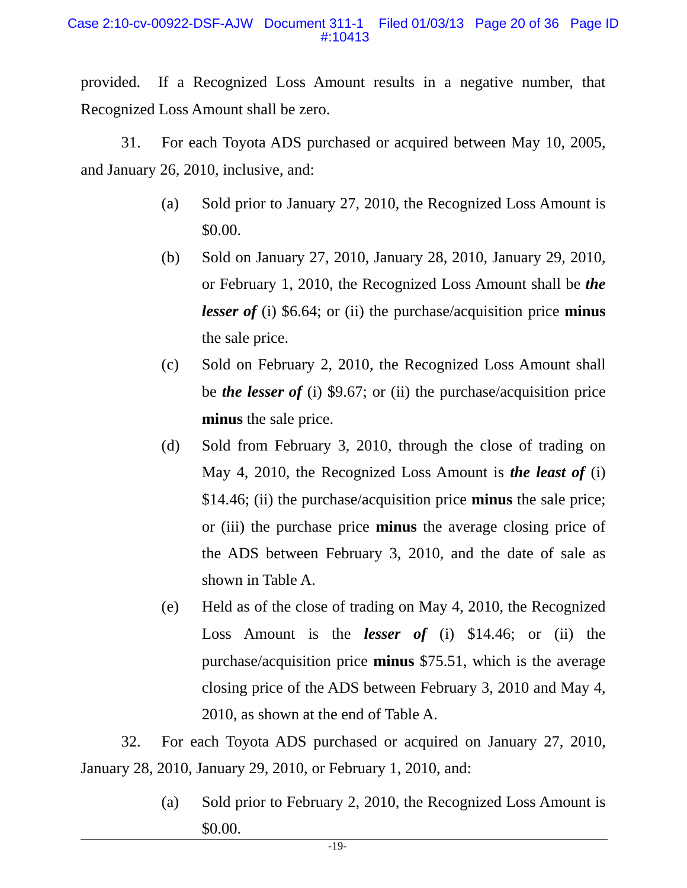provided. If a Recognized Loss Amount results in a negative number, that Recognized Loss Amount shall be zero.

31. For each Toyota ADS purchased or acquired between May 10, 2005, and January 26, 2010, inclusive, and:

- (a) Sold prior to January 27, 2010, the Recognized Loss Amount is \$0.00.
- (b) Sold on January 27, 2010, January 28, 2010, January 29, 2010, or February 1, 2010, the Recognized Loss Amount shall be *the lesser of* (i) \$6.64; or (ii) the purchase/acquisition price **minus** the sale price.
- (c) Sold on February 2, 2010, the Recognized Loss Amount shall be *the lesser of* (i) \$9.67; or (ii) the purchase/acquisition price **minus** the sale price.
- (d) Sold from February 3, 2010, through the close of trading on May 4, 2010, the Recognized Loss Amount is *the least of* (i) \$14.46; (ii) the purchase/acquisition price **minus** the sale price; or (iii) the purchase price **minus** the average closing price of the ADS between February 3, 2010, and the date of sale as shown in Table A.
- (e) Held as of the close of trading on May 4, 2010, the Recognized Loss Amount is the *lesser of* (i) \$14.46; or (ii) the purchase/acquisition price **minus** \$75.51, which is the average closing price of the ADS between February 3, 2010 and May 4, 2010, as shown at the end of Table A.

32. For each Toyota ADS purchased or acquired on January 27, 2010, January 28, 2010, January 29, 2010, or February 1, 2010, and:

> (a) Sold prior to February 2, 2010, the Recognized Loss Amount is \$0.00.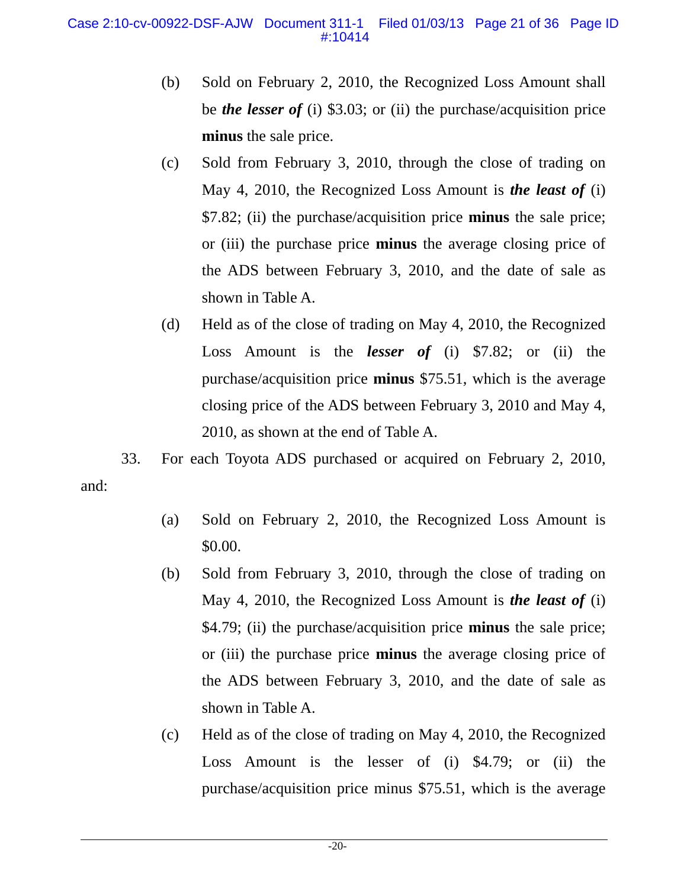- (b) Sold on February 2, 2010, the Recognized Loss Amount shall be *the lesser of* (i) \$3.03; or (ii) the purchase/acquisition price **minus** the sale price.
- (c) Sold from February 3, 2010, through the close of trading on May 4, 2010, the Recognized Loss Amount is *the least of* (i) \$7.82; (ii) the purchase/acquisition price **minus** the sale price; or (iii) the purchase price **minus** the average closing price of the ADS between February 3, 2010, and the date of sale as shown in Table A.
- (d) Held as of the close of trading on May 4, 2010, the Recognized Loss Amount is the *lesser of* (i) \$7.82; or (ii) the purchase/acquisition price **minus** \$75.51, which is the average closing price of the ADS between February 3, 2010 and May 4, 2010, as shown at the end of Table A.

33. For each Toyota ADS purchased or acquired on February 2, 2010, and:

- (a) Sold on February 2, 2010, the Recognized Loss Amount is \$0.00.
- (b) Sold from February 3, 2010, through the close of trading on May 4, 2010, the Recognized Loss Amount is *the least of* (i) \$4.79; (ii) the purchase/acquisition price **minus** the sale price; or (iii) the purchase price **minus** the average closing price of the ADS between February 3, 2010, and the date of sale as shown in Table A.
- (c) Held as of the close of trading on May 4, 2010, the Recognized Loss Amount is the lesser of (i) \$4.79; or (ii) the purchase/acquisition price minus \$75.51, which is the average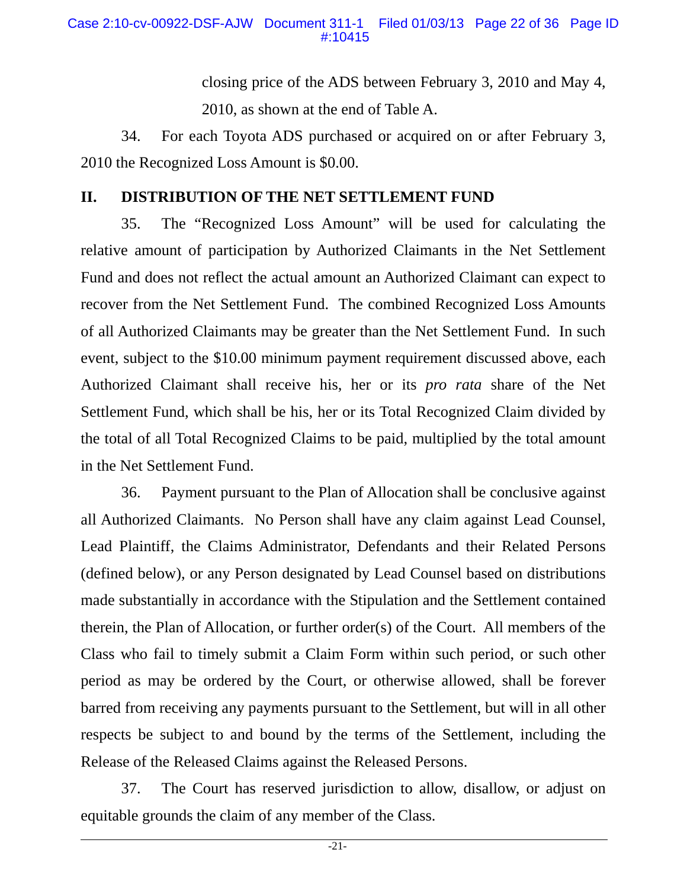closing price of the ADS between February 3, 2010 and May 4, 2010, as shown at the end of Table A.

34. For each Toyota ADS purchased or acquired on or after February 3, 2010 the Recognized Loss Amount is \$0.00.

# **II. DISTRIBUTION OF THE NET SETTLEMENT FUND**

35. The "Recognized Loss Amount" will be used for calculating the relative amount of participation by Authorized Claimants in the Net Settlement Fund and does not reflect the actual amount an Authorized Claimant can expect to recover from the Net Settlement Fund. The combined Recognized Loss Amounts of all Authorized Claimants may be greater than the Net Settlement Fund. In such event, subject to the \$10.00 minimum payment requirement discussed above, each Authorized Claimant shall receive his, her or its *pro rata* share of the Net Settlement Fund, which shall be his, her or its Total Recognized Claim divided by the total of all Total Recognized Claims to be paid, multiplied by the total amount in the Net Settlement Fund.

36. Payment pursuant to the Plan of Allocation shall be conclusive against all Authorized Claimants. No Person shall have any claim against Lead Counsel, Lead Plaintiff, the Claims Administrator, Defendants and their Related Persons (defined below), or any Person designated by Lead Counsel based on distributions made substantially in accordance with the Stipulation and the Settlement contained therein, the Plan of Allocation, or further order(s) of the Court. All members of the Class who fail to timely submit a Claim Form within such period, or such other period as may be ordered by the Court, or otherwise allowed, shall be forever barred from receiving any payments pursuant to the Settlement, but will in all other respects be subject to and bound by the terms of the Settlement, including the Release of the Released Claims against the Released Persons.

37. The Court has reserved jurisdiction to allow, disallow, or adjust on equitable grounds the claim of any member of the Class.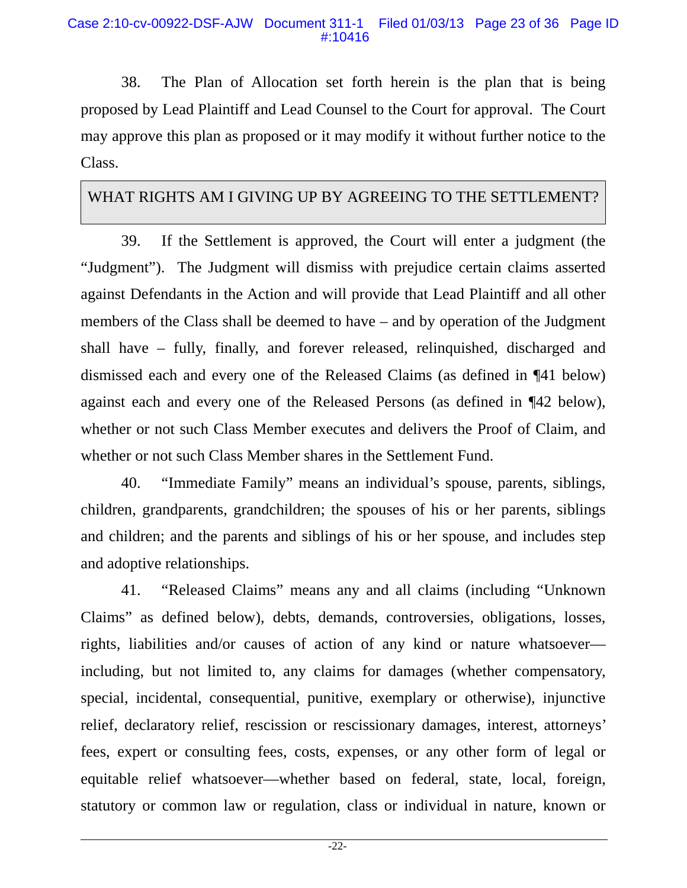38. The Plan of Allocation set forth herein is the plan that is being proposed by Lead Plaintiff and Lead Counsel to the Court for approval. The Court may approve this plan as proposed or it may modify it without further notice to the Class.

# WHAT RIGHTS AM I GIVING UP BY AGREEING TO THE SETTLEMENT?

39. If the Settlement is approved, the Court will enter a judgment (the "Judgment"). The Judgment will dismiss with prejudice certain claims asserted against Defendants in the Action and will provide that Lead Plaintiff and all other members of the Class shall be deemed to have – and by operation of the Judgment shall have – fully, finally, and forever released, relinquished, discharged and dismissed each and every one of the Released Claims (as defined in ¶41 below) against each and every one of the Released Persons (as defined in ¶42 below), whether or not such Class Member executes and delivers the Proof of Claim, and whether or not such Class Member shares in the Settlement Fund.

40. "Immediate Family" means an individual's spouse, parents, siblings, children, grandparents, grandchildren; the spouses of his or her parents, siblings and children; and the parents and siblings of his or her spouse, and includes step and adoptive relationships.

41. "Released Claims" means any and all claims (including "Unknown Claims" as defined below), debts, demands, controversies, obligations, losses, rights, liabilities and/or causes of action of any kind or nature whatsoever including, but not limited to, any claims for damages (whether compensatory, special, incidental, consequential, punitive, exemplary or otherwise), injunctive relief, declaratory relief, rescission or rescissionary damages, interest, attorneys' fees, expert or consulting fees, costs, expenses, or any other form of legal or equitable relief whatsoever—whether based on federal, state, local, foreign, statutory or common law or regulation, class or individual in nature, known or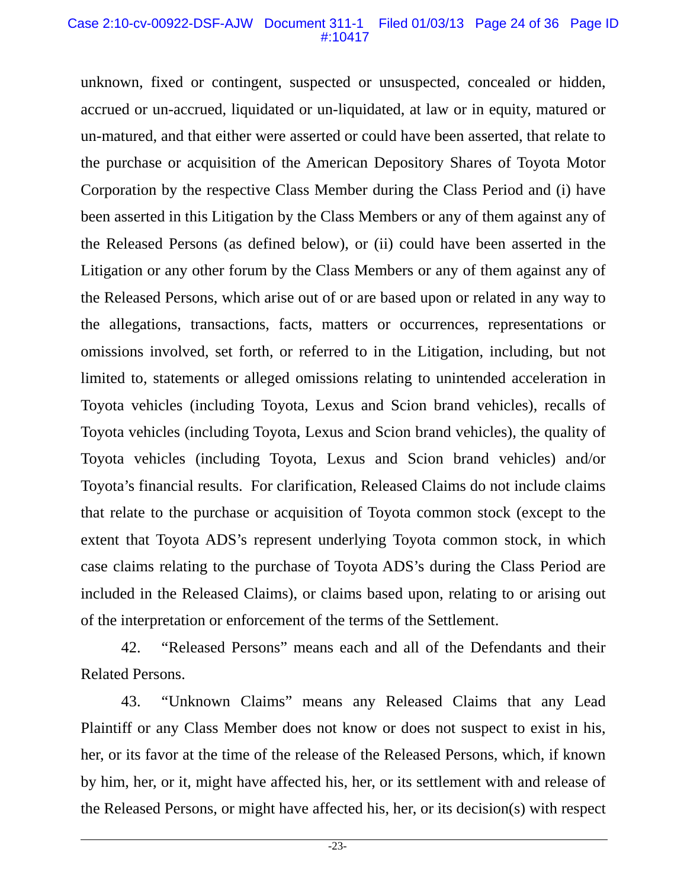#### Case 2:10-cv-00922-DSF-AJW Document 311-1 Filed 01/03/13 Page 24 of 36 Page ID #:10417

unknown, fixed or contingent, suspected or unsuspected, concealed or hidden, accrued or un-accrued, liquidated or un-liquidated, at law or in equity, matured or un-matured, and that either were asserted or could have been asserted, that relate to the purchase or acquisition of the American Depository Shares of Toyota Motor Corporation by the respective Class Member during the Class Period and (i) have been asserted in this Litigation by the Class Members or any of them against any of the Released Persons (as defined below), or (ii) could have been asserted in the Litigation or any other forum by the Class Members or any of them against any of the Released Persons, which arise out of or are based upon or related in any way to the allegations, transactions, facts, matters or occurrences, representations or omissions involved, set forth, or referred to in the Litigation, including, but not limited to, statements or alleged omissions relating to unintended acceleration in Toyota vehicles (including Toyota, Lexus and Scion brand vehicles), recalls of Toyota vehicles (including Toyota, Lexus and Scion brand vehicles), the quality of Toyota vehicles (including Toyota, Lexus and Scion brand vehicles) and/or Toyota's financial results. For clarification, Released Claims do not include claims that relate to the purchase or acquisition of Toyota common stock (except to the extent that Toyota ADS's represent underlying Toyota common stock, in which case claims relating to the purchase of Toyota ADS's during the Class Period are included in the Released Claims), or claims based upon, relating to or arising out of the interpretation or enforcement of the terms of the Settlement.

42. "Released Persons" means each and all of the Defendants and their Related Persons.

43. "Unknown Claims" means any Released Claims that any Lead Plaintiff or any Class Member does not know or does not suspect to exist in his, her, or its favor at the time of the release of the Released Persons, which, if known by him, her, or it, might have affected his, her, or its settlement with and release of the Released Persons, or might have affected his, her, or its decision(s) with respect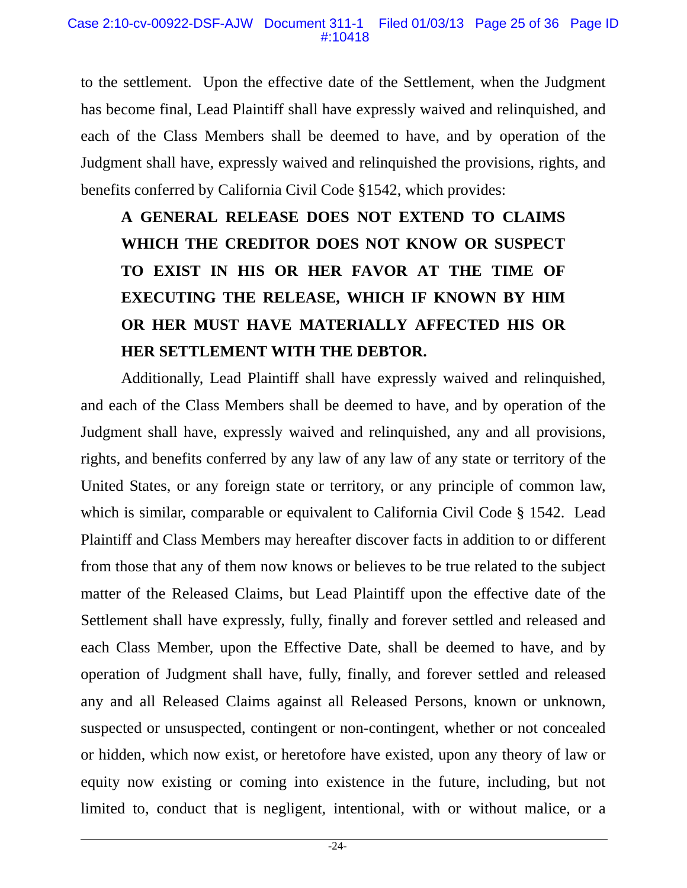to the settlement. Upon the effective date of the Settlement, when the Judgment has become final, Lead Plaintiff shall have expressly waived and relinquished, and each of the Class Members shall be deemed to have, and by operation of the Judgment shall have, expressly waived and relinquished the provisions, rights, and benefits conferred by California Civil Code §1542, which provides:

**A GENERAL RELEASE DOES NOT EXTEND TO CLAIMS WHICH THE CREDITOR DOES NOT KNOW OR SUSPECT TO EXIST IN HIS OR HER FAVOR AT THE TIME OF EXECUTING THE RELEASE, WHICH IF KNOWN BY HIM OR HER MUST HAVE MATERIALLY AFFECTED HIS OR HER SETTLEMENT WITH THE DEBTOR.** 

Additionally, Lead Plaintiff shall have expressly waived and relinquished, and each of the Class Members shall be deemed to have, and by operation of the Judgment shall have, expressly waived and relinquished, any and all provisions, rights, and benefits conferred by any law of any law of any state or territory of the United States, or any foreign state or territory, or any principle of common law, which is similar, comparable or equivalent to California Civil Code § 1542. Lead Plaintiff and Class Members may hereafter discover facts in addition to or different from those that any of them now knows or believes to be true related to the subject matter of the Released Claims, but Lead Plaintiff upon the effective date of the Settlement shall have expressly, fully, finally and forever settled and released and each Class Member, upon the Effective Date, shall be deemed to have, and by operation of Judgment shall have, fully, finally, and forever settled and released any and all Released Claims against all Released Persons, known or unknown, suspected or unsuspected, contingent or non-contingent, whether or not concealed or hidden, which now exist, or heretofore have existed, upon any theory of law or equity now existing or coming into existence in the future, including, but not limited to, conduct that is negligent, intentional, with or without malice, or a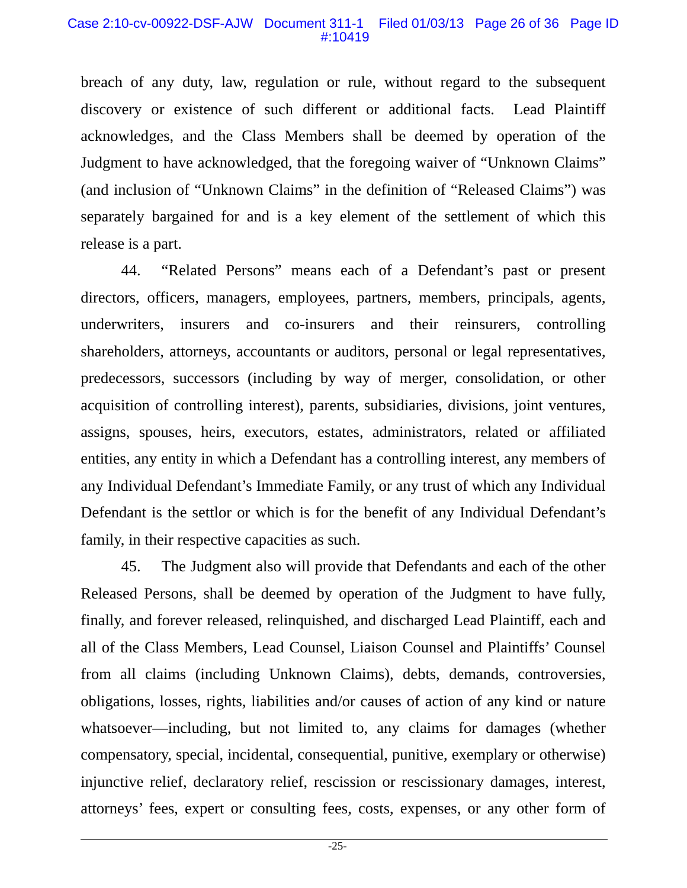#### Case 2:10-cv-00922-DSF-AJW Document 311-1 Filed 01/03/13 Page 26 of 36 Page ID #:10419

breach of any duty, law, regulation or rule, without regard to the subsequent discovery or existence of such different or additional facts. Lead Plaintiff acknowledges, and the Class Members shall be deemed by operation of the Judgment to have acknowledged, that the foregoing waiver of "Unknown Claims" (and inclusion of "Unknown Claims" in the definition of "Released Claims") was separately bargained for and is a key element of the settlement of which this release is a part.

44. "Related Persons" means each of a Defendant's past or present directors, officers, managers, employees, partners, members, principals, agents, underwriters, insurers and co-insurers and their reinsurers, controlling shareholders, attorneys, accountants or auditors, personal or legal representatives, predecessors, successors (including by way of merger, consolidation, or other acquisition of controlling interest), parents, subsidiaries, divisions, joint ventures, assigns, spouses, heirs, executors, estates, administrators, related or affiliated entities, any entity in which a Defendant has a controlling interest, any members of any Individual Defendant's Immediate Family, or any trust of which any Individual Defendant is the settlor or which is for the benefit of any Individual Defendant's family, in their respective capacities as such.

45. The Judgment also will provide that Defendants and each of the other Released Persons, shall be deemed by operation of the Judgment to have fully, finally, and forever released, relinquished, and discharged Lead Plaintiff, each and all of the Class Members, Lead Counsel, Liaison Counsel and Plaintiffs' Counsel from all claims (including Unknown Claims), debts, demands, controversies, obligations, losses, rights, liabilities and/or causes of action of any kind or nature whatsoever—including, but not limited to, any claims for damages (whether compensatory, special, incidental, consequential, punitive, exemplary or otherwise) injunctive relief, declaratory relief, rescission or rescissionary damages, interest, attorneys' fees, expert or consulting fees, costs, expenses, or any other form of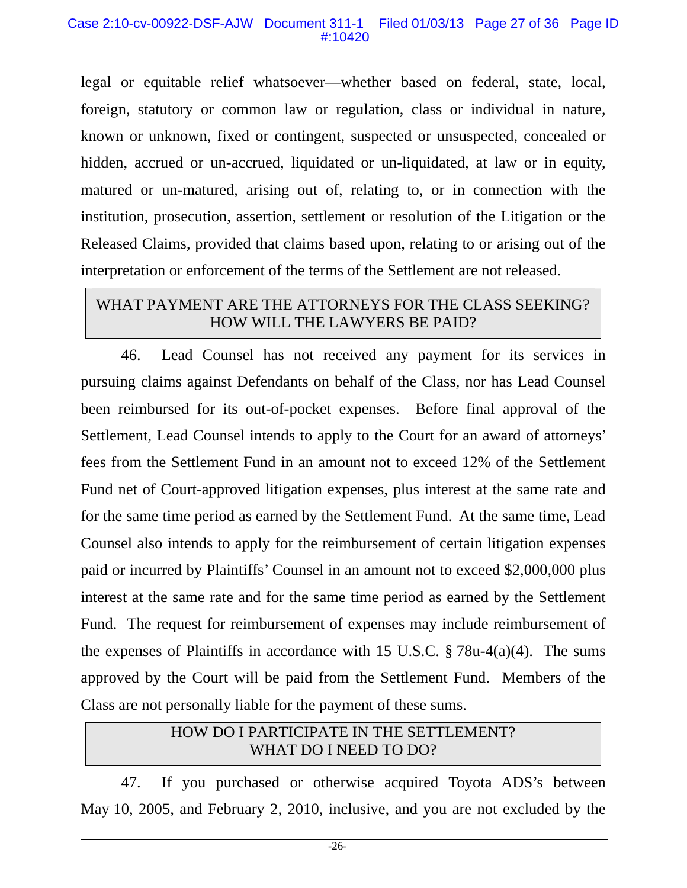legal or equitable relief whatsoever—whether based on federal, state, local, foreign, statutory or common law or regulation, class or individual in nature, known or unknown, fixed or contingent, suspected or unsuspected, concealed or hidden, accrued or un-accrued, liquidated or un-liquidated, at law or in equity, matured or un-matured, arising out of, relating to, or in connection with the institution, prosecution, assertion, settlement or resolution of the Litigation or the Released Claims, provided that claims based upon, relating to or arising out of the interpretation or enforcement of the terms of the Settlement are not released.

# WHAT PAYMENT ARE THE ATTORNEYS FOR THE CLASS SEEKING? HOW WILL THE LAWYERS BE PAID?

46. Lead Counsel has not received any payment for its services in pursuing claims against Defendants on behalf of the Class, nor has Lead Counsel been reimbursed for its out-of-pocket expenses. Before final approval of the Settlement, Lead Counsel intends to apply to the Court for an award of attorneys' fees from the Settlement Fund in an amount not to exceed 12% of the Settlement Fund net of Court-approved litigation expenses, plus interest at the same rate and for the same time period as earned by the Settlement Fund. At the same time, Lead Counsel also intends to apply for the reimbursement of certain litigation expenses paid or incurred by Plaintiffs' Counsel in an amount not to exceed \$2,000,000 plus interest at the same rate and for the same time period as earned by the Settlement Fund. The request for reimbursement of expenses may include reimbursement of the expenses of Plaintiffs in accordance with 15 U.S.C.  $\S 78u-4(a)(4)$ . The sums approved by the Court will be paid from the Settlement Fund. Members of the Class are not personally liable for the payment of these sums.

# HOW DO I PARTICIPATE IN THE SETTLEMENT? WHAT DO I NEED TO DO?

47. If you purchased or otherwise acquired Toyota ADS's between May 10, 2005, and February 2, 2010, inclusive, and you are not excluded by the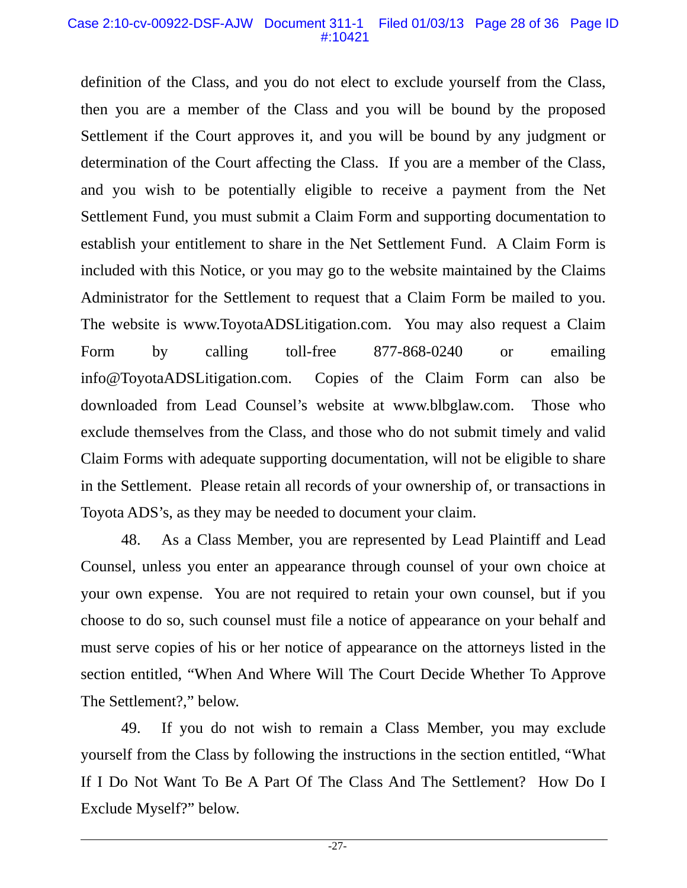#### Case 2:10-cv-00922-DSF-AJW Document 311-1 Filed 01/03/13 Page 28 of 36 Page ID #:10421

definition of the Class, and you do not elect to exclude yourself from the Class, then you are a member of the Class and you will be bound by the proposed Settlement if the Court approves it, and you will be bound by any judgment or determination of the Court affecting the Class. If you are a member of the Class, and you wish to be potentially eligible to receive a payment from the Net Settlement Fund, you must submit a Claim Form and supporting documentation to establish your entitlement to share in the Net Settlement Fund. A Claim Form is included with this Notice, or you may go to the website maintained by the Claims Administrator for the Settlement to request that a Claim Form be mailed to you. The website is www.ToyotaADSLitigation.com. You may also request a Claim Form by calling toll-free 877-868-0240 or emailing info@ToyotaADSLitigation.com. Copies of the Claim Form can also be downloaded from Lead Counsel's website at www.blbglaw.com. Those who exclude themselves from the Class, and those who do not submit timely and valid Claim Forms with adequate supporting documentation, will not be eligible to share in the Settlement. Please retain all records of your ownership of, or transactions in Toyota ADS's, as they may be needed to document your claim.

48. As a Class Member, you are represented by Lead Plaintiff and Lead Counsel, unless you enter an appearance through counsel of your own choice at your own expense. You are not required to retain your own counsel, but if you choose to do so, such counsel must file a notice of appearance on your behalf and must serve copies of his or her notice of appearance on the attorneys listed in the section entitled, "When And Where Will The Court Decide Whether To Approve The Settlement?," below.

49. If you do not wish to remain a Class Member, you may exclude yourself from the Class by following the instructions in the section entitled, "What If I Do Not Want To Be A Part Of The Class And The Settlement? How Do I Exclude Myself?" below.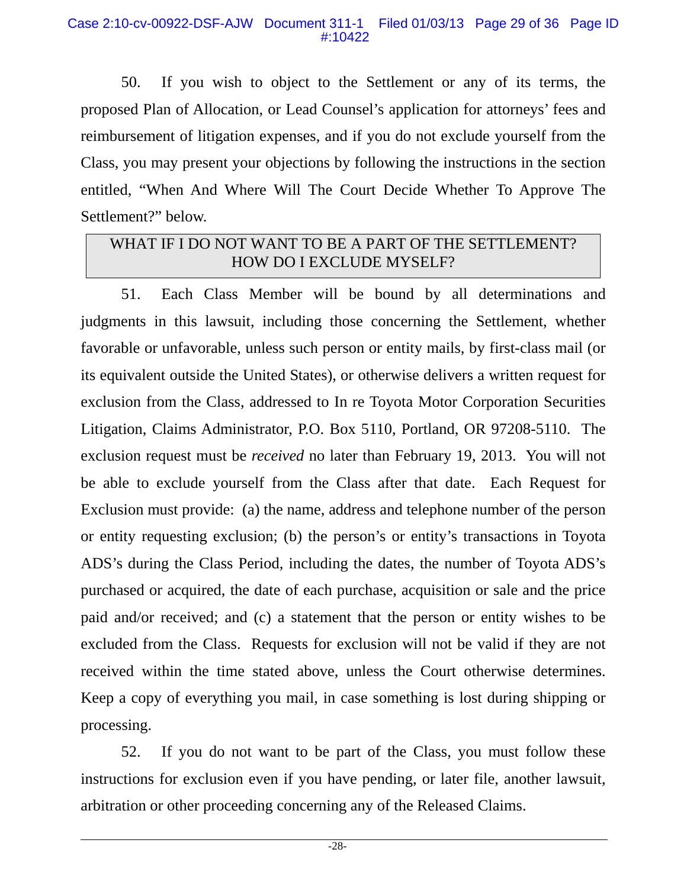50. If you wish to object to the Settlement or any of its terms, the proposed Plan of Allocation, or Lead Counsel's application for attorneys' fees and reimbursement of litigation expenses, and if you do not exclude yourself from the Class, you may present your objections by following the instructions in the section entitled, "When And Where Will The Court Decide Whether To Approve The Settlement?" below.

# WHAT IF I DO NOT WANT TO BE A PART OF THE SETTLEMENT? HOW DO I EXCLUDE MYSELF?

51. Each Class Member will be bound by all determinations and judgments in this lawsuit, including those concerning the Settlement, whether favorable or unfavorable, unless such person or entity mails, by first-class mail (or its equivalent outside the United States), or otherwise delivers a written request for exclusion from the Class, addressed to In re Toyota Motor Corporation Securities Litigation, Claims Administrator, P.O. Box 5110, Portland, OR 97208-5110. The exclusion request must be *received* no later than February 19, 2013. You will not be able to exclude yourself from the Class after that date. Each Request for Exclusion must provide: (a) the name, address and telephone number of the person or entity requesting exclusion; (b) the person's or entity's transactions in Toyota ADS's during the Class Period, including the dates, the number of Toyota ADS's purchased or acquired, the date of each purchase, acquisition or sale and the price paid and/or received; and (c) a statement that the person or entity wishes to be excluded from the Class. Requests for exclusion will not be valid if they are not received within the time stated above, unless the Court otherwise determines. Keep a copy of everything you mail, in case something is lost during shipping or processing.

52. If you do not want to be part of the Class, you must follow these instructions for exclusion even if you have pending, or later file, another lawsuit, arbitration or other proceeding concerning any of the Released Claims.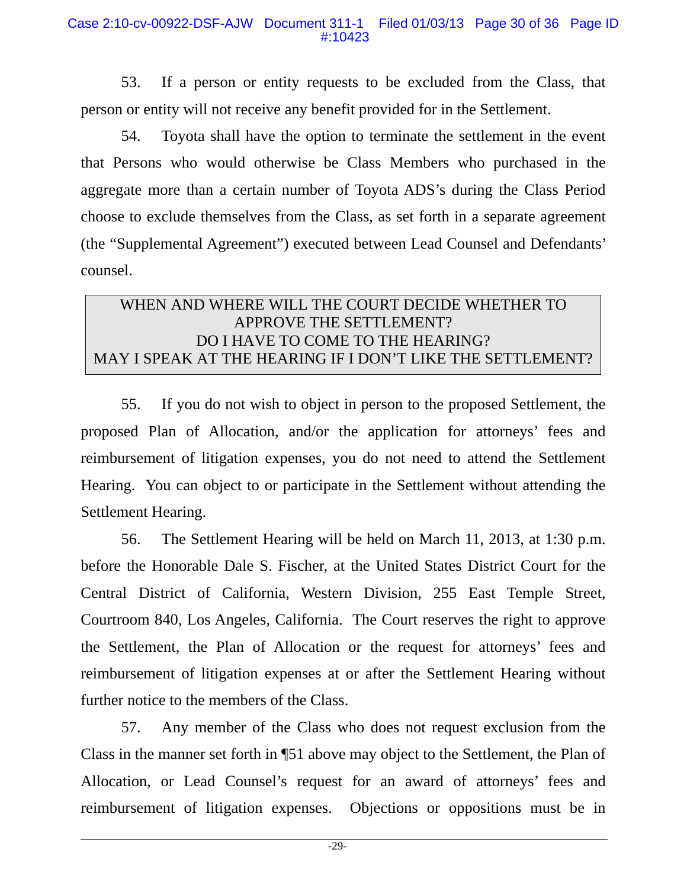53. If a person or entity requests to be excluded from the Class, that person or entity will not receive any benefit provided for in the Settlement.

54. Toyota shall have the option to terminate the settlement in the event that Persons who would otherwise be Class Members who purchased in the aggregate more than a certain number of Toyota ADS's during the Class Period choose to exclude themselves from the Class, as set forth in a separate agreement (the "Supplemental Agreement") executed between Lead Counsel and Defendants' counsel.

# WHEN AND WHERE WILL THE COURT DECIDE WHETHER TO APPROVE THE SETTLEMENT? DO I HAVE TO COME TO THE HEARING? MAY I SPEAK AT THE HEARING IF I DON'T LIKE THE SETTLEMENT?

55. If you do not wish to object in person to the proposed Settlement, the proposed Plan of Allocation, and/or the application for attorneys' fees and reimbursement of litigation expenses, you do not need to attend the Settlement Hearing. You can object to or participate in the Settlement without attending the Settlement Hearing.

56. The Settlement Hearing will be held on March 11, 2013, at 1:30 p.m. before the Honorable Dale S. Fischer, at the United States District Court for the Central District of California, Western Division, 255 East Temple Street, Courtroom 840, Los Angeles, California. The Court reserves the right to approve the Settlement, the Plan of Allocation or the request for attorneys' fees and reimbursement of litigation expenses at or after the Settlement Hearing without further notice to the members of the Class.

57. Any member of the Class who does not request exclusion from the Class in the manner set forth in ¶51 above may object to the Settlement, the Plan of Allocation, or Lead Counsel's request for an award of attorneys' fees and reimbursement of litigation expenses. Objections or oppositions must be in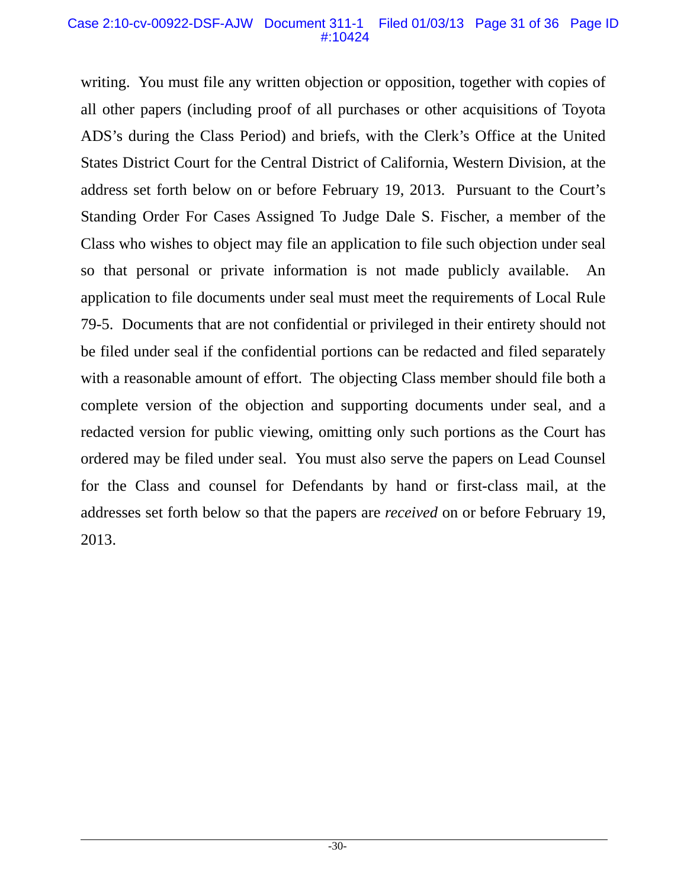#### Case 2:10-cv-00922-DSF-AJW Document 311-1 Filed 01/03/13 Page 31 of 36 Page ID #:10424

writing. You must file any written objection or opposition, together with copies of all other papers (including proof of all purchases or other acquisitions of Toyota ADS's during the Class Period) and briefs, with the Clerk's Office at the United States District Court for the Central District of California, Western Division, at the address set forth below on or before February 19, 2013. Pursuant to the Court's Standing Order For Cases Assigned To Judge Dale S. Fischer, a member of the Class who wishes to object may file an application to file such objection under seal so that personal or private information is not made publicly available. An application to file documents under seal must meet the requirements of Local Rule 79-5. Documents that are not confidential or privileged in their entirety should not be filed under seal if the confidential portions can be redacted and filed separately with a reasonable amount of effort. The objecting Class member should file both a complete version of the objection and supporting documents under seal, and a redacted version for public viewing, omitting only such portions as the Court has ordered may be filed under seal. You must also serve the papers on Lead Counsel for the Class and counsel for Defendants by hand or first-class mail, at the addresses set forth below so that the papers are *received* on or before February 19, 2013.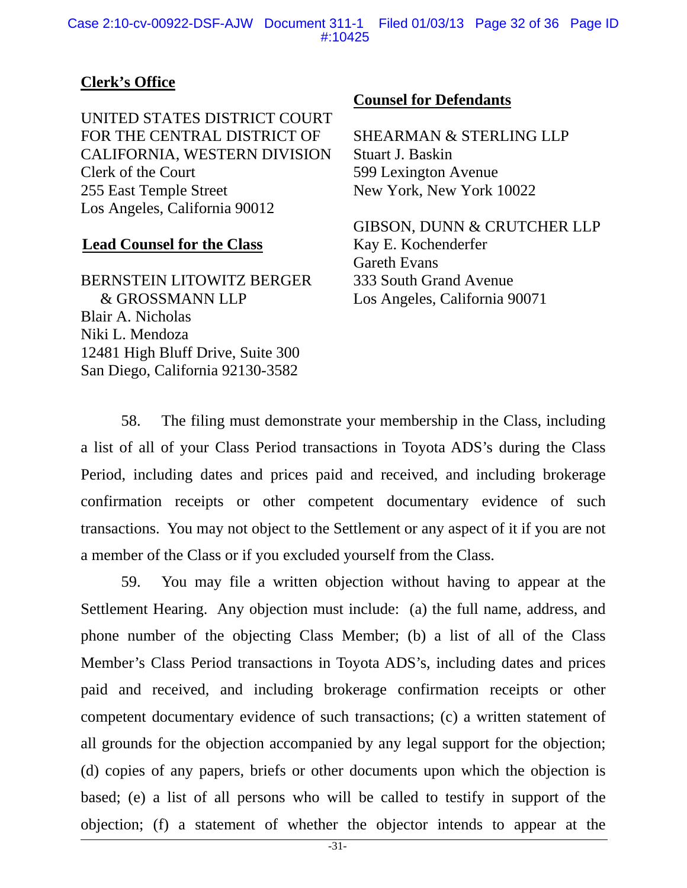# **Clerk's Office**

UNITED STATES DISTRICT COURT FOR THE CENTRAL DISTRICT OF CALIFORNIA, WESTERN DIVISION Clerk of the Court 255 East Temple Street Los Angeles, California 90012

# **Lead Counsel for the Class**

BERNSTEIN LITOWITZ BERGER & GROSSMANN LLP Blair A. Nicholas Niki L. Mendoza 12481 High Bluff Drive, Suite 300 San Diego, California 92130-3582

### **Counsel for Defendants**

SHEARMAN & STERLING LLP Stuart J. Baskin 599 Lexington Avenue New York, New York 10022

GIBSON, DUNN & CRUTCHER LLP Kay E. Kochenderfer Gareth Evans 333 South Grand Avenue Los Angeles, California 90071

58. The filing must demonstrate your membership in the Class, including a list of all of your Class Period transactions in Toyota ADS's during the Class Period, including dates and prices paid and received, and including brokerage confirmation receipts or other competent documentary evidence of such transactions. You may not object to the Settlement or any aspect of it if you are not a member of the Class or if you excluded yourself from the Class.

59. You may file a written objection without having to appear at the Settlement Hearing. Any objection must include: (a) the full name, address, and phone number of the objecting Class Member; (b) a list of all of the Class Member's Class Period transactions in Toyota ADS's, including dates and prices paid and received, and including brokerage confirmation receipts or other competent documentary evidence of such transactions; (c) a written statement of all grounds for the objection accompanied by any legal support for the objection; (d) copies of any papers, briefs or other documents upon which the objection is based; (e) a list of all persons who will be called to testify in support of the objection; (f) a statement of whether the objector intends to appear at the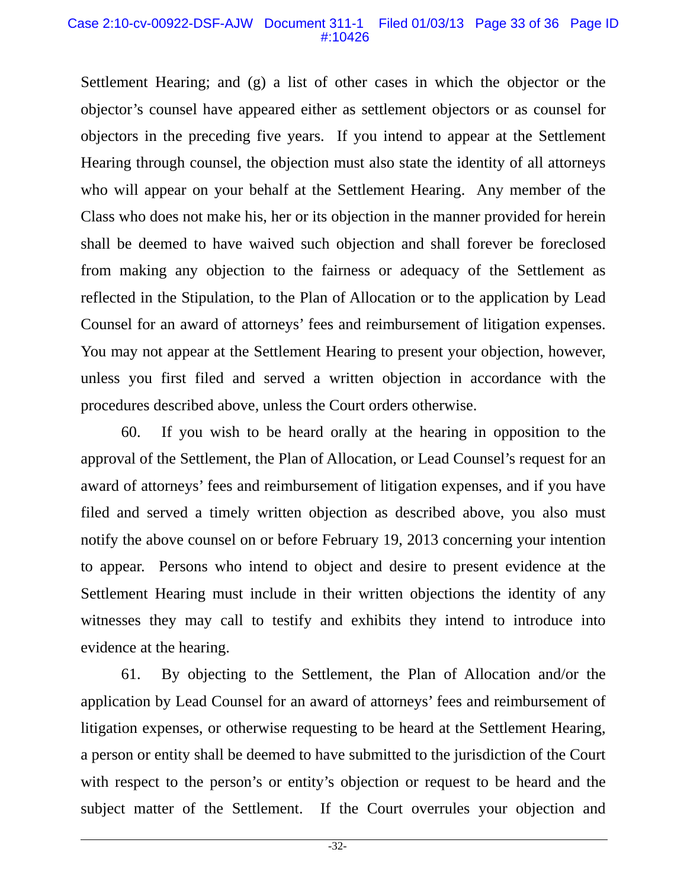#### Case 2:10-cv-00922-DSF-AJW Document 311-1 Filed 01/03/13 Page 33 of 36 Page ID #:10426

Settlement Hearing; and (g) a list of other cases in which the objector or the objector's counsel have appeared either as settlement objectors or as counsel for objectors in the preceding five years. If you intend to appear at the Settlement Hearing through counsel, the objection must also state the identity of all attorneys who will appear on your behalf at the Settlement Hearing. Any member of the Class who does not make his, her or its objection in the manner provided for herein shall be deemed to have waived such objection and shall forever be foreclosed from making any objection to the fairness or adequacy of the Settlement as reflected in the Stipulation, to the Plan of Allocation or to the application by Lead Counsel for an award of attorneys' fees and reimbursement of litigation expenses. You may not appear at the Settlement Hearing to present your objection, however, unless you first filed and served a written objection in accordance with the procedures described above, unless the Court orders otherwise.

60. If you wish to be heard orally at the hearing in opposition to the approval of the Settlement, the Plan of Allocation, or Lead Counsel's request for an award of attorneys' fees and reimbursement of litigation expenses, and if you have filed and served a timely written objection as described above, you also must notify the above counsel on or before February 19, 2013 concerning your intention to appear. Persons who intend to object and desire to present evidence at the Settlement Hearing must include in their written objections the identity of any witnesses they may call to testify and exhibits they intend to introduce into evidence at the hearing.

61. By objecting to the Settlement, the Plan of Allocation and/or the application by Lead Counsel for an award of attorneys' fees and reimbursement of litigation expenses, or otherwise requesting to be heard at the Settlement Hearing, a person or entity shall be deemed to have submitted to the jurisdiction of the Court with respect to the person's or entity's objection or request to be heard and the subject matter of the Settlement. If the Court overrules your objection and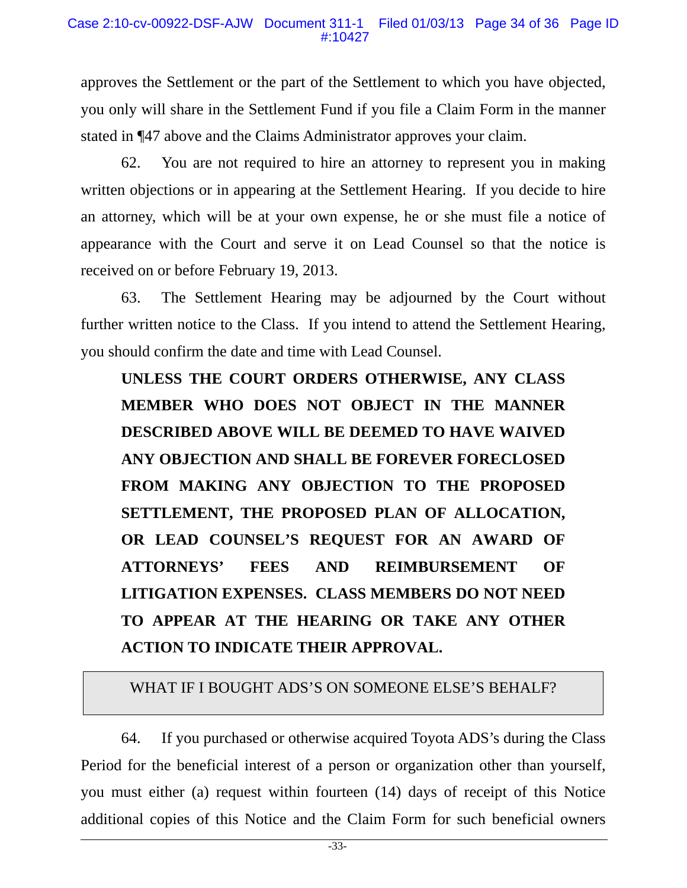approves the Settlement or the part of the Settlement to which you have objected, you only will share in the Settlement Fund if you file a Claim Form in the manner stated in ¶47 above and the Claims Administrator approves your claim.

62. You are not required to hire an attorney to represent you in making written objections or in appearing at the Settlement Hearing. If you decide to hire an attorney, which will be at your own expense, he or she must file a notice of appearance with the Court and serve it on Lead Counsel so that the notice is received on or before February 19, 2013.

63. The Settlement Hearing may be adjourned by the Court without further written notice to the Class. If you intend to attend the Settlement Hearing, you should confirm the date and time with Lead Counsel.

**UNLESS THE COURT ORDERS OTHERWISE, ANY CLASS MEMBER WHO DOES NOT OBJECT IN THE MANNER DESCRIBED ABOVE WILL BE DEEMED TO HAVE WAIVED ANY OBJECTION AND SHALL BE FOREVER FORECLOSED FROM MAKING ANY OBJECTION TO THE PROPOSED SETTLEMENT, THE PROPOSED PLAN OF ALLOCATION, OR LEAD COUNSEL'S REQUEST FOR AN AWARD OF ATTORNEYS' FEES AND REIMBURSEMENT OF LITIGATION EXPENSES. CLASS MEMBERS DO NOT NEED TO APPEAR AT THE HEARING OR TAKE ANY OTHER ACTION TO INDICATE THEIR APPROVAL.** 

# WHAT IF I BOUGHT ADS'S ON SOMEONE ELSE'S BEHALF?

64. If you purchased or otherwise acquired Toyota ADS's during the Class Period for the beneficial interest of a person or organization other than yourself, you must either (a) request within fourteen (14) days of receipt of this Notice additional copies of this Notice and the Claim Form for such beneficial owners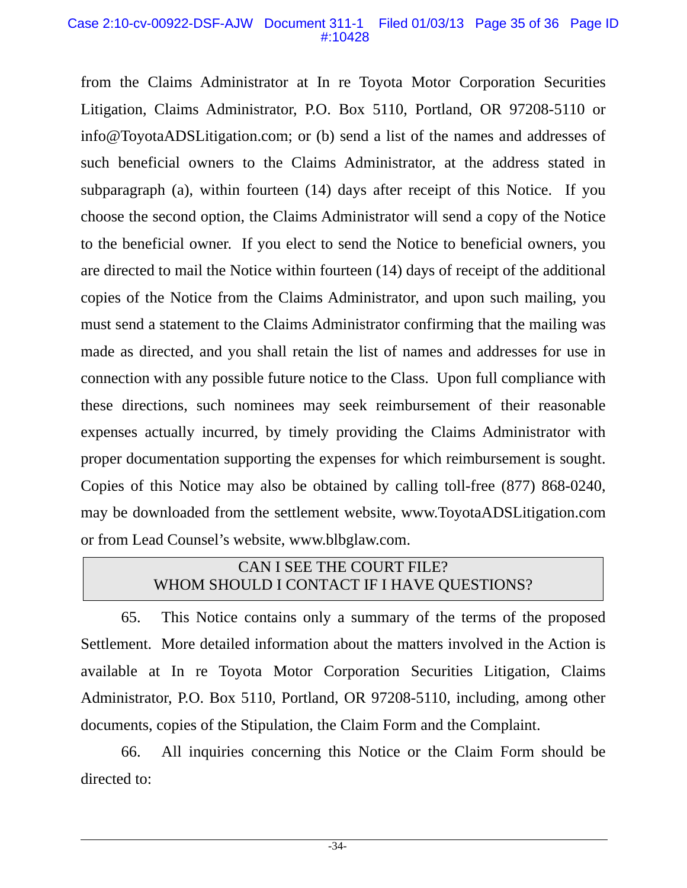#### Case 2:10-cv-00922-DSF-AJW Document 311-1 Filed 01/03/13 Page 35 of 36 Page ID #:10428

from the Claims Administrator at In re Toyota Motor Corporation Securities Litigation, Claims Administrator, P.O. Box 5110, Portland, OR 97208-5110 or info@ToyotaADSLitigation.com; or (b) send a list of the names and addresses of such beneficial owners to the Claims Administrator, at the address stated in subparagraph (a), within fourteen (14) days after receipt of this Notice. If you choose the second option, the Claims Administrator will send a copy of the Notice to the beneficial owner. If you elect to send the Notice to beneficial owners, you are directed to mail the Notice within fourteen (14) days of receipt of the additional copies of the Notice from the Claims Administrator, and upon such mailing, you must send a statement to the Claims Administrator confirming that the mailing was made as directed, and you shall retain the list of names and addresses for use in connection with any possible future notice to the Class. Upon full compliance with these directions, such nominees may seek reimbursement of their reasonable expenses actually incurred, by timely providing the Claims Administrator with proper documentation supporting the expenses for which reimbursement is sought. Copies of this Notice may also be obtained by calling toll-free (877) 868-0240, may be downloaded from the settlement website, www.ToyotaADSLitigation.com or from Lead Counsel's website, www.blbglaw.com.

# CAN I SEE THE COURT FILE? WHOM SHOULD I CONTACT IF I HAVE QUESTIONS?

65. This Notice contains only a summary of the terms of the proposed Settlement. More detailed information about the matters involved in the Action is available at In re Toyota Motor Corporation Securities Litigation, Claims Administrator, P.O. Box 5110, Portland, OR 97208-5110, including, among other documents, copies of the Stipulation, the Claim Form and the Complaint.

66. All inquiries concerning this Notice or the Claim Form should be directed to: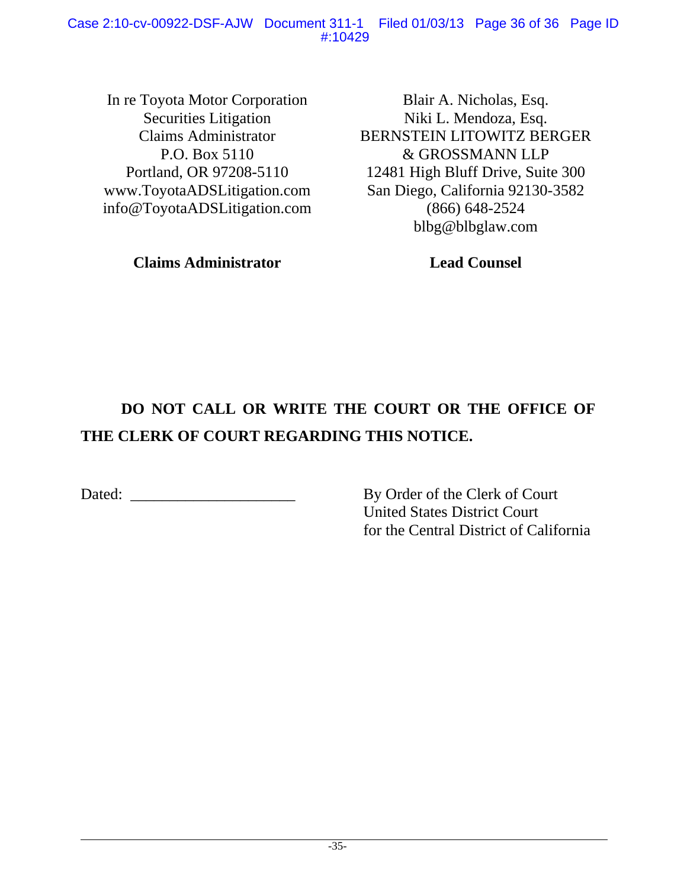In re Toyota Motor Corporation Securities Litigation Claims Administrator P.O. Box 5110 Portland, OR 97208-5110 www.ToyotaADSLitigation.com info@ToyotaADSLitigation.com

**Claims Administrator** 

Blair A. Nicholas, Esq. Niki L. Mendoza, Esq. BERNSTEIN LITOWITZ BERGER & GROSSMANN LLP 12481 High Bluff Drive, Suite 300 San Diego, California 92130-3582 (866) 648-2524 blbg@blbglaw.com

**Lead Counsel**

# **DO NOT CALL OR WRITE THE COURT OR THE OFFICE OF THE CLERK OF COURT REGARDING THIS NOTICE.**

Dated: \_\_\_\_\_\_\_\_\_\_\_\_\_\_\_\_\_\_\_\_\_ By Order of the Clerk of Court

United States District Court for the Central District of California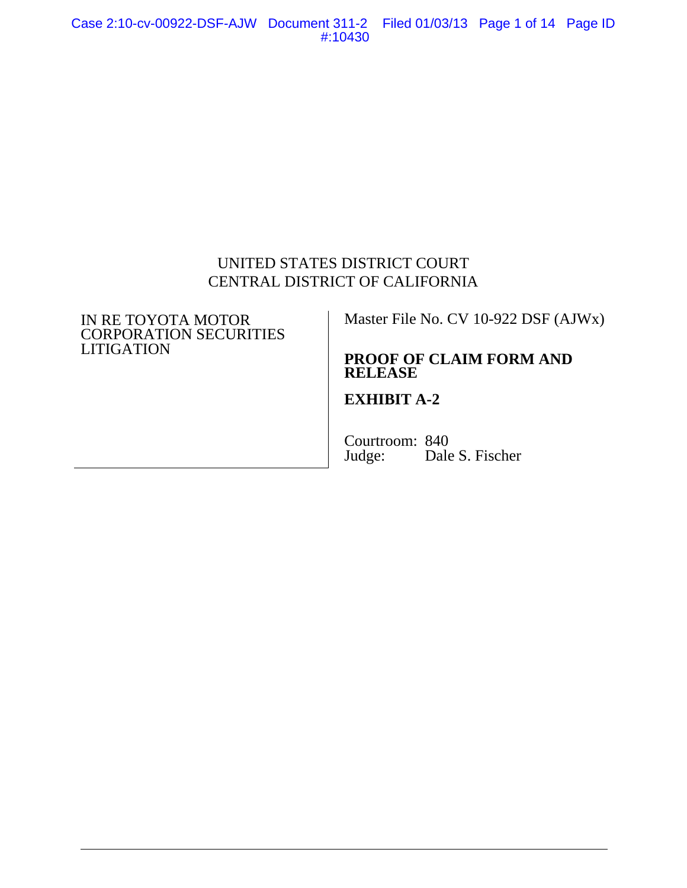Case 2:10-cv-00922-DSF-AJW Document 311-2 Filed 01/03/13 Page 1 of 14 Page ID #:10430

# UNITED STATES DISTRICT COURT CENTRAL DISTRICT OF CALIFORNIA

#### IN RE TOYOTA MOTOR CORPORATION SECURITIES **LITIGATION**

### Master File No. CV 10-922 DSF (AJWx)

# **PROOF OF CLAIM FORM AND RELEASE**

# **EXHIBIT A-2**

Courtroom: 840<br>Judge: Dale Dale S. Fischer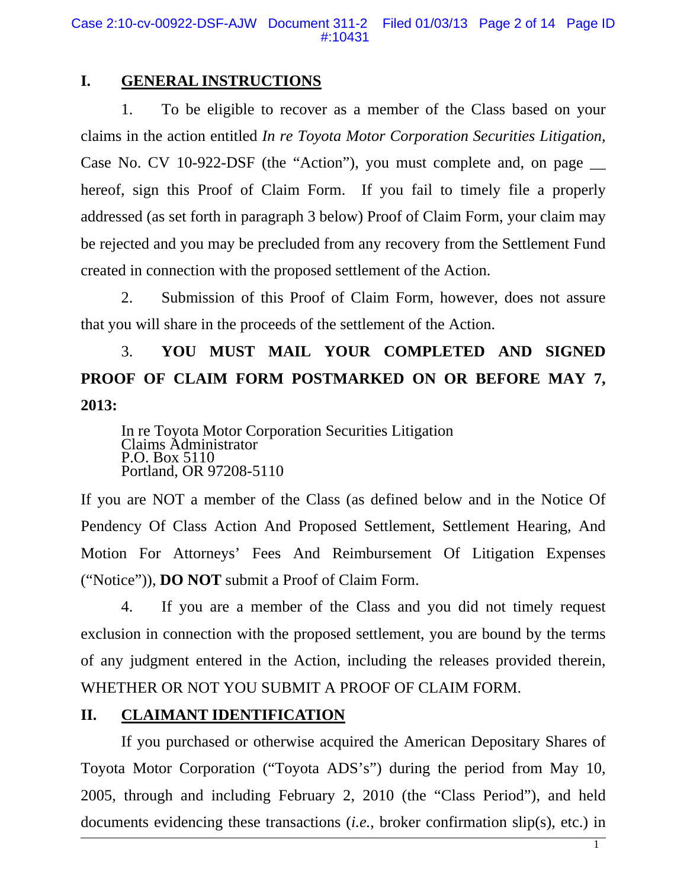# **I. GENERAL INSTRUCTIONS**

1. To be eligible to recover as a member of the Class based on your claims in the action entitled *In re Toyota Motor Corporation Securities Litigation,*  Case No. CV 10-922-DSF (the "Action"), you must complete and, on page hereof, sign this Proof of Claim Form. If you fail to timely file a properly addressed (as set forth in paragraph 3 below) Proof of Claim Form, your claim may be rejected and you may be precluded from any recovery from the Settlement Fund created in connection with the proposed settlement of the Action.

2. Submission of this Proof of Claim Form, however, does not assure that you will share in the proceeds of the settlement of the Action.

# 3. **YOU MUST MAIL YOUR COMPLETED AND SIGNED PROOF OF CLAIM FORM POSTMARKED ON OR BEFORE MAY 7, 2013:**

In re Toyota Motor Corporation Securities Litigation Claims Administrator P.O. Box 5110 Portland, OR 97208-5110

If you are NOT a member of the Class (as defined below and in the Notice Of Pendency Of Class Action And Proposed Settlement, Settlement Hearing, And Motion For Attorneys' Fees And Reimbursement Of Litigation Expenses ("Notice")), **DO NOT** submit a Proof of Claim Form.

4. If you are a member of the Class and you did not timely request exclusion in connection with the proposed settlement, you are bound by the terms of any judgment entered in the Action, including the releases provided therein, WHETHER OR NOT YOU SUBMIT A PROOF OF CLAIM FORM.

# **II. CLAIMANT IDENTIFICATION**

If you purchased or otherwise acquired the American Depositary Shares of Toyota Motor Corporation ("Toyota ADS's") during the period from May 10, 2005, through and including February 2, 2010 (the "Class Period"), and held documents evidencing these transactions (*i.e.*, broker confirmation slip(s), etc.) in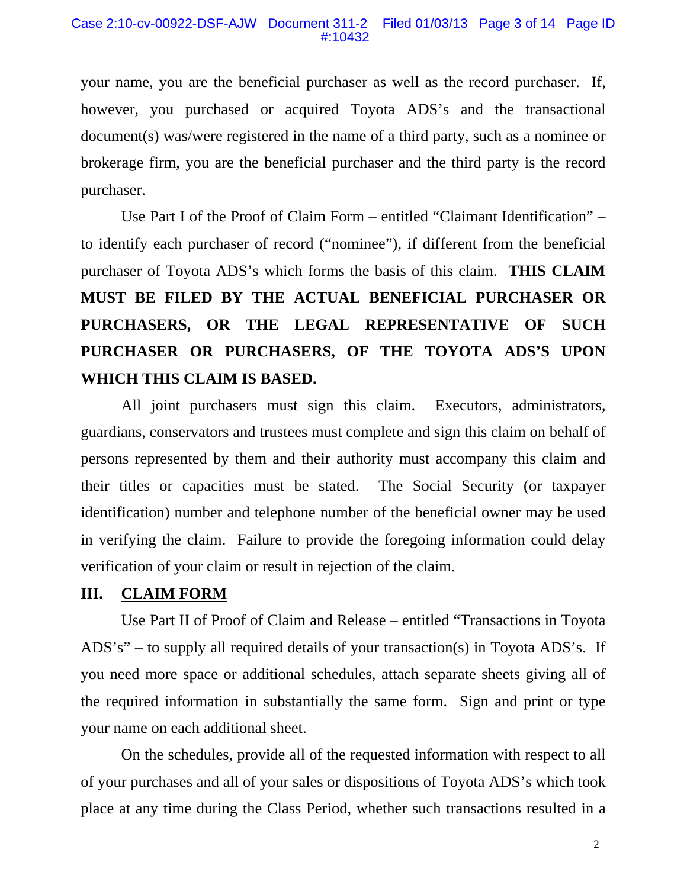your name, you are the beneficial purchaser as well as the record purchaser. If, however, you purchased or acquired Toyota ADS's and the transactional document(s) was/were registered in the name of a third party, such as a nominee or brokerage firm, you are the beneficial purchaser and the third party is the record purchaser.

Use Part I of the Proof of Claim Form – entitled "Claimant Identification" – to identify each purchaser of record ("nominee"), if different from the beneficial purchaser of Toyota ADS's which forms the basis of this claim. **THIS CLAIM MUST BE FILED BY THE ACTUAL BENEFICIAL PURCHASER OR PURCHASERS, OR THE LEGAL REPRESENTATIVE OF SUCH PURCHASER OR PURCHASERS, OF THE TOYOTA ADS'S UPON WHICH THIS CLAIM IS BASED.**

All joint purchasers must sign this claim. Executors, administrators, guardians, conservators and trustees must complete and sign this claim on behalf of persons represented by them and their authority must accompany this claim and their titles or capacities must be stated. The Social Security (or taxpayer identification) number and telephone number of the beneficial owner may be used in verifying the claim. Failure to provide the foregoing information could delay verification of your claim or result in rejection of the claim.

# **III. CLAIM FORM**

Use Part II of Proof of Claim and Release – entitled "Transactions in Toyota ADS's" – to supply all required details of your transaction(s) in Toyota ADS's. If you need more space or additional schedules, attach separate sheets giving all of the required information in substantially the same form. Sign and print or type your name on each additional sheet.

On the schedules, provide all of the requested information with respect to all of your purchases and all of your sales or dispositions of Toyota ADS's which took place at any time during the Class Period, whether such transactions resulted in a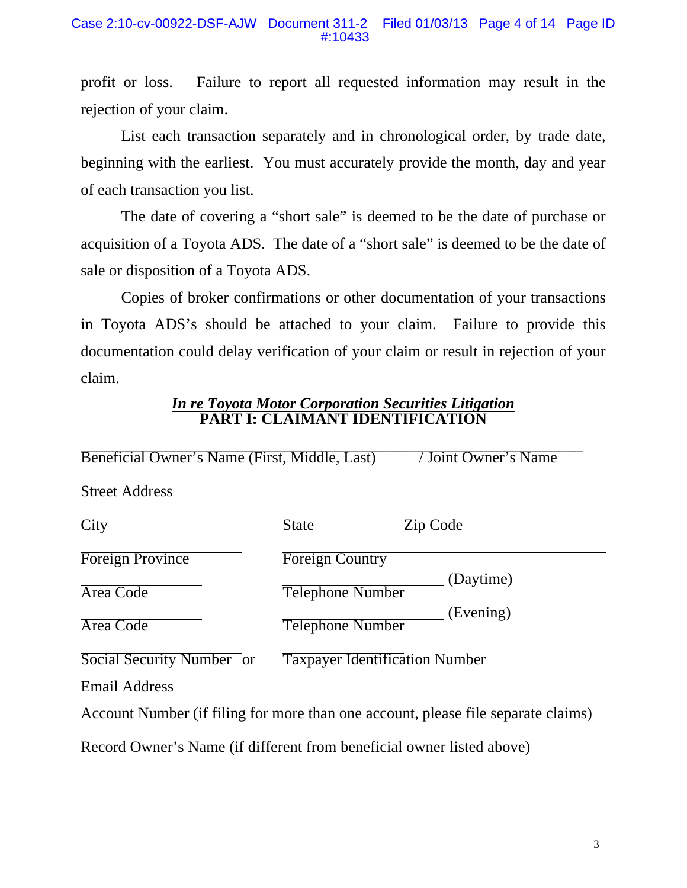profit or loss. Failure to report all requested information may result in the rejection of your claim.

List each transaction separately and in chronological order, by trade date, beginning with the earliest. You must accurately provide the month, day and year of each transaction you list.

The date of covering a "short sale" is deemed to be the date of purchase or acquisition of a Toyota ADS. The date of a "short sale" is deemed to be the date of sale or disposition of a Toyota ADS.

Copies of broker confirmations or other documentation of your transactions in Toyota ADS's should be attached to your claim. Failure to provide this documentation could delay verification of your claim or result in rejection of your claim.

### *In re Toyota Motor Corporation Securities Litigation* **PART I: CLAIMANT IDENTIFICATION**

| Beneficial Owner's Name (First, Middle, Last) | <b>Joint Owner's Name</b>                                                         |
|-----------------------------------------------|-----------------------------------------------------------------------------------|
| <b>Street Address</b>                         |                                                                                   |
| City                                          | <b>State</b><br>Zip Code                                                          |
| <b>Foreign Province</b>                       | <b>Foreign Country</b>                                                            |
| Area Code                                     | (Daytime)<br><b>Telephone Number</b>                                              |
| Area Code                                     | (Evening)<br><b>Telephone Number</b>                                              |
| Social Security Number or                     | <b>Taxpayer Identification Number</b>                                             |
| <b>Email Address</b>                          |                                                                                   |
|                                               | Account Number (if filing for more than one account, please file separate claims) |
|                                               | Record Owner's Name (if different from beneficial owner listed above)             |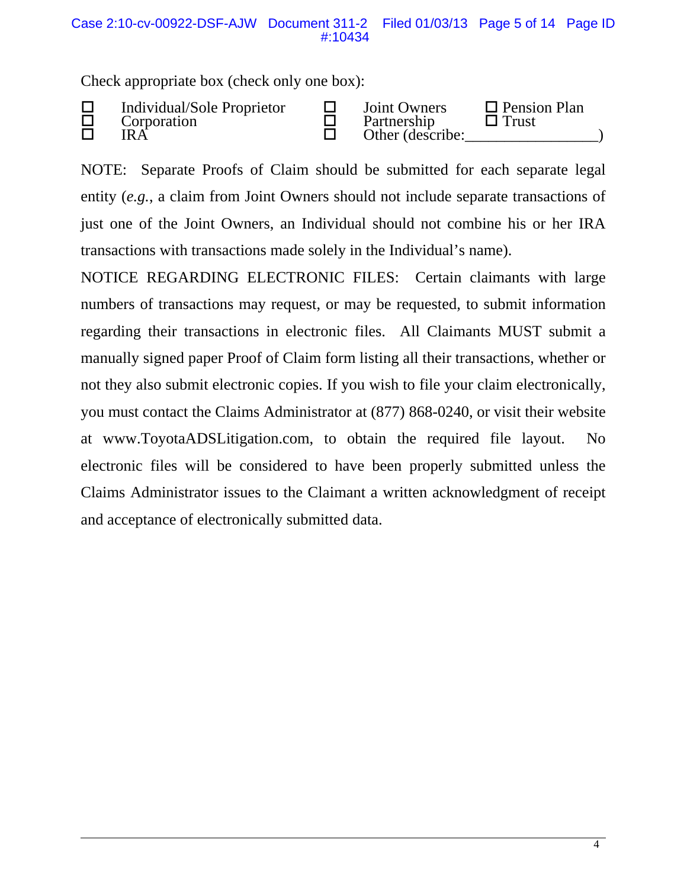Check appropriate box (check only one box):

|  | Individual/Sole Proprietor<br>Corporation<br>IR A |  | <b>Joint Owners</b><br>Partnership<br>Other (describe: | $\Box$ Pension Plan<br>$\Box$ Trust |  |
|--|---------------------------------------------------|--|--------------------------------------------------------|-------------------------------------|--|
|--|---------------------------------------------------|--|--------------------------------------------------------|-------------------------------------|--|

NOTE: Separate Proofs of Claim should be submitted for each separate legal entity (*e.g.*, a claim from Joint Owners should not include separate transactions of just one of the Joint Owners, an Individual should not combine his or her IRA transactions with transactions made solely in the Individual's name).

NOTICE REGARDING ELECTRONIC FILES: Certain claimants with large numbers of transactions may request, or may be requested, to submit information regarding their transactions in electronic files. All Claimants MUST submit a manually signed paper Proof of Claim form listing all their transactions, whether or not they also submit electronic copies. If you wish to file your claim electronically, you must contact the Claims Administrator at (877) 868-0240, or visit their website at www.ToyotaADSLitigation.com, to obtain the required file layout. No electronic files will be considered to have been properly submitted unless the Claims Administrator issues to the Claimant a written acknowledgment of receipt and acceptance of electronically submitted data.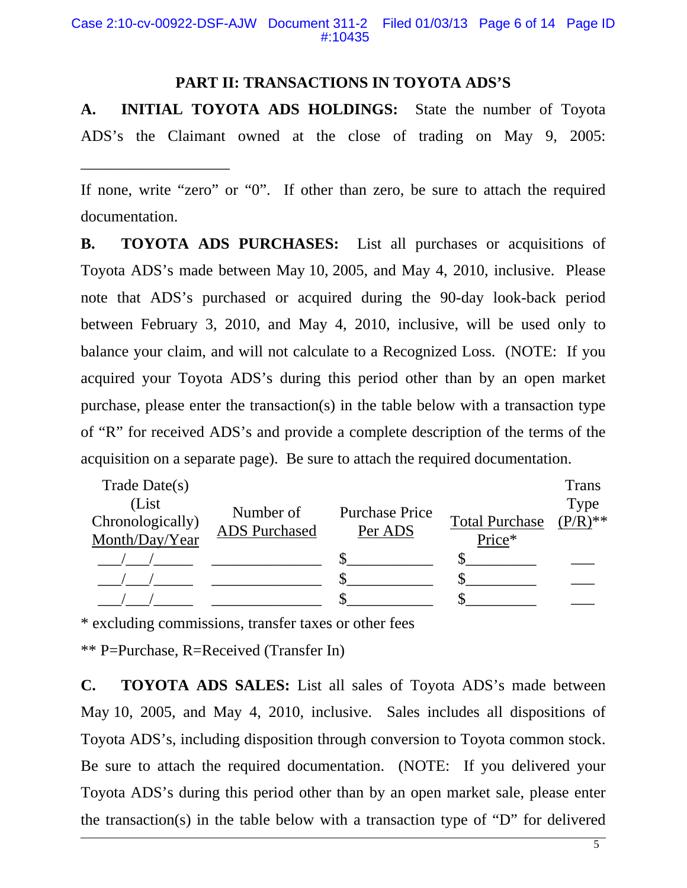# **PART II: TRANSACTIONS IN TOYOTA ADS'S**

**A. INITIAL TOYOTA ADS HOLDINGS:** State the number of Toyota ADS's the Claimant owned at the close of trading on May 9, 2005:

If none, write "zero" or "0". If other than zero, be sure to attach the required documentation.

**B. TOYOTA ADS PURCHASES:** List all purchases or acquisitions of Toyota ADS's made between May 10, 2005, and May 4, 2010, inclusive. Please note that ADS's purchased or acquired during the 90-day look-back period between February 3, 2010, and May 4, 2010, inclusive, will be used only to balance your claim, and will not calculate to a Recognized Loss. (NOTE: If you acquired your Toyota ADS's during this period other than by an open market purchase, please enter the transaction(s) in the table below with a transaction type of "R" for received ADS's and provide a complete description of the terms of the acquisition on a separate page). Be sure to attach the required documentation.

| Trade Date $(s)$ |                      |                       |                       | <b>Trans</b> |
|------------------|----------------------|-----------------------|-----------------------|--------------|
| (List)           | Number of            |                       |                       | Type         |
| Chronologically) |                      | <b>Purchase Price</b> | <b>Total Purchase</b> | $(P/R)$ **   |
| Month/Day/Year   | <b>ADS</b> Purchased | Per ADS               | Price*                |              |
|                  |                      |                       |                       |              |
|                  |                      |                       |                       |              |
|                  |                      |                       |                       |              |

\* excluding commissions, transfer taxes or other fees

\*\* P=Purchase, R=Received (Transfer In)

\_\_\_\_\_\_\_\_\_\_\_\_\_\_\_\_\_\_\_

**C. TOYOTA ADS SALES:** List all sales of Toyota ADS's made between May 10, 2005, and May 4, 2010, inclusive. Sales includes all dispositions of Toyota ADS's, including disposition through conversion to Toyota common stock. Be sure to attach the required documentation. (NOTE: If you delivered your Toyota ADS's during this period other than by an open market sale, please enter the transaction(s) in the table below with a transaction type of "D" for delivered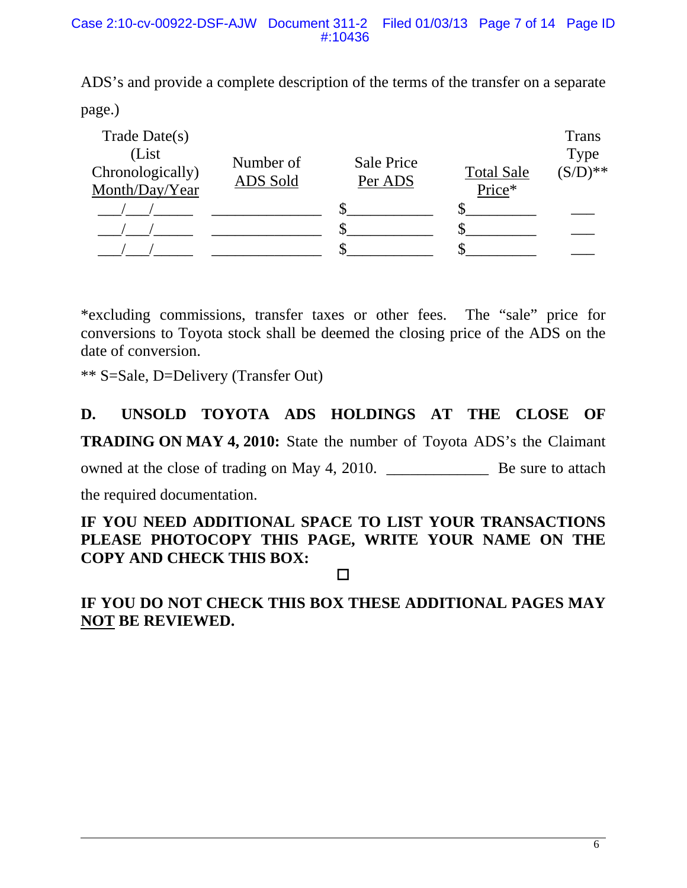ADS's and provide a complete description of the terms of the transfer on a separate page.)

| Trade Date $(s)$<br>(List)<br>Chronologically)<br>Month/Day/Year | Number of<br>ADS Sold | Sale Price<br>Per ADS | <b>Total Sale</b><br>Price* | <b>Trans</b><br>Type<br>$(S/D)^{**}$ |
|------------------------------------------------------------------|-----------------------|-----------------------|-----------------------------|--------------------------------------|
|                                                                  |                       |                       |                             |                                      |
|                                                                  |                       |                       |                             |                                      |
|                                                                  |                       |                       |                             |                                      |

\*excluding commissions, transfer taxes or other fees. The "sale" price for conversions to Toyota stock shall be deemed the closing price of the ADS on the date of conversion.

\*\* S=Sale, D=Delivery (Transfer Out)

# **D. UNSOLD TOYOTA ADS HOLDINGS AT THE CLOSE OF TRADING ON MAY 4, 2010:** State the number of Toyota ADS's the Claimant owned at the close of trading on May 4, 2010. \_\_\_\_\_\_\_\_\_\_\_\_\_ Be sure to attach the required documentation.

# **IF YOU NEED ADDITIONAL SPACE TO LIST YOUR TRANSACTIONS PLEASE PHOTOCOPY THIS PAGE, WRITE YOUR NAME ON THE COPY AND CHECK THIS BOX:**

### $\Box$

# **IF YOU DO NOT CHECK THIS BOX THESE ADDITIONAL PAGES MAY NOT BE REVIEWED.**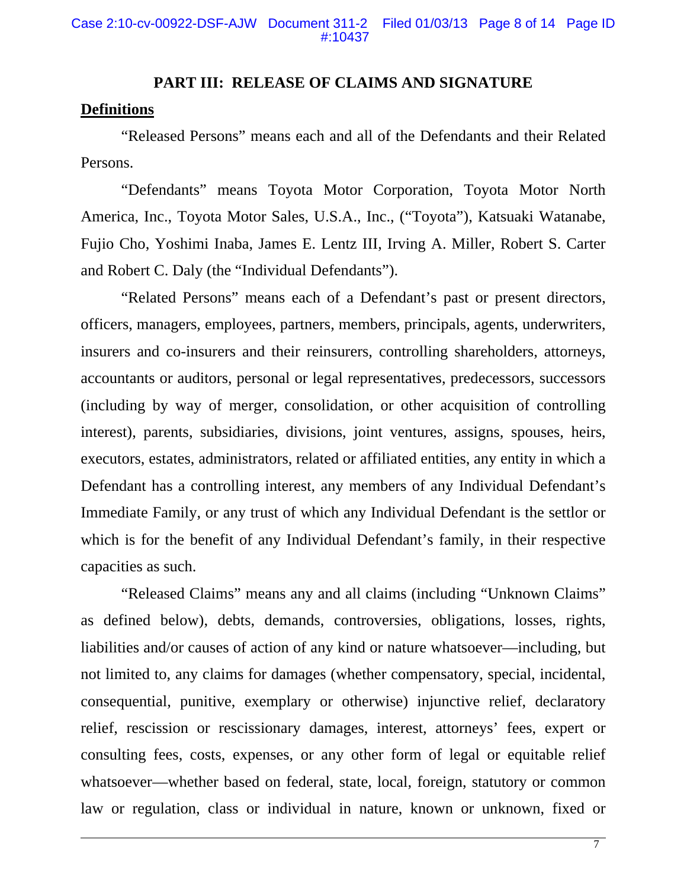#### **PART III: RELEASE OF CLAIMS AND SIGNATURE**

### **Definitions**

"Released Persons" means each and all of the Defendants and their Related Persons.

"Defendants" means Toyota Motor Corporation, Toyota Motor North America, Inc., Toyota Motor Sales, U.S.A., Inc., ("Toyota"), Katsuaki Watanabe, Fujio Cho, Yoshimi Inaba, James E. Lentz III, Irving A. Miller, Robert S. Carter and Robert C. Daly (the "Individual Defendants").

"Related Persons" means each of a Defendant's past or present directors, officers, managers, employees, partners, members, principals, agents, underwriters, insurers and co-insurers and their reinsurers, controlling shareholders, attorneys, accountants or auditors, personal or legal representatives, predecessors, successors (including by way of merger, consolidation, or other acquisition of controlling interest), parents, subsidiaries, divisions, joint ventures, assigns, spouses, heirs, executors, estates, administrators, related or affiliated entities, any entity in which a Defendant has a controlling interest, any members of any Individual Defendant's Immediate Family, or any trust of which any Individual Defendant is the settlor or which is for the benefit of any Individual Defendant's family, in their respective capacities as such.

"Released Claims" means any and all claims (including "Unknown Claims" as defined below), debts, demands, controversies, obligations, losses, rights, liabilities and/or causes of action of any kind or nature whatsoever—including, but not limited to, any claims for damages (whether compensatory, special, incidental, consequential, punitive, exemplary or otherwise) injunctive relief, declaratory relief, rescission or rescissionary damages, interest, attorneys' fees, expert or consulting fees, costs, expenses, or any other form of legal or equitable relief whatsoever—whether based on federal, state, local, foreign, statutory or common law or regulation, class or individual in nature, known or unknown, fixed or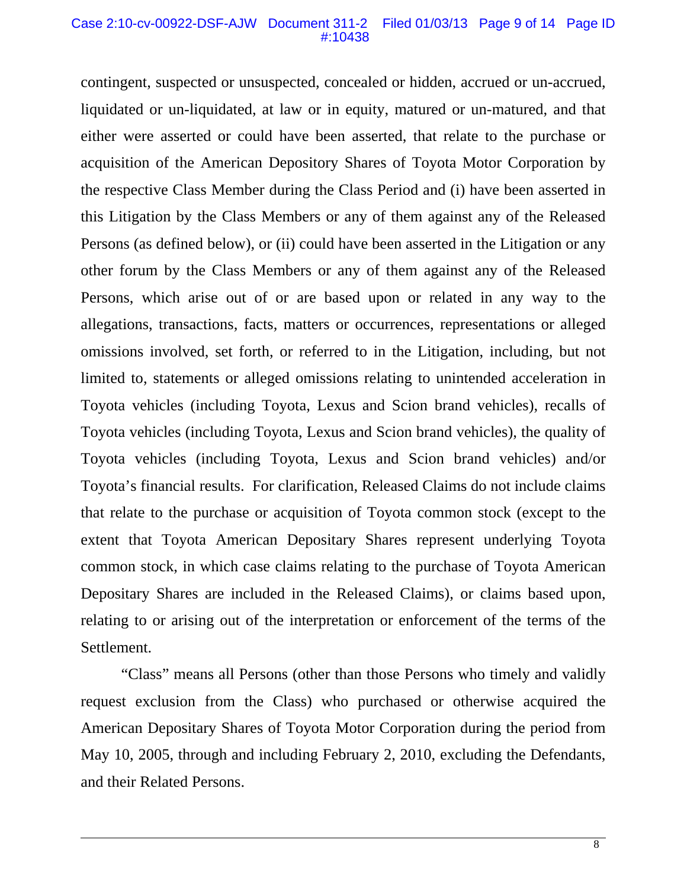#### Case 2:10-cv-00922-DSF-AJW Document 311-2 Filed 01/03/13 Page 9 of 14 Page ID #:10438

contingent, suspected or unsuspected, concealed or hidden, accrued or un-accrued, liquidated or un-liquidated, at law or in equity, matured or un-matured, and that either were asserted or could have been asserted, that relate to the purchase or acquisition of the American Depository Shares of Toyota Motor Corporation by the respective Class Member during the Class Period and (i) have been asserted in this Litigation by the Class Members or any of them against any of the Released Persons (as defined below), or (ii) could have been asserted in the Litigation or any other forum by the Class Members or any of them against any of the Released Persons, which arise out of or are based upon or related in any way to the allegations, transactions, facts, matters or occurrences, representations or alleged omissions involved, set forth, or referred to in the Litigation, including, but not limited to, statements or alleged omissions relating to unintended acceleration in Toyota vehicles (including Toyota, Lexus and Scion brand vehicles), recalls of Toyota vehicles (including Toyota, Lexus and Scion brand vehicles), the quality of Toyota vehicles (including Toyota, Lexus and Scion brand vehicles) and/or Toyota's financial results. For clarification, Released Claims do not include claims that relate to the purchase or acquisition of Toyota common stock (except to the extent that Toyota American Depositary Shares represent underlying Toyota common stock, in which case claims relating to the purchase of Toyota American Depositary Shares are included in the Released Claims), or claims based upon, relating to or arising out of the interpretation or enforcement of the terms of the Settlement.

"Class" means all Persons (other than those Persons who timely and validly request exclusion from the Class) who purchased or otherwise acquired the American Depositary Shares of Toyota Motor Corporation during the period from May 10, 2005, through and including February 2, 2010, excluding the Defendants, and their Related Persons.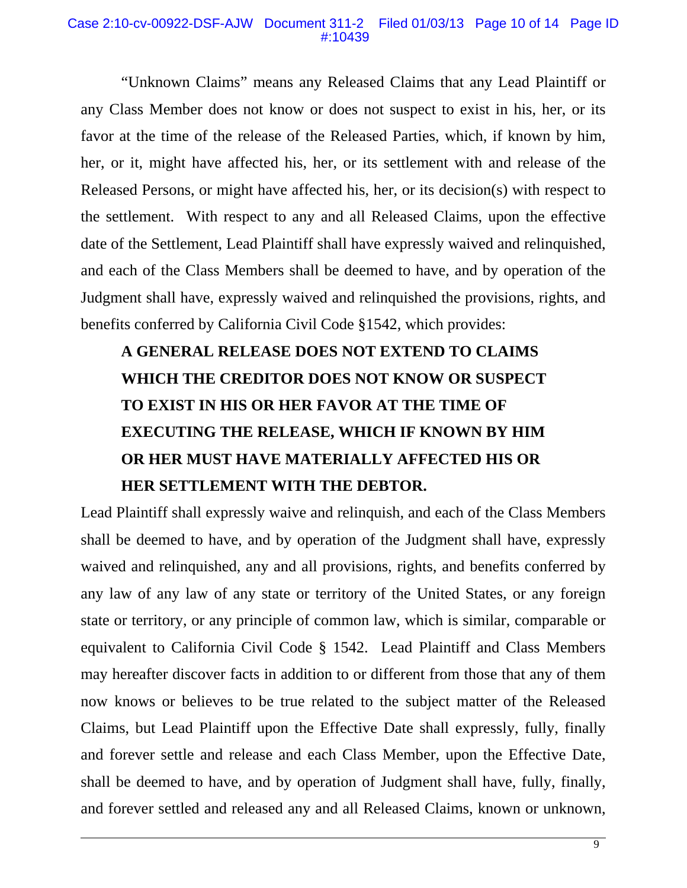#### Case 2:10-cv-00922-DSF-AJW Document 311-2 Filed 01/03/13 Page 10 of 14 Page ID #:10439

"Unknown Claims" means any Released Claims that any Lead Plaintiff or any Class Member does not know or does not suspect to exist in his, her, or its favor at the time of the release of the Released Parties, which, if known by him, her, or it, might have affected his, her, or its settlement with and release of the Released Persons, or might have affected his, her, or its decision(s) with respect to the settlement. With respect to any and all Released Claims, upon the effective date of the Settlement, Lead Plaintiff shall have expressly waived and relinquished, and each of the Class Members shall be deemed to have, and by operation of the Judgment shall have, expressly waived and relinquished the provisions, rights, and benefits conferred by California Civil Code §1542, which provides:

# **A GENERAL RELEASE DOES NOT EXTEND TO CLAIMS WHICH THE CREDITOR DOES NOT KNOW OR SUSPECT TO EXIST IN HIS OR HER FAVOR AT THE TIME OF EXECUTING THE RELEASE, WHICH IF KNOWN BY HIM OR HER MUST HAVE MATERIALLY AFFECTED HIS OR HER SETTLEMENT WITH THE DEBTOR.**

Lead Plaintiff shall expressly waive and relinquish, and each of the Class Members shall be deemed to have, and by operation of the Judgment shall have, expressly waived and relinquished, any and all provisions, rights, and benefits conferred by any law of any law of any state or territory of the United States, or any foreign state or territory, or any principle of common law, which is similar, comparable or equivalent to California Civil Code § 1542. Lead Plaintiff and Class Members may hereafter discover facts in addition to or different from those that any of them now knows or believes to be true related to the subject matter of the Released Claims, but Lead Plaintiff upon the Effective Date shall expressly, fully, finally and forever settle and release and each Class Member, upon the Effective Date, shall be deemed to have, and by operation of Judgment shall have, fully, finally, and forever settled and released any and all Released Claims, known or unknown,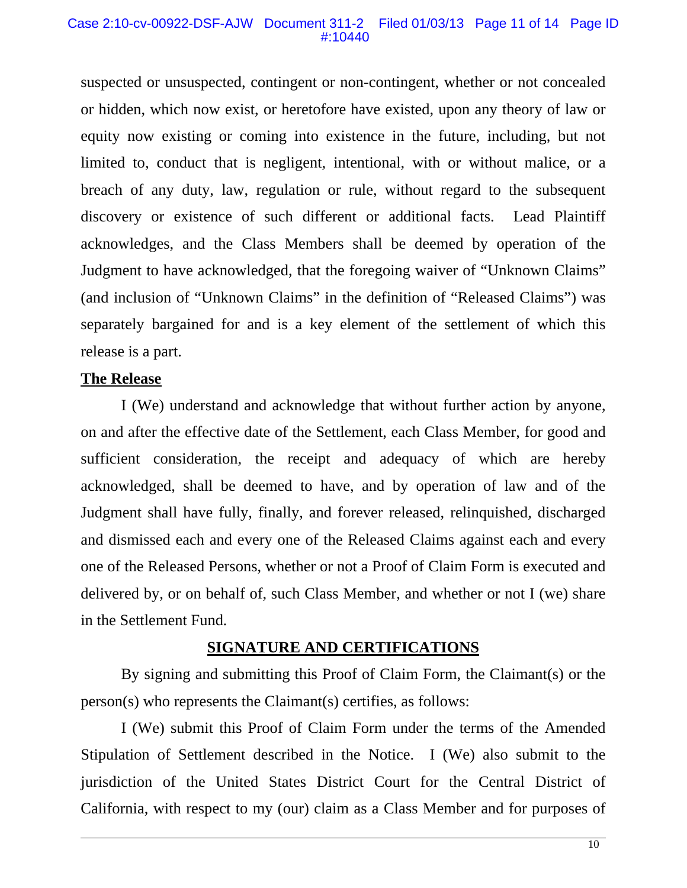#### Case 2:10-cv-00922-DSF-AJW Document 311-2 Filed 01/03/13 Page 11 of 14 Page ID #:10440

suspected or unsuspected, contingent or non-contingent, whether or not concealed or hidden, which now exist, or heretofore have existed, upon any theory of law or equity now existing or coming into existence in the future, including, but not limited to, conduct that is negligent, intentional, with or without malice, or a breach of any duty, law, regulation or rule, without regard to the subsequent discovery or existence of such different or additional facts. Lead Plaintiff acknowledges, and the Class Members shall be deemed by operation of the Judgment to have acknowledged, that the foregoing waiver of "Unknown Claims" (and inclusion of "Unknown Claims" in the definition of "Released Claims") was separately bargained for and is a key element of the settlement of which this release is a part.

# **The Release**

I (We) understand and acknowledge that without further action by anyone, on and after the effective date of the Settlement, each Class Member, for good and sufficient consideration, the receipt and adequacy of which are hereby acknowledged, shall be deemed to have, and by operation of law and of the Judgment shall have fully, finally, and forever released, relinquished, discharged and dismissed each and every one of the Released Claims against each and every one of the Released Persons, whether or not a Proof of Claim Form is executed and delivered by, or on behalf of, such Class Member, and whether or not I (we) share in the Settlement Fund*.* 

#### **SIGNATURE AND CERTIFICATIONS**

By signing and submitting this Proof of Claim Form, the Claimant(s) or the person(s) who represents the Claimant(s) certifies, as follows:

I (We) submit this Proof of Claim Form under the terms of the Amended Stipulation of Settlement described in the Notice. I (We) also submit to the jurisdiction of the United States District Court for the Central District of California, with respect to my (our) claim as a Class Member and for purposes of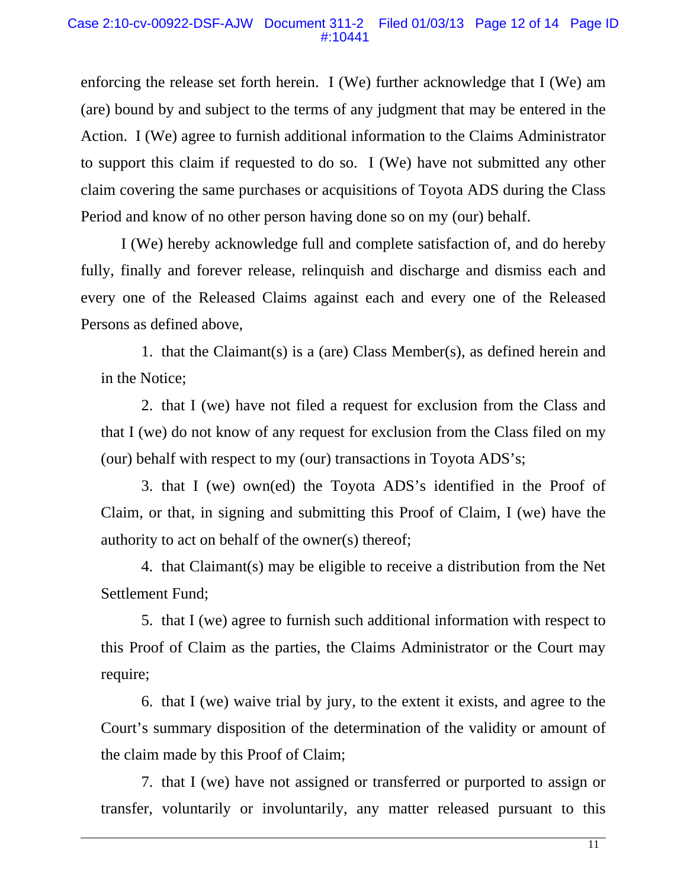enforcing the release set forth herein. I (We) further acknowledge that I (We) am (are) bound by and subject to the terms of any judgment that may be entered in the Action. I (We) agree to furnish additional information to the Claims Administrator to support this claim if requested to do so. I (We) have not submitted any other claim covering the same purchases or acquisitions of Toyota ADS during the Class Period and know of no other person having done so on my (our) behalf.

I (We) hereby acknowledge full and complete satisfaction of, and do hereby fully, finally and forever release, relinquish and discharge and dismiss each and every one of the Released Claims against each and every one of the Released Persons as defined above,

1. that the Claimant(s) is a (are) Class Member(s), as defined herein and in the Notice;

2. that I (we) have not filed a request for exclusion from the Class and that I (we) do not know of any request for exclusion from the Class filed on my (our) behalf with respect to my (our) transactions in Toyota ADS's;

3. that I (we) own(ed) the Toyota ADS's identified in the Proof of Claim, or that, in signing and submitting this Proof of Claim, I (we) have the authority to act on behalf of the owner(s) thereof;

4. that Claimant(s) may be eligible to receive a distribution from the Net Settlement Fund;

5. that I (we) agree to furnish such additional information with respect to this Proof of Claim as the parties, the Claims Administrator or the Court may require;

6. that I (we) waive trial by jury, to the extent it exists, and agree to the Court's summary disposition of the determination of the validity or amount of the claim made by this Proof of Claim;

7. that I (we) have not assigned or transferred or purported to assign or transfer, voluntarily or involuntarily, any matter released pursuant to this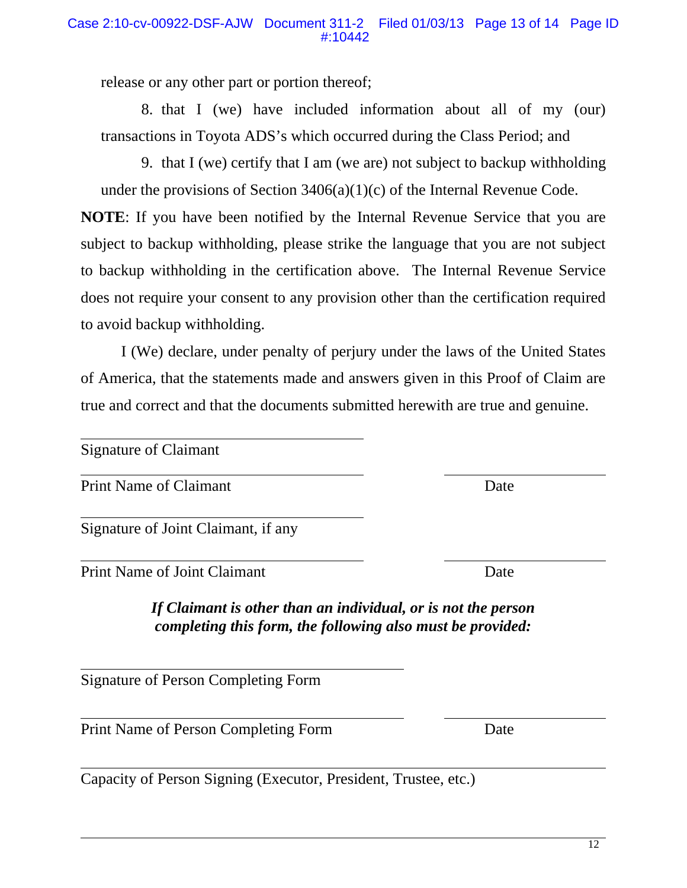12

release or any other part or portion thereof;

8. that I (we) have included information about all of my (our) transactions in Toyota ADS's which occurred during the Class Period; and

9. that I (we) certify that I am (we are) not subject to backup withholding under the provisions of Section  $3406(a)(1)(c)$  of the Internal Revenue Code.

**NOTE**: If you have been notified by the Internal Revenue Service that you are subject to backup withholding, please strike the language that you are not subject to backup withholding in the certification above. The Internal Revenue Service does not require your consent to any provision other than the certification required to avoid backup withholding.

I (We) declare, under penalty of perjury under the laws of the United States of America, that the statements made and answers given in this Proof of Claim are true and correct and that the documents submitted herewith are true and genuine.

Signature of Claimant

Print Name of Claimant Date

Signature of Joint Claimant, if any

Print Name of Joint Claimant Date

*If Claimant is other than an individual, or is not the person completing this form, the following also must be provided:* 

Signature of Person Completing Form

Print Name of Person Completing Form Date

Capacity of Person Signing (Executor, President, Trustee, etc.)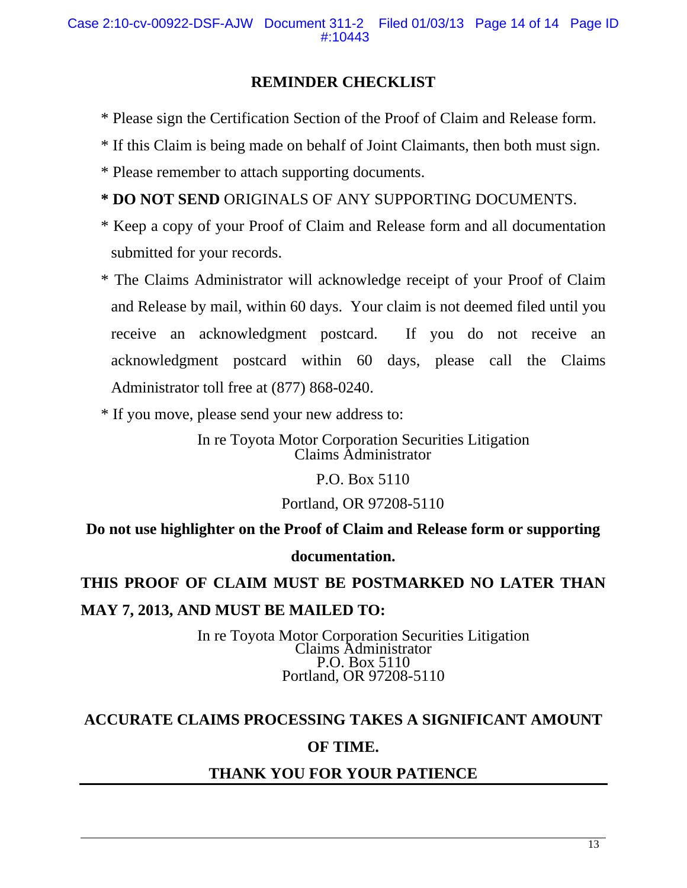# **REMINDER CHECKLIST**

- \* Please sign the Certification Section of the Proof of Claim and Release form.
- \* If this Claim is being made on behalf of Joint Claimants, then both must sign.
- \* Please remember to attach supporting documents.
- **\* DO NOT SEND** ORIGINALS OF ANY SUPPORTING DOCUMENTS.
- \* Keep a copy of your Proof of Claim and Release form and all documentation submitted for your records.
- \* The Claims Administrator will acknowledge receipt of your Proof of Claim and Release by mail, within 60 days. Your claim is not deemed filed until you receive an acknowledgment postcard. If you do not receive an acknowledgment postcard within 60 days, please call the Claims Administrator toll free at (877) 868-0240.
- \* If you move, please send your new address to:

In re Toyota Motor Corporation Securities Litigation Claims Administrator

P.O. Box 5110

Portland, OR 97208-5110

**Do not use highlighter on the Proof of Claim and Release form or supporting documentation.**

# **THIS PROOF OF CLAIM MUST BE POSTMARKED NO LATER THAN MAY 7, 2013, AND MUST BE MAILED TO:**

In re Toyota Motor Corporation Securities Litigation Claims Administrator P.O. Box 5110 Portland, OR 97208-5110

# **ACCURATE CLAIMS PROCESSING TAKES A SIGNIFICANT AMOUNT**

# **OF TIME.**

# **THANK YOU FOR YOUR PATIENCE**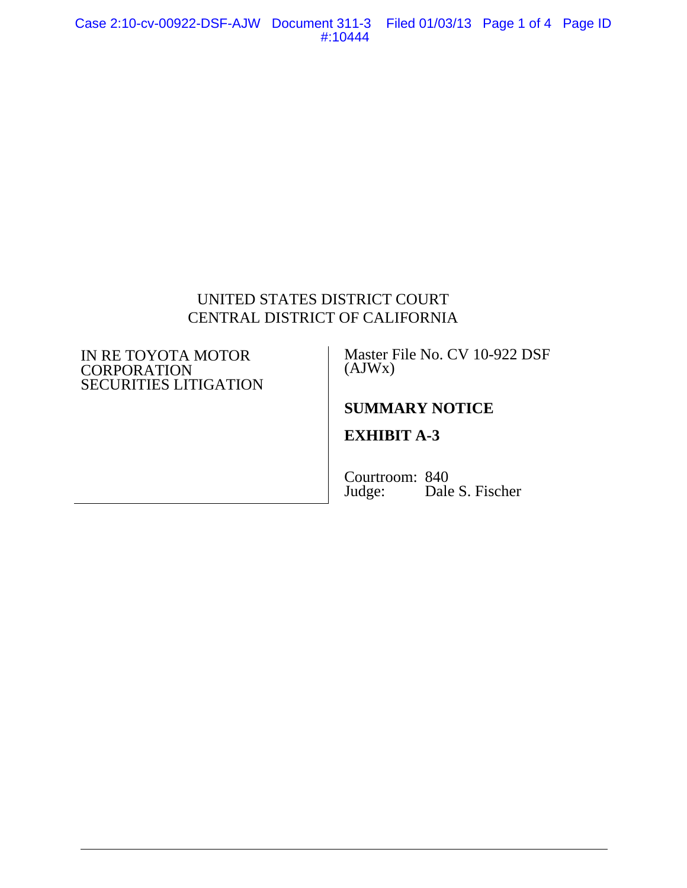# UNITED STATES DISTRICT COURT CENTRAL DISTRICT OF CALIFORNIA

#### IN RE TOYOTA MOTOR **CORPORATION** SECURITIES LITIGATION

Master File No. CV 10-922 DSF (AJWx)

# **SUMMARY NOTICE**

# **EXHIBIT A-3**

Courtroom: 840<br>Judge: Dale Dale S. Fischer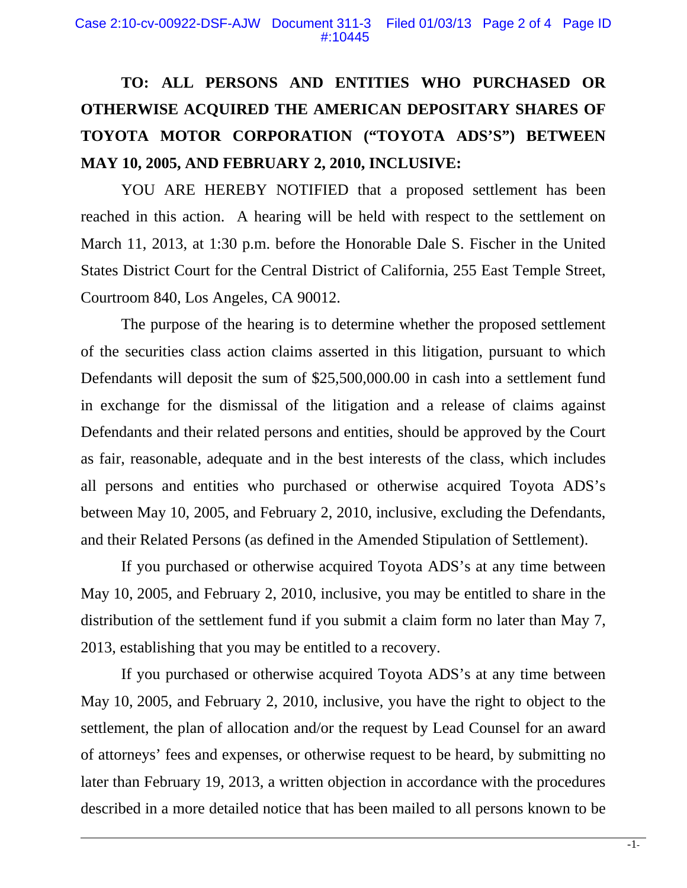# **TO: ALL PERSONS AND ENTITIES WHO PURCHASED OR OTHERWISE ACQUIRED THE AMERICAN DEPOSITARY SHARES OF TOYOTA MOTOR CORPORATION ("TOYOTA ADS'S") BETWEEN MAY 10, 2005, AND FEBRUARY 2, 2010, INCLUSIVE:**

YOU ARE HEREBY NOTIFIED that a proposed settlement has been reached in this action. A hearing will be held with respect to the settlement on March 11, 2013, at 1:30 p.m. before the Honorable Dale S. Fischer in the United States District Court for the Central District of California, 255 East Temple Street, Courtroom 840, Los Angeles, CA 90012.

The purpose of the hearing is to determine whether the proposed settlement of the securities class action claims asserted in this litigation, pursuant to which Defendants will deposit the sum of \$25,500,000.00 in cash into a settlement fund in exchange for the dismissal of the litigation and a release of claims against Defendants and their related persons and entities, should be approved by the Court as fair, reasonable, adequate and in the best interests of the class, which includes all persons and entities who purchased or otherwise acquired Toyota ADS's between May 10, 2005, and February 2, 2010, inclusive, excluding the Defendants, and their Related Persons (as defined in the Amended Stipulation of Settlement).

If you purchased or otherwise acquired Toyota ADS's at any time between May 10, 2005, and February 2, 2010, inclusive, you may be entitled to share in the distribution of the settlement fund if you submit a claim form no later than May 7, 2013, establishing that you may be entitled to a recovery.

If you purchased or otherwise acquired Toyota ADS's at any time between May 10, 2005, and February 2, 2010, inclusive, you have the right to object to the settlement, the plan of allocation and/or the request by Lead Counsel for an award of attorneys' fees and expenses, or otherwise request to be heard, by submitting no later than February 19, 2013, a written objection in accordance with the procedures described in a more detailed notice that has been mailed to all persons known to be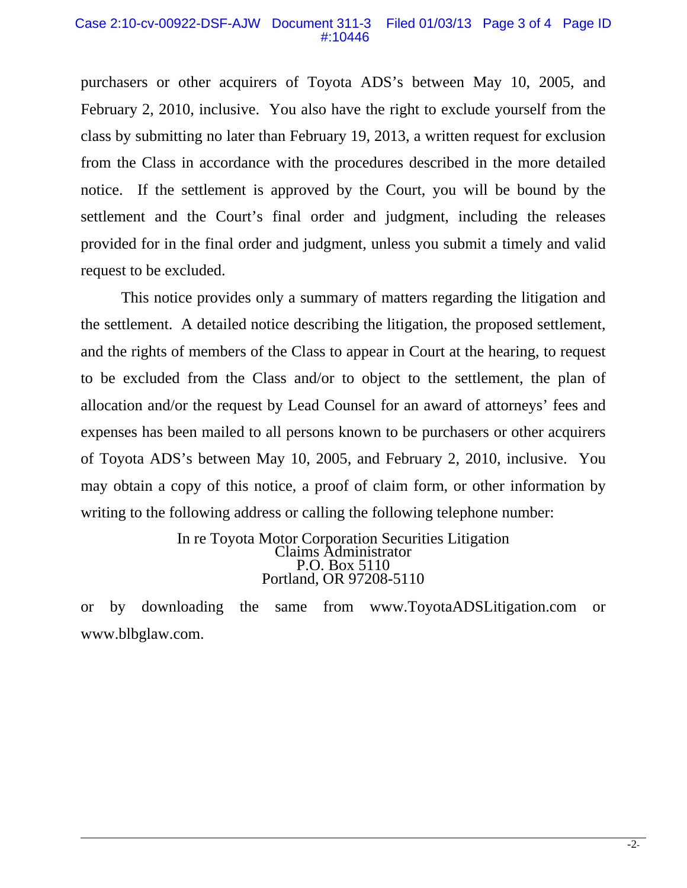#### Case 2:10-cv-00922-DSF-AJW Document 311-3 Filed 01/03/13 Page 3 of 4 Page ID #:10446

purchasers or other acquirers of Toyota ADS's between May 10, 2005, and February 2, 2010, inclusive. You also have the right to exclude yourself from the class by submitting no later than February 19, 2013, a written request for exclusion from the Class in accordance with the procedures described in the more detailed notice. If the settlement is approved by the Court, you will be bound by the settlement and the Court's final order and judgment, including the releases provided for in the final order and judgment, unless you submit a timely and valid request to be excluded.

This notice provides only a summary of matters regarding the litigation and the settlement. A detailed notice describing the litigation, the proposed settlement, and the rights of members of the Class to appear in Court at the hearing, to request to be excluded from the Class and/or to object to the settlement, the plan of allocation and/or the request by Lead Counsel for an award of attorneys' fees and expenses has been mailed to all persons known to be purchasers or other acquirers of Toyota ADS's between May 10, 2005, and February 2, 2010, inclusive. You may obtain a copy of this notice, a proof of claim form, or other information by writing to the following address or calling the following telephone number:

> In re Toyota Motor Corporation Securities Litigation Claims Administrator P.O. Box 5110 Portland, OR 97208-5110

or by downloading the same from www.ToyotaADSLitigation.com or www.blbglaw.com.